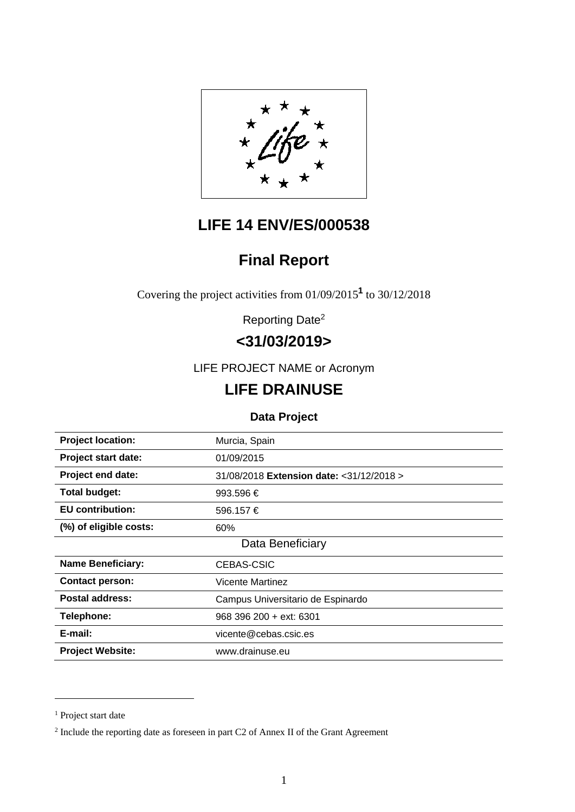

# **LIFE 14 ENV/ES/000538**

# **Final Report**

Covering the project activities from 01/09/2015**<sup>1</sup>** to 30/12/2018

Reporting Date2

# **<31/03/2019>**

LIFE PROJECT NAME or Acronym

# **LIFE DRAINUSE**

## **Data Project**

| <b>Project location:</b>   | Murcia, Spain                             |
|----------------------------|-------------------------------------------|
| <b>Project start date:</b> | 01/09/2015                                |
| <b>Project end date:</b>   | 31/08/2018 Extension date: < 31/12/2018 > |
| <b>Total budget:</b>       | 993.596 €                                 |
| <b>EU</b> contribution:    | 596.157 €                                 |
| (%) of eligible costs:     | 60%                                       |
|                            | Data Beneficiary                          |
| <b>Name Beneficiary:</b>   | CEBAS-CSIC                                |
| <b>Contact person:</b>     | <b>Vicente Martinez</b>                   |
| <b>Postal address:</b>     | Campus Universitario de Espinardo         |
| <b>Telephone:</b>          | 968 396 200 + ext: 6301                   |
| E-mail:                    | vicente@cebas.csic.es                     |
| <b>Project Website:</b>    | www.drainuse.eu                           |
|                            |                                           |

 $\overline{a}$ 

<sup>&</sup>lt;sup>1</sup> Project start date

<sup>&</sup>lt;sup>2</sup> Include the reporting date as foreseen in part C2 of Annex II of the Grant Agreement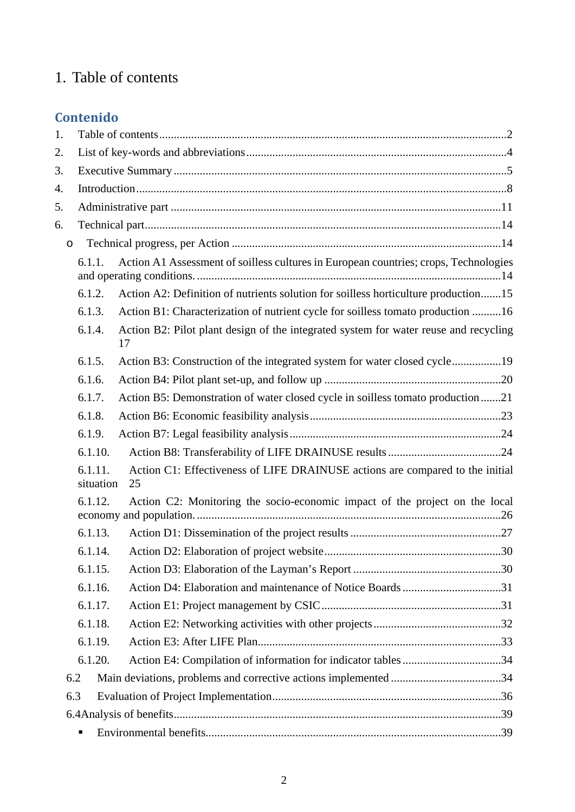# 1. Table of contents

# **Contenido**

| 1.      |                      |                                                                                            |  |
|---------|----------------------|--------------------------------------------------------------------------------------------|--|
| 2.      |                      |                                                                                            |  |
| 3.      |                      |                                                                                            |  |
| 4.      |                      |                                                                                            |  |
| 5.      |                      |                                                                                            |  |
| 6.      |                      |                                                                                            |  |
| $\circ$ |                      |                                                                                            |  |
|         | 6.1.1.               | Action A1 Assessment of soilless cultures in European countries; crops, Technologies       |  |
|         | 6.1.2.               | Action A2: Definition of nutrients solution for soilless horticulture production15         |  |
|         | 6.1.3.               | Action B1: Characterization of nutrient cycle for soilless tomato production 16            |  |
|         | 6.1.4.               | Action B2: Pilot plant design of the integrated system for water reuse and recycling<br>17 |  |
|         | 6.1.5.               | Action B3: Construction of the integrated system for water closed cycle19                  |  |
|         | 6.1.6.               |                                                                                            |  |
|         | 6.1.7.               | Action B5: Demonstration of water closed cycle in soilless tomato production 21            |  |
|         | 6.1.8.               |                                                                                            |  |
|         | 6.1.9.               |                                                                                            |  |
|         | 6.1.10.              |                                                                                            |  |
|         | 6.1.11.<br>situation | Action C1: Effectiveness of LIFE DRAINUSE actions are compared to the initial<br>25        |  |
|         | 6.1.12.              | Action C2: Monitoring the socio-economic impact of the project on the local                |  |
|         | 6.1.13.              |                                                                                            |  |
|         | 6.1.14.              |                                                                                            |  |
|         | 6.1.15.              |                                                                                            |  |
|         | 6.1.16.              | Action D4: Elaboration and maintenance of Notice Boards 31                                 |  |
|         | 6.1.17.              |                                                                                            |  |
|         | 6.1.18.              |                                                                                            |  |
|         | 6.1.19.              |                                                                                            |  |
|         | 6.1.20.              |                                                                                            |  |
| 6.2     |                      |                                                                                            |  |
| 6.3     |                      |                                                                                            |  |
|         |                      |                                                                                            |  |
|         |                      |                                                                                            |  |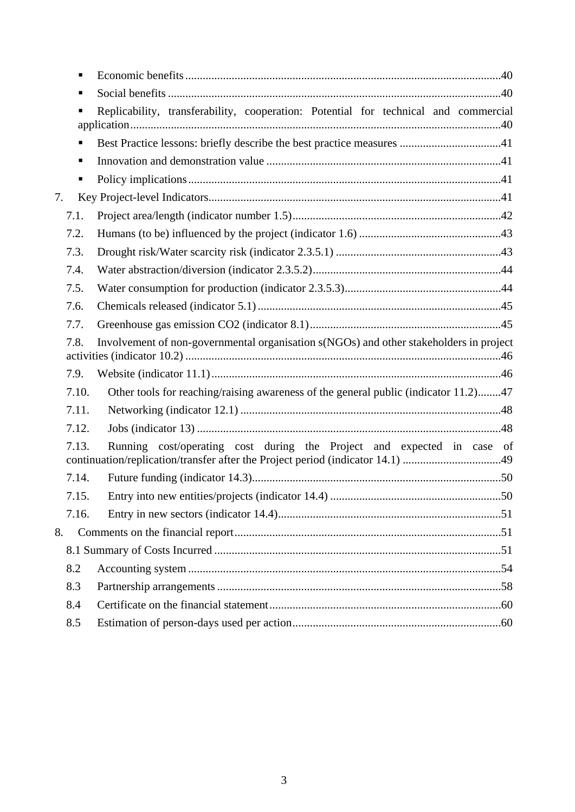|    | ٠     |                                                                                        |      |
|----|-------|----------------------------------------------------------------------------------------|------|
|    | ٠     |                                                                                        |      |
|    | ٠     | Replicability, transferability, cooperation: Potential for technical and commercial    |      |
|    | п     |                                                                                        |      |
|    | ٠     |                                                                                        |      |
|    | ٠     |                                                                                        |      |
| 7. |       |                                                                                        |      |
|    | 7.1.  |                                                                                        |      |
|    | 7.2.  |                                                                                        |      |
|    | 7.3.  |                                                                                        |      |
|    | 7.4.  |                                                                                        |      |
|    | 7.5.  |                                                                                        |      |
|    | 7.6.  |                                                                                        |      |
|    | 7.7.  |                                                                                        |      |
|    | 7.8.  | Involvement of non-governmental organisation s(NGOs) and other stakeholders in project |      |
|    | 7.9.  |                                                                                        |      |
|    | 7.10. | Other tools for reaching/raising awareness of the general public (indicator 11.2)47    |      |
|    | 7.11. |                                                                                        |      |
|    | 7.12. |                                                                                        |      |
|    | 7.13. | Running cost/operating cost during the Project and expected in case                    | - of |
|    | 7.14. |                                                                                        |      |
|    | 7.15. |                                                                                        |      |
|    | 7.16. |                                                                                        |      |
| 8. |       |                                                                                        |      |
|    |       |                                                                                        |      |
|    | 8.2   |                                                                                        |      |
|    | 8.3   |                                                                                        |      |
|    | 8.4   |                                                                                        |      |
|    | 8.5   |                                                                                        |      |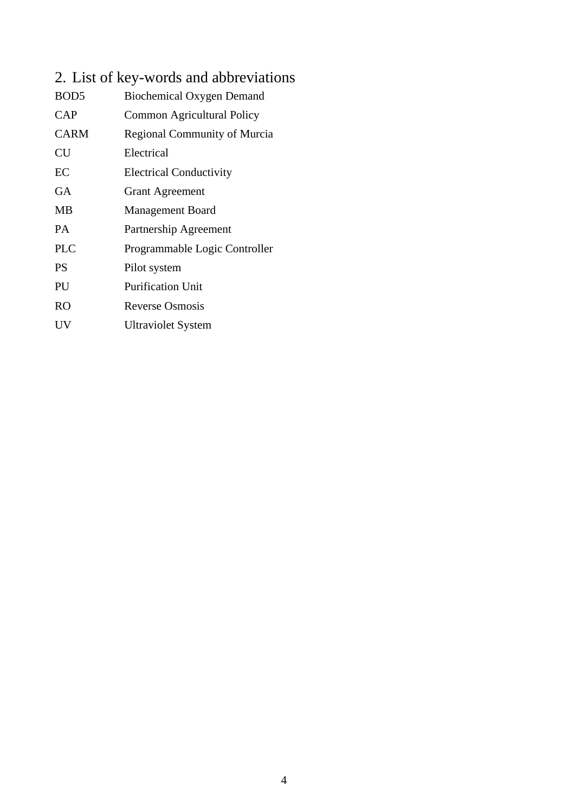# 2. List of key-words and abbreviations

| BOD <sub>5</sub> | Biochemical Oxygen Demand           |
|------------------|-------------------------------------|
| <b>CAP</b>       | Common Agricultural Policy          |
| <b>CARM</b>      | <b>Regional Community of Murcia</b> |
| CU               | Electrical                          |
| EC               | <b>Electrical Conductivity</b>      |
| GA               | <b>Grant Agreement</b>              |
| MВ               | <b>Management Board</b>             |
| <b>PA</b>        | Partnership Agreement               |
| <b>PLC</b>       | Programmable Logic Controller       |
| <b>PS</b>        | Pilot system                        |
| PU               | <b>Purification Unit</b>            |
| <b>RO</b>        | <b>Reverse Osmosis</b>              |
| UV               | <b>Ultraviolet System</b>           |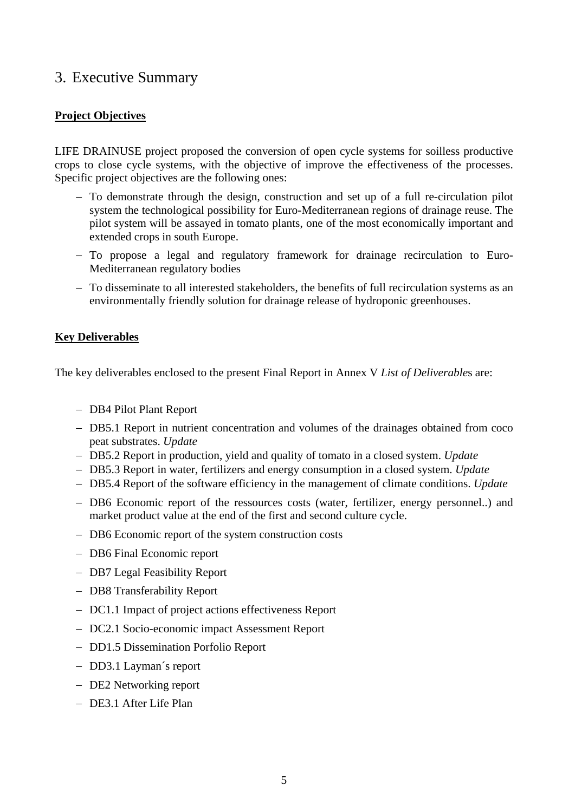# 3. Executive Summary

### **Project Objectives**

LIFE DRAINUSE project proposed the conversion of open cycle systems for soilless productive crops to close cycle systems, with the objective of improve the effectiveness of the processes. Specific project objectives are the following ones:

- To demonstrate through the design, construction and set up of a full re-circulation pilot system the technological possibility for Euro-Mediterranean regions of drainage reuse. The pilot system will be assayed in tomato plants, one of the most economically important and extended crops in south Europe.
- To propose a legal and regulatory framework for drainage recirculation to Euro-Mediterranean regulatory bodies
- To disseminate to all interested stakeholders, the benefits of full recirculation systems as an environmentally friendly solution for drainage release of hydroponic greenhouses.

### **Key Deliverables**

The key deliverables enclosed to the present Final Report in Annex V *List of Deliverable*s are:

- DB4 Pilot Plant Report
- DB5.1 Report in nutrient concentration and volumes of the drainages obtained from coco peat substrates. *Update*
- DB5.2 Report in production, yield and quality of tomato in a closed system. *Update*
- DB5.3 Report in water, fertilizers and energy consumption in a closed system. *Update*
- DB5.4 Report of the software efficiency in the management of climate conditions. *Update*
- DB6 Economic report of the ressources costs (water, fertilizer, energy personnel..) and market product value at the end of the first and second culture cycle.
- DB6 Economic report of the system construction costs
- DB6 Final Economic report
- DB7 Legal Feasibility Report
- DB8 Transferability Report
- DC1.1 Impact of project actions effectiveness Report
- DC2.1 Socio-economic impact Assessment Report
- DD1.5 Dissemination Porfolio Report
- DD3.1 Layman's report
- DE2 Networking report
- DE3.1 After Life Plan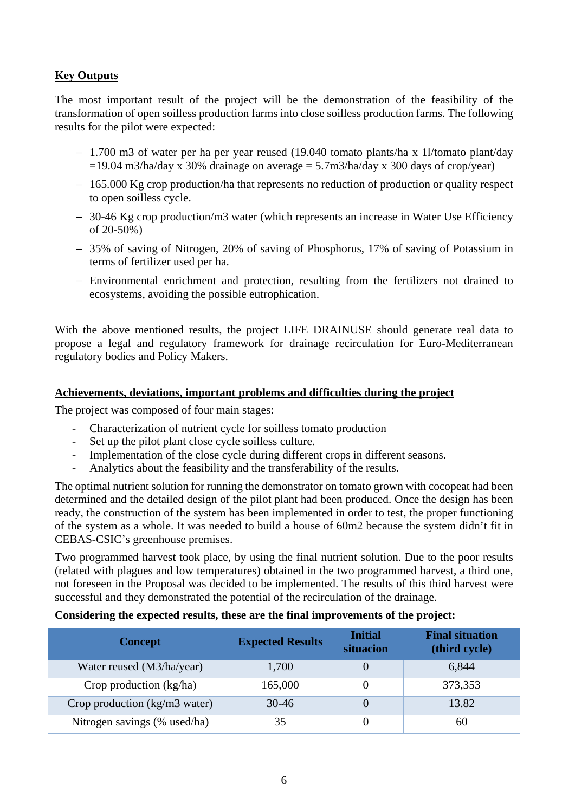### **Key Outputs**

The most important result of the project will be the demonstration of the feasibility of the transformation of open soilless production farms into close soilless production farms. The following results for the pilot were expected:

- 1.700 m3 of water per ha per year reused (19.040 tomato plants/ha x 1l/tomato plant/day  $=19.04$  m3/ha/day x 30% drainage on average  $= 5.7$ m3/ha/day x 300 days of crop/year)
- 165.000 Kg crop production/ha that represents no reduction of production or quality respect to open soilless cycle.
- 30-46 Kg crop production/m3 water (which represents an increase in Water Use Efficiency of 20-50%)
- 35% of saving of Nitrogen, 20% of saving of Phosphorus, 17% of saving of Potassium in terms of fertilizer used per ha.
- Environmental enrichment and protection, resulting from the fertilizers not drained to ecosystems, avoiding the possible eutrophication.

With the above mentioned results, the project LIFE DRAINUSE should generate real data to propose a legal and regulatory framework for drainage recirculation for Euro-Mediterranean regulatory bodies and Policy Makers.

### **Achievements, deviations, important problems and difficulties during the project**

The project was composed of four main stages:

- Characterization of nutrient cycle for soilless tomato production
- Set up the pilot plant close cycle soilless culture.
- Implementation of the close cycle during different crops in different seasons.
- Analytics about the feasibility and the transferability of the results.

The optimal nutrient solution for running the demonstrator on tomato grown with cocopeat had been determined and the detailed design of the pilot plant had been produced. Once the design has been ready, the construction of the system has been implemented in order to test, the proper functioning of the system as a whole. It was needed to build a house of 60m2 because the system didn't fit in CEBAS-CSIC's greenhouse premises.

Two programmed harvest took place, by using the final nutrient solution. Due to the poor results (related with plagues and low temperatures) obtained in the two programmed harvest, a third one, not foreseen in the Proposal was decided to be implemented. The results of this third harvest were successful and they demonstrated the potential of the recirculation of the drainage.

#### **Considering the expected results, these are the final improvements of the project:**

| <b>Concept</b>                | <b>Expected Results</b> | <b>Initial</b><br>situacion | <b>Final situation</b><br>(third cycle) |  |
|-------------------------------|-------------------------|-----------------------------|-----------------------------------------|--|
| Water reused (M3/ha/year)     | 1,700                   | $\theta$                    | 6,844                                   |  |
| Crop production (kg/ha)       | 165,000                 | $_{0}$                      | 373,353                                 |  |
| Crop production (kg/m3 water) | $30-46$                 | $\Omega$                    | 13.82                                   |  |
| Nitrogen savings (% used/ha)  | 35                      | $\theta$                    | 60                                      |  |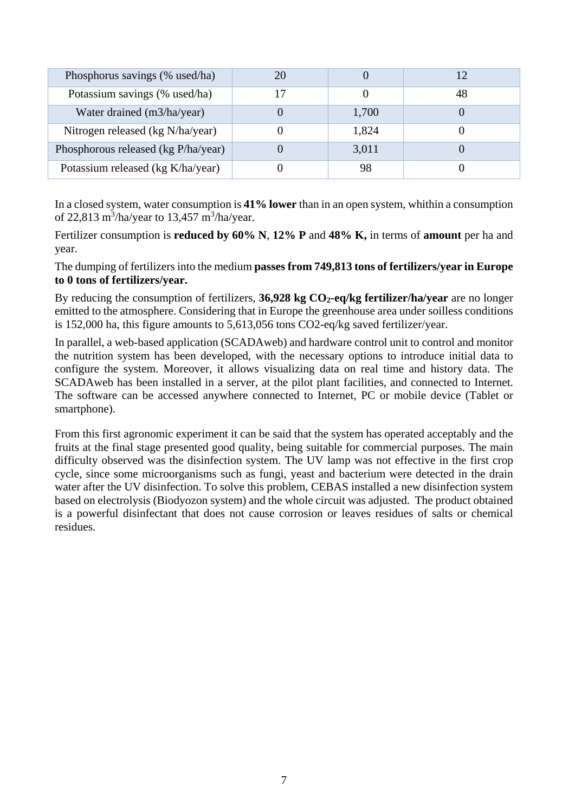| Phosphorus savings (% used/ha)      | 20 |       |    |
|-------------------------------------|----|-------|----|
| Potassium savings (% used/ha)       |    |       | 48 |
| Water drained (m3/ha/year)          |    | 1,700 |    |
| Nitrogen released (kg N/ha/year)    |    | 1,824 |    |
| Phosphorous released (kg P/ha/year) |    | 3,011 |    |
| Potassium released (kg K/ha/year)   |    | 98    |    |

In a closed system, water consumption is **41% lower** than in an open system, whithin a consumption of 22,813 m<sup>3</sup>/ha/year to 13,457 m<sup>3</sup>/ha/year.

Fertilizer consumption is **reduced by 60% N**, **12% P** and **48% K,** in terms of **amount** per ha and year.

The dumping of fertilizers into the medium **passes from 749,813 tons of fertilizers/year in Europe to 0 tons of fertilizers/year.**

By reducing the consumption of fertilizers, 36,928 kg CO<sub>2</sub>-eq/kg fertilizer/ha/year are no longer emitted to the atmosphere. Considering that in Europe the greenhouse area under soilless conditions is 152,000 ha, this figure amounts to 5,613,056 tons CO2-eq/kg saved fertilizer/year.

In parallel, a web-based application (SCADAweb) and hardware control unit to control and monitor the nutrition system has been developed, with the necessary options to introduce initial data to configure the system. Moreover, it allows visualizing data on real time and history data. The SCADAweb has been installed in a server, at the pilot plant facilities, and connected to Internet. The software can be accessed anywhere connected to Internet, PC or mobile device (Tablet or smartphone).

From this first agronomic experiment it can be said that the system has operated acceptably and the fruits at the final stage presented good quality, being suitable for commercial purposes. The main difficulty observed was the disinfection system. The UV lamp was not effective in the first crop cycle, since some microorganisms such as fungi, yeast and bacterium were detected in the drain water after the UV disinfection. To solve this problem, CEBAS installed a new disinfection system based on electrolysis (Biodyozon system) and the whole circuit was adjusted. The product obtained is a powerful disinfectant that does not cause corrosion or leaves residues of salts or chemical residues.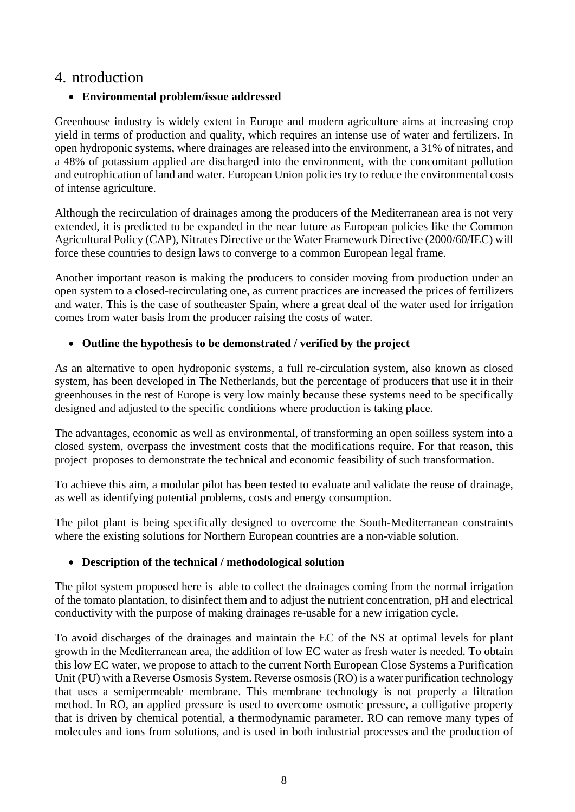# 4. ntroduction

### **Environmental problem/issue addressed**

Greenhouse industry is widely extent in Europe and modern agriculture aims at increasing crop yield in terms of production and quality, which requires an intense use of water and fertilizers. In open hydroponic systems, where drainages are released into the environment, a 31% of nitrates, and a 48% of potassium applied are discharged into the environment, with the concomitant pollution and eutrophication of land and water. European Union policies try to reduce the environmental costs of intense agriculture.

Although the recirculation of drainages among the producers of the Mediterranean area is not very extended, it is predicted to be expanded in the near future as European policies like the Common Agricultural Policy (CAP), Nitrates Directive or the Water Framework Directive (2000/60/IEC) will force these countries to design laws to converge to a common European legal frame.

Another important reason is making the producers to consider moving from production under an open system to a closed-recirculating one, as current practices are increased the prices of fertilizers and water. This is the case of southeaster Spain, where a great deal of the water used for irrigation comes from water basis from the producer raising the costs of water.

### **Outline the hypothesis to be demonstrated / verified by the project**

As an alternative to open hydroponic systems, a full re-circulation system, also known as closed system, has been developed in The Netherlands, but the percentage of producers that use it in their greenhouses in the rest of Europe is very low mainly because these systems need to be specifically designed and adjusted to the specific conditions where production is taking place.

The advantages, economic as well as environmental, of transforming an open soilless system into a closed system, overpass the investment costs that the modifications require. For that reason, this project proposes to demonstrate the technical and economic feasibility of such transformation.

To achieve this aim, a modular pilot has been tested to evaluate and validate the reuse of drainage, as well as identifying potential problems, costs and energy consumption.

The pilot plant is being specifically designed to overcome the South-Mediterranean constraints where the existing solutions for Northern European countries are a non-viable solution.

### **Description of the technical / methodological solution**

The pilot system proposed here is able to collect the drainages coming from the normal irrigation of the tomato plantation, to disinfect them and to adjust the nutrient concentration, pH and electrical conductivity with the purpose of making drainages re-usable for a new irrigation cycle.

To avoid discharges of the drainages and maintain the EC of the NS at optimal levels for plant growth in the Mediterranean area, the addition of low EC water as fresh water is needed. To obtain this low EC water, we propose to attach to the current North European Close Systems a Purification Unit (PU) with a Reverse Osmosis System. Reverse osmosis (RO) is a water purification technology that uses a semipermeable membrane. This membrane technology is not properly a filtration method. In RO, an applied pressure is used to overcome osmotic pressure, a colligative property that is driven by chemical potential, a thermodynamic parameter. RO can remove many types of molecules and ions from solutions, and is used in both industrial processes and the production of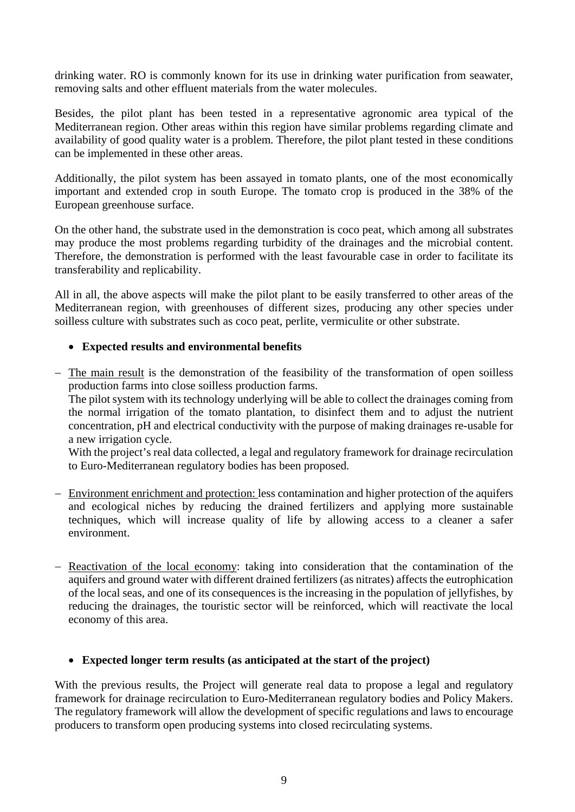drinking water. RO is commonly known for its use in drinking water purification from seawater, removing salts and other effluent materials from the water molecules.

Besides, the pilot plant has been tested in a representative agronomic area typical of the Mediterranean region. Other areas within this region have similar problems regarding climate and availability of good quality water is a problem. Therefore, the pilot plant tested in these conditions can be implemented in these other areas.

Additionally, the pilot system has been assayed in tomato plants, one of the most economically important and extended crop in south Europe. The tomato crop is produced in the 38% of the European greenhouse surface.

On the other hand, the substrate used in the demonstration is coco peat, which among all substrates may produce the most problems regarding turbidity of the drainages and the microbial content. Therefore, the demonstration is performed with the least favourable case in order to facilitate its transferability and replicability.

All in all, the above aspects will make the pilot plant to be easily transferred to other areas of the Mediterranean region, with greenhouses of different sizes, producing any other species under soilless culture with substrates such as coco peat, perlite, vermiculite or other substrate.

### **Expected results and environmental benefits**

- The main result is the demonstration of the feasibility of the transformation of open soilless production farms into close soilless production farms.

The pilot system with its technology underlying will be able to collect the drainages coming from the normal irrigation of the tomato plantation, to disinfect them and to adjust the nutrient concentration, pH and electrical conductivity with the purpose of making drainages re-usable for a new irrigation cycle.

With the project's real data collected, a legal and regulatory framework for drainage recirculation to Euro-Mediterranean regulatory bodies has been proposed.

- Environment enrichment and protection: less contamination and higher protection of the aquifers and ecological niches by reducing the drained fertilizers and applying more sustainable techniques, which will increase quality of life by allowing access to a cleaner a safer environment.
- Reactivation of the local economy: taking into consideration that the contamination of the aquifers and ground water with different drained fertilizers (as nitrates) affects the eutrophication of the local seas, and one of its consequences is the increasing in the population of jellyfishes, by reducing the drainages, the touristic sector will be reinforced, which will reactivate the local economy of this area.

### **Expected longer term results (as anticipated at the start of the project)**

With the previous results, the Project will generate real data to propose a legal and regulatory framework for drainage recirculation to Euro-Mediterranean regulatory bodies and Policy Makers. The regulatory framework will allow the development of specific regulations and laws to encourage producers to transform open producing systems into closed recirculating systems.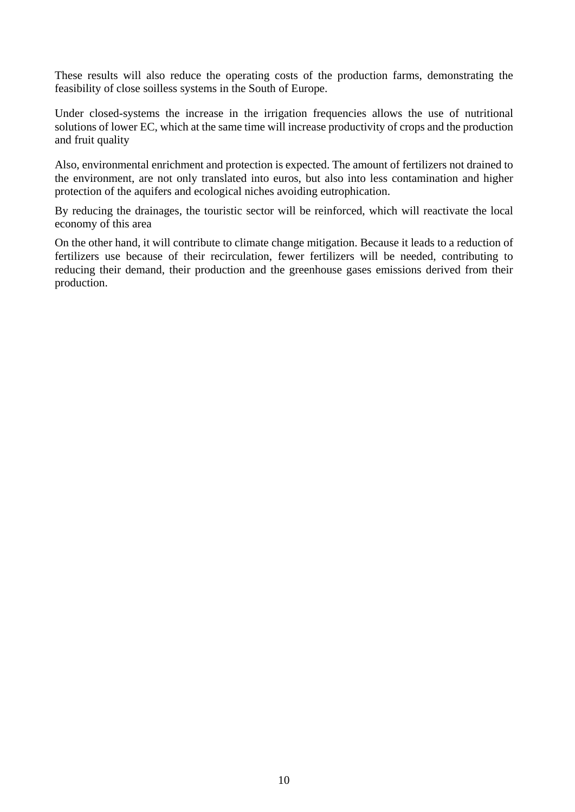These results will also reduce the operating costs of the production farms, demonstrating the feasibility of close soilless systems in the South of Europe.

Under closed-systems the increase in the irrigation frequencies allows the use of nutritional solutions of lower EC, which at the same time will increase productivity of crops and the production and fruit quality

Also, environmental enrichment and protection is expected. The amount of fertilizers not drained to the environment, are not only translated into euros, but also into less contamination and higher protection of the aquifers and ecological niches avoiding eutrophication.

By reducing the drainages, the touristic sector will be reinforced, which will reactivate the local economy of this area

On the other hand, it will contribute to climate change mitigation. Because it leads to a reduction of fertilizers use because of their recirculation, fewer fertilizers will be needed, contributing to reducing their demand, their production and the greenhouse gases emissions derived from their production.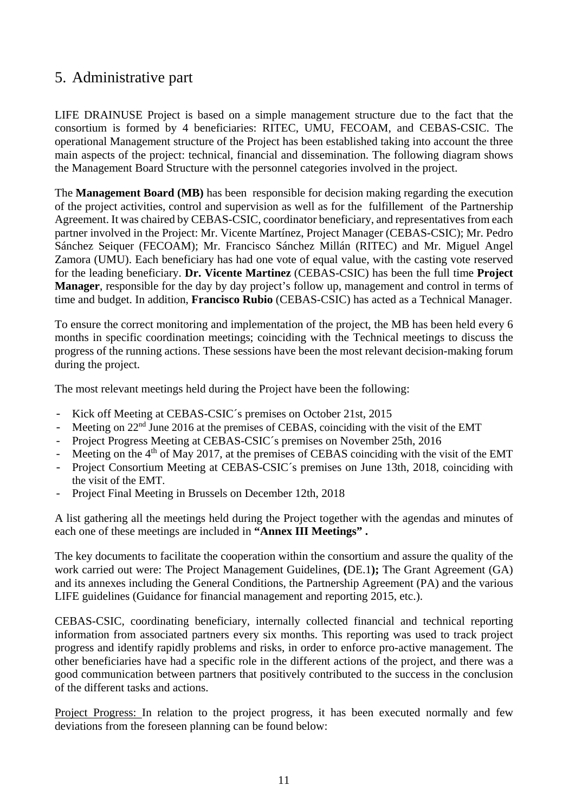# 5. Administrative part

LIFE DRAINUSE Project is based on a simple management structure due to the fact that the consortium is formed by 4 beneficiaries: RITEC, UMU, FECOAM, and CEBAS-CSIC. The operational Management structure of the Project has been established taking into account the three main aspects of the project: technical, financial and dissemination. The following diagram shows the Management Board Structure with the personnel categories involved in the project.

The **Management Board (MB)** has been responsible for decision making regarding the execution of the project activities, control and supervision as well as for the fulfillement of the Partnership Agreement. It was chaired by CEBAS-CSIC, coordinator beneficiary, and representatives from each partner involved in the Project: Mr. Vicente Martínez, Project Manager (CEBAS-CSIC); Mr. Pedro Sánchez Seiquer (FECOAM); Mr. Francisco Sánchez Millán (RITEC) and Mr. Miguel Angel Zamora (UMU). Each beneficiary has had one vote of equal value, with the casting vote reserved for the leading beneficiary. **Dr. Vicente Martinez** (CEBAS-CSIC) has been the full time **Project Manager**, responsible for the day by day project's follow up, management and control in terms of time and budget. In addition, **Francisco Rubio** (CEBAS-CSIC) has acted as a Technical Manager.

To ensure the correct monitoring and implementation of the project, the MB has been held every 6 months in specific coordination meetings; coinciding with the Technical meetings to discuss the progress of the running actions. These sessions have been the most relevant decision-making forum during the project.

The most relevant meetings held during the Project have been the following:

- Kick off Meeting at CEBAS-CSIC´s premises on October 21st, 2015
- Meeting on  $22<sup>nd</sup>$  June 2016 at the premises of CEBAS, coinciding with the visit of the EMT
- Project Progress Meeting at CEBAS-CSIC´s premises on November 25th, 2016
- Meeting on the  $4<sup>th</sup>$  of May 2017, at the premises of CEBAS coinciding with the visit of the EMT
- Project Consortium Meeting at CEBAS-CSIC´s premises on June 13th, 2018, coinciding with the visit of the EMT.
- Project Final Meeting in Brussels on December 12th, 2018

A list gathering all the meetings held during the Project together with the agendas and minutes of each one of these meetings are included in **"Annex III Meetings" .**

The key documents to facilitate the cooperation within the consortium and assure the quality of the work carried out were: The Project Management Guidelines, **(**DE.1**);** The Grant Agreement (GA) and its annexes including the General Conditions, the Partnership Agreement (PA) and the various LIFE guidelines (Guidance for financial management and reporting 2015, etc.).

CEBAS-CSIC, coordinating beneficiary, internally collected financial and technical reporting information from associated partners every six months. This reporting was used to track project progress and identify rapidly problems and risks, in order to enforce pro-active management. The other beneficiaries have had a specific role in the different actions of the project, and there was a good communication between partners that positively contributed to the success in the conclusion of the different tasks and actions.

Project Progress: In relation to the project progress, it has been executed normally and few deviations from the foreseen planning can be found below: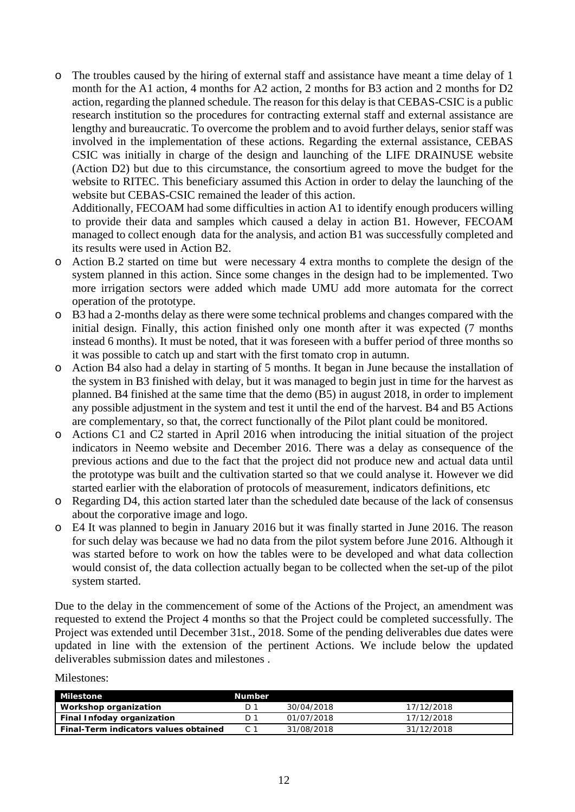o The troubles caused by the hiring of external staff and assistance have meant a time delay of 1 month for the A1 action, 4 months for A2 action, 2 months for B3 action and 2 months for D2 action, regarding the planned schedule. The reason for this delay is that CEBAS-CSIC is a public research institution so the procedures for contracting external staff and external assistance are lengthy and bureaucratic. To overcome the problem and to avoid further delays, senior staff was involved in the implementation of these actions. Regarding the external assistance, CEBAS CSIC was initially in charge of the design and launching of the LIFE DRAINUSE website (Action D2) but due to this circumstance, the consortium agreed to move the budget for the website to RITEC. This beneficiary assumed this Action in order to delay the launching of the website but CEBAS-CSIC remained the leader of this action.

Additionally, FECOAM had some difficulties in action A1 to identify enough producers willing to provide their data and samples which caused a delay in action B1. However, FECOAM managed to collect enough data for the analysis, and action B1 was successfully completed and its results were used in Action B2.

- o Action B.2 started on time but were necessary 4 extra months to complete the design of the system planned in this action. Since some changes in the design had to be implemented. Two more irrigation sectors were added which made UMU add more automata for the correct operation of the prototype.
- o B3 had a 2-months delay as there were some technical problems and changes compared with the initial design. Finally, this action finished only one month after it was expected (7 months instead 6 months). It must be noted, that it was foreseen with a buffer period of three months so it was possible to catch up and start with the first tomato crop in autumn.
- o Action B4 also had a delay in starting of 5 months. It began in June because the installation of the system in B3 finished with delay, but it was managed to begin just in time for the harvest as planned. B4 finished at the same time that the demo (B5) in august 2018, in order to implement any possible adjustment in the system and test it until the end of the harvest. B4 and B5 Actions are complementary, so that, the correct functionally of the Pilot plant could be monitored.
- o Actions C1 and C2 started in April 2016 when introducing the initial situation of the project indicators in Neemo website and December 2016. There was a delay as consequence of the previous actions and due to the fact that the project did not produce new and actual data until the prototype was built and the cultivation started so that we could analyse it. However we did started earlier with the elaboration of protocols of measurement, indicators definitions, etc
- o Regarding D4, this action started later than the scheduled date because of the lack of consensus about the corporative image and logo.
- o E4 It was planned to begin in January 2016 but it was finally started in June 2016. The reason for such delay was because we had no data from the pilot system before June 2016. Although it was started before to work on how the tables were to be developed and what data collection would consist of, the data collection actually began to be collected when the set-up of the pilot system started.

Due to the delay in the commencement of some of the Actions of the Project, an amendment was requested to extend the Project 4 months so that the Project could be completed successfully. The Project was extended until December 31st., 2018. Some of the pending deliverables due dates were updated in line with the extension of the pertinent Actions. We include below the updated deliverables submission dates and milestones .

#### Milestones:

| Milestone                             | <b>Number</b> |            |            |
|---------------------------------------|---------------|------------|------------|
| Workshop organization                 |               | 30/04/2018 | 17/12/2018 |
| Final Infoday organization            | D 1           | 01/07/2018 | 17/12/2018 |
| Final-Term indicators values obtained |               | 31/08/2018 | 31/12/2018 |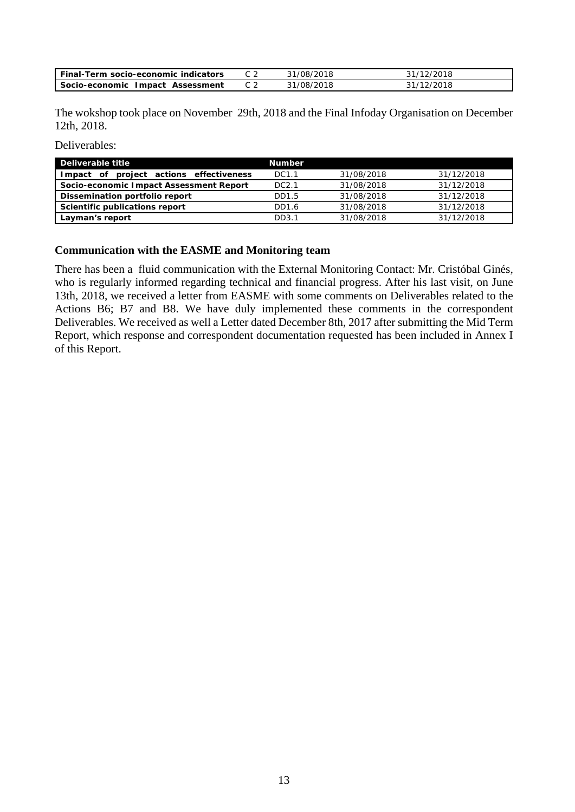| Final-Term socio-economic indicators | 31/08/2018 | 31/12/2018 |
|--------------------------------------|------------|------------|
| Socio-economic Impact Assessment     | 31/08/2018 | 31/12/2018 |

The wokshop took place on November 29th, 2018 and the Final Infoday Organisation on December 12th, 2018.

Deliverables:

| Deliverable title                          | <b>Number</b>      |            |            |
|--------------------------------------------|--------------------|------------|------------|
| project actions effectiveness<br>Impact of | DC1.1              | 31/08/2018 | 31/12/2018 |
| Socio-economic Impact Assessment Report    | DC <sub>2</sub> .1 | 31/08/2018 | 31/12/2018 |
| Dissemination portfolio report             | DD1.5              | 31/08/2018 | 31/12/2018 |
| Scientific publications report             | DD1.6              | 31/08/2018 | 31/12/2018 |
| Layman's report                            | DD3.1              | 31/08/2018 | 31/12/2018 |

#### **Communication with the EASME and Monitoring team**

There has been a fluid communication with the External Monitoring Contact: Mr. Cristóbal Ginés, who is regularly informed regarding technical and financial progress. After his last visit, on June 13th, 2018, we received a letter from EASME with some comments on Deliverables related to the Actions B6; B7 and B8. We have duly implemented these comments in the correspondent Deliverables. We received as well a Letter dated December 8th, 2017 after submitting the Mid Term Report, which response and correspondent documentation requested has been included in Annex I of this Report.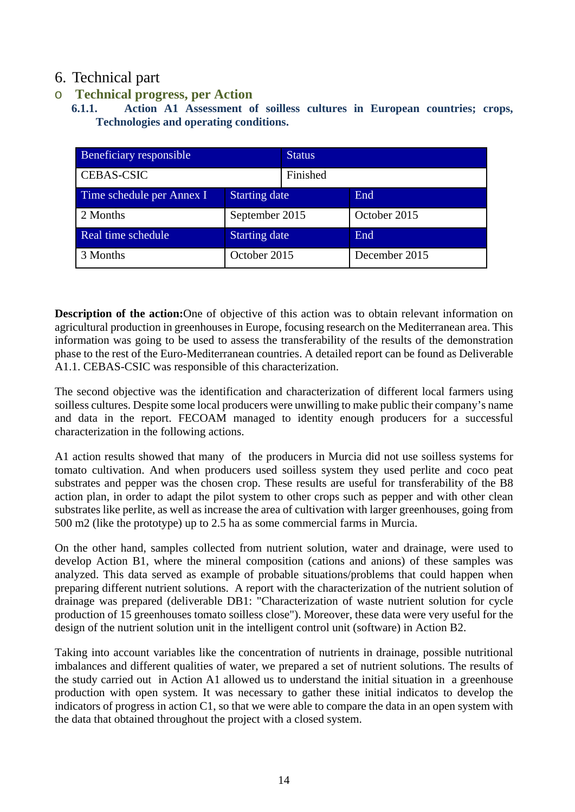# 6. Technical part

o **Technical progress, per Action** 

**<sup>6.1.1.</sup> Action A1 Assessment of soilless cultures in European countries; crops, Technologies and operating conditions.** 

| Beneficiary responsible   |                      | <b>Status</b> |               |
|---------------------------|----------------------|---------------|---------------|
| <b>CEBAS-CSIC</b>         |                      | Finished      |               |
| Time schedule per Annex I | <b>Starting date</b> |               | End           |
| 2 Months                  | September 2015       |               | October 2015  |
| Real time schedule        | <b>Starting date</b> |               | End           |
| 3 Months                  | October 2015         |               | December 2015 |

**Description of the action:**One of objective of this action was to obtain relevant information on agricultural production in greenhouses in Europe, focusing research on the Mediterranean area. This information was going to be used to assess the transferability of the results of the demonstration phase to the rest of the Euro-Mediterranean countries. A detailed report can be found as Deliverable A1.1. CEBAS-CSIC was responsible of this characterization.

The second objective was the identification and characterization of different local farmers using soilless cultures. Despite some local producers were unwilling to make public their company's name and data in the report. FECOAM managed to identity enough producers for a successful characterization in the following actions.

A1 action results showed that many of the producers in Murcia did not use soilless systems for tomato cultivation. And when producers used soilless system they used perlite and coco peat substrates and pepper was the chosen crop. These results are useful for transferability of the B8 action plan, in order to adapt the pilot system to other crops such as pepper and with other clean substrates like perlite, as well as increase the area of cultivation with larger greenhouses, going from 500 m2 (like the prototype) up to 2.5 ha as some commercial farms in Murcia.

On the other hand, samples collected from nutrient solution, water and drainage, were used to develop Action B1, where the mineral composition (cations and anions) of these samples was analyzed. This data served as example of probable situations/problems that could happen when preparing different nutrient solutions. A report with the characterization of the nutrient solution of drainage was prepared (deliverable DB1: "Characterization of waste nutrient solution for cycle production of 15 greenhouses tomato soilless close"). Moreover, these data were very useful for the design of the nutrient solution unit in the intelligent control unit (software) in Action B2.

Taking into account variables like the concentration of nutrients in drainage, possible nutritional imbalances and different qualities of water, we prepared a set of nutrient solutions. The results of the study carried out in Action A1 allowed us to understand the initial situation in a greenhouse production with open system. It was necessary to gather these initial indicatos to develop the indicators of progress in action C1, so that we were able to compare the data in an open system with the data that obtained throughout the project with a closed system.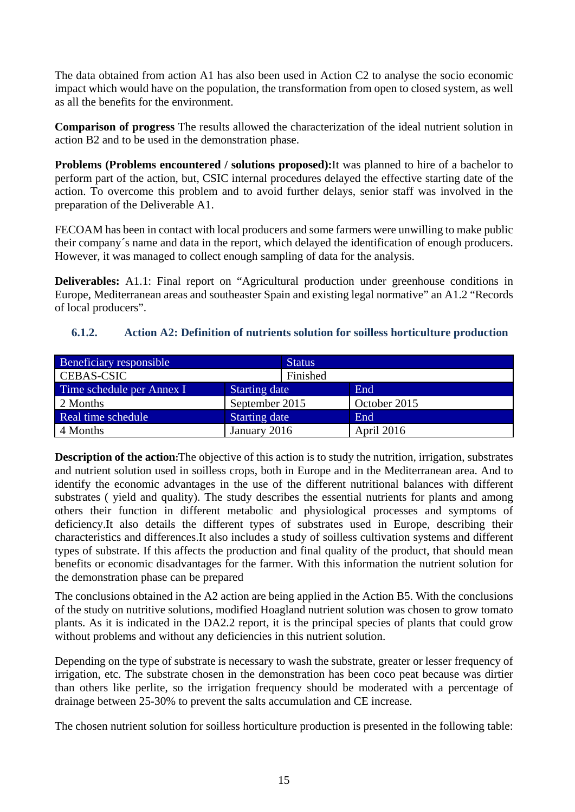The data obtained from action A1 has also been used in Action C2 to analyse the socio economic impact which would have on the population, the transformation from open to closed system, as well as all the benefits for the environment.

**Comparison of progress** The results allowed the characterization of the ideal nutrient solution in action B2 and to be used in the demonstration phase.

**Problems (Problems encountered / solutions proposed):**It was planned to hire of a bachelor to perform part of the action, but, CSIC internal procedures delayed the effective starting date of the action. To overcome this problem and to avoid further delays, senior staff was involved in the preparation of the Deliverable A1.

FECOAM has been in contact with local producers and some farmers were unwilling to make public their company´s name and data in the report, which delayed the identification of enough producers. However, it was managed to collect enough sampling of data for the analysis.

**Deliverables:** A1.1: Final report on "Agricultural production under greenhouse conditions in Europe, Mediterranean areas and southeaster Spain and existing legal normative" an A1.2 "Records of local producers".

### **6.1.2. Action A2: Definition of nutrients solution for soilless horticulture production**

| Beneficiary responsible                           |                      | <b>Status</b> |              |
|---------------------------------------------------|----------------------|---------------|--------------|
| <b>CEBAS-CSIC</b>                                 |                      | Finished      |              |
| Time schedule per Annex I<br><b>Starting date</b> |                      |               | End          |
| 2 Months                                          | September 2015       |               | October 2015 |
| Real time schedule                                | <b>Starting date</b> |               | End          |
| 4 Months                                          | January 2016         |               | April 2016   |

**Description of the action:**The objective of this action is to study the nutrition, irrigation, substrates and nutrient solution used in soilless crops, both in Europe and in the Mediterranean area. And to identify the economic advantages in the use of the different nutritional balances with different substrates ( yield and quality). The study describes the essential nutrients for plants and among others their function in different metabolic and physiological processes and symptoms of deficiency.It also details the different types of substrates used in Europe, describing their characteristics and differences.It also includes a study of soilless cultivation systems and different types of substrate. If this affects the production and final quality of the product, that should mean benefits or economic disadvantages for the farmer. With this information the nutrient solution for the demonstration phase can be prepared

The conclusions obtained in the A2 action are being applied in the Action B5. With the conclusions of the study on nutritive solutions, modified Hoagland nutrient solution was chosen to grow tomato plants. As it is indicated in the DA2.2 report, it is the principal species of plants that could grow without problems and without any deficiencies in this nutrient solution.

Depending on the type of substrate is necessary to wash the substrate, greater or lesser frequency of irrigation, etc. The substrate chosen in the demonstration has been coco peat because was dirtier than others like perlite, so the irrigation frequency should be moderated with a percentage of drainage between 25-30% to prevent the salts accumulation and CE increase.

The chosen nutrient solution for soilless horticulture production is presented in the following table: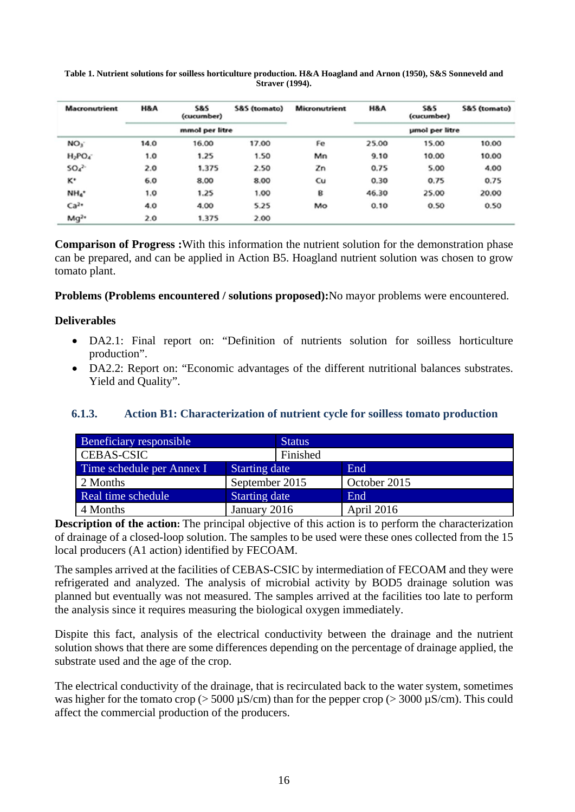| <b>Macronutrient</b> | H&A            | <b>S&amp;S</b><br>(cucumber) | S&S (tomato) | <b>Micronutrient</b> | H&A   | <b>S&amp;S</b><br>(cucumber) | S&S (tomato) |
|----------------------|----------------|------------------------------|--------------|----------------------|-------|------------------------------|--------------|
|                      | mmol per litre |                              |              | umol per litre       |       |                              |              |
| NO <sub>3</sub>      | 14.0           | 16.00                        | 17.00        | Fe                   | 25.00 | 15.00                        | 10.00        |
| $H_2PO_4$            | 1.0            | 1.25                         | 1.50         | Mn                   | 9.10  | 10.00                        | 10.00        |
| $SO_4$ <sup>2-</sup> | 2.0            | 1.375                        | 2.50         | Zn                   | 0.75  | 5.00                         | 4.00         |
| ĸ٠                   | 6.0            | 8.00                         | 8.00         | Cu                   | 0.30  | 0.75                         | 0.75         |
| NH <sub>4</sub> *    | 1.0            | 1.25                         | 1.00         | B                    | 46.30 | 25.00                        | 20.00        |
| Ca <sup>2</sup>      | 4.0            | 4.00                         | 5.25         | Mo                   | 0.10  | 0.50                         | 0.50         |
| $Mg^{2*}$            | 2.0            | 1.375                        | 2.00         |                      |       |                              |              |

#### **Table 1. Nutrient solutions for soilless horticulture production. H&A Hoagland and Arnon (1950), S&S Sonneveld and Straver (1994).**

**Comparison of Progress :**With this information the nutrient solution for the demonstration phase can be prepared, and can be applied in Action B5. Hoagland nutrient solution was chosen to grow tomato plant.

**Problems (Problems encountered / solutions proposed):**No mayor problems were encountered.

### **Deliverables**

- DA2.1: Final report on: "Definition of nutrients solution for soilless horticulture production".
- DA2.2: Report on: "Economic advantages of the different nutritional balances substrates. Yield and Quality".

### **6.1.3. Action B1: Characterization of nutrient cycle for soilless tomato production**

| Beneficiary responsible   | <b>Status</b>        |              |
|---------------------------|----------------------|--------------|
| <b>CEBAS-CSIC</b>         | Finished             |              |
| Time schedule per Annex I | <b>Starting date</b> | End          |
| 2 Months                  | September 2015       | October 2015 |
| Real time schedule        | <b>Starting date</b> | End          |
| 4 Months                  | January 2016         | April 2016   |

**Description of the action:** The principal objective of this action is to perform the characterization of drainage of a closed-loop solution. The samples to be used were these ones collected from the 15 local producers (A1 action) identified by FECOAM.

The samples arrived at the facilities of CEBAS-CSIC by intermediation of FECOAM and they were refrigerated and analyzed. The analysis of microbial activity by BOD5 drainage solution was planned but eventually was not measured. The samples arrived at the facilities too late to perform the analysis since it requires measuring the biological oxygen immediately.

Dispite this fact, analysis of the electrical conductivity between the drainage and the nutrient solution shows that there are some differences depending on the percentage of drainage applied, the substrate used and the age of the crop.

The electrical conductivity of the drainage, that is recirculated back to the water system, sometimes was higher for the tomato crop ( $> 5000 \mu$ S/cm) than for the pepper crop ( $> 3000 \mu$ S/cm). This could affect the commercial production of the producers.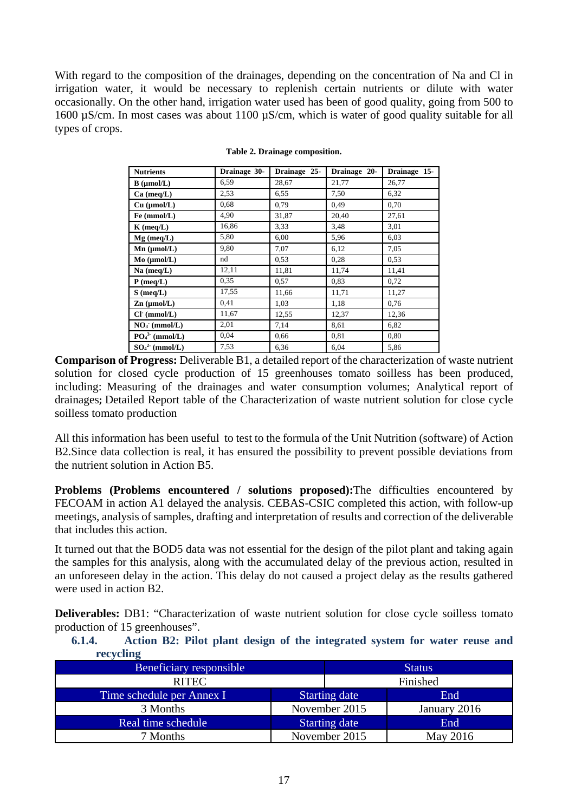With regard to the composition of the drainages, depending on the concentration of Na and Cl in irrigation water, it would be necessary to replenish certain nutrients or dilute with water occasionally. On the other hand, irrigation water used has been of good quality, going from 500 to 1600 µS/cm. In most cases was about 1100 µS/cm, which is water of good quality suitable for all types of crops.

| <b>Nutrients</b>     | Drainage 30- | Drainage 25- | Drainage 20- | Drainage 15- |
|----------------------|--------------|--------------|--------------|--------------|
| $B \text{ (µmol/L)}$ | 6,59         | 28,67        | 21,77        | 26,77        |
| $Ca$ (meq/L)         | 2,53         | 6,55         | 7,50         | 6,32         |
| Cu (µmol/L)          | 0.68         | 0.79         | 0.49         | 0,70         |
| Fe (mmol/L)          | 4,90         | 31,87        | 20,40        | 27,61        |
| $K$ (meq/L)          | 16,86        | 3.33         | 3,48         | 3,01         |
| $Mg$ (meq/L)         | 5,80         | 6,00         | 5,96         | 6.03         |
| $Mn$ ( $\mu$ mol/L)  | 9,80         | 7,07         | 6,12         | 7,05         |
| $Mo$ ( $µmol/L$ )    | nd           | 0,53         | 0,28         | 0.53         |
| Na (meq/L)           | 12,11        | 11,81        | 11,74        | 11,41        |
| $P$ (meq/L)          | 0,35         | 0.57         | 0,83         | 0,72         |
| $S$ (meq/L)          | 17,55        | 11,66        | 11,71        | 11,27        |
| $Zn$ ( $\mu$ mol/L)  | 0.41         | 1,03         | 1,18         | 0,76         |
| $Cl^+(mmol/L)$       | 11,67        | 12,55        | 12,37        | 12,36        |
| $NO3$ (mmol/L)       | 2,01         | 7,14         | 8,61         | 6,82         |
| $PO43$ (mmol/L)      | 0,04         | 0,66         | 0,81         | 0,80         |
| $SO_4^2$ (mmol/L)    | 7.53         | 6,36         | 6,04         | 5,86         |

**Table 2. Drainage composition.** 

**Comparison of Progress:** Deliverable B1, a detailed report of the characterization of waste nutrient solution for closed cycle production of 15 greenhouses tomato soilless has been produced, including: Measuring of the drainages and water consumption volumes; Analytical report of drainages**;** Detailed Report table of the Characterization of waste nutrient solution for close cycle soilless tomato production

All this information has been useful to test to the formula of the Unit Nutrition (software) of Action B2.Since data collection is real, it has ensured the possibility to prevent possible deviations from the nutrient solution in Action B5.

**Problems (Problems encountered / solutions proposed):**The difficulties encountered by FECOAM in action A1 delayed the analysis. CEBAS-CSIC completed this action, with follow-up meetings, analysis of samples, drafting and interpretation of results and correction of the deliverable that includes this action.

It turned out that the BOD5 data was not essential for the design of the pilot plant and taking again the samples for this analysis, along with the accumulated delay of the previous action, resulted in an unforeseen delay in the action. This delay do not caused a project delay as the results gathered were used in action B2.

**Deliverables:** DB1: "Characterization of waste nutrient solution for close cycle soilless tomato production of 15 greenhouses".

**6.1.4. Action B2: Pilot plant design of the integrated system for water reuse and recycling** 

| <b>Beneficiary responsible</b> |                      | <b>Status</b> |
|--------------------------------|----------------------|---------------|
| <b>RITEC</b>                   |                      | Finished      |
| Time schedule per Annex I      | <b>Starting date</b> | End           |
| 3 Months                       | November 2015        | January 2016  |
| Real time schedule             | <b>Starting date</b> | End           |
| 7 Months                       | November 2015        | May 2016      |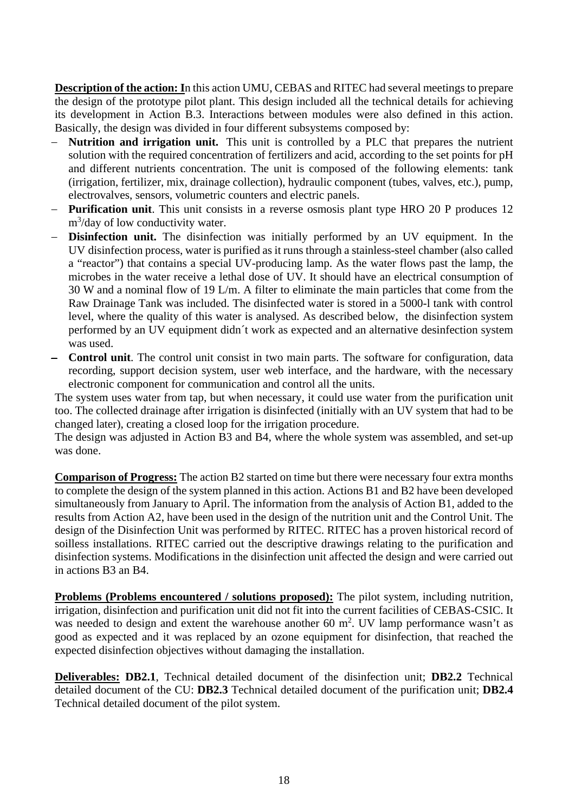**Description of the action: I**n this action UMU, CEBAS and RITEC had several meetings to prepare the design of the prototype pilot plant. This design included all the technical details for achieving its development in Action B.3. Interactions between modules were also defined in this action. Basically, the design was divided in four different subsystems composed by:

- **Nutrition and irrigation unit.** This unit is controlled by a PLC that prepares the nutrient solution with the required concentration of fertilizers and acid, according to the set points for pH and different nutrients concentration. The unit is composed of the following elements: tank (irrigation, fertilizer, mix, drainage collection), hydraulic component (tubes, valves, etc.), pump, electrovalves, sensors, volumetric counters and electric panels.
- **Purification unit**. This unit consists in a reverse osmosis plant type HRO 20 P produces 12 m<sup>3</sup>/day of low conductivity water.
- **Disinfection unit.** The disinfection was initially performed by an UV equipment. In the UV disinfection process, water is purified as it runs through a stainless-steel chamber (also called a "reactor") that contains a special UV-producing lamp. As the water flows past the lamp, the microbes in the water receive a lethal dose of UV. It should have an electrical consumption of 30 W and a nominal flow of 19 L/m. A filter to eliminate the main particles that come from the Raw Drainage Tank was included. The disinfected water is stored in a 5000-l tank with control level, where the quality of this water is analysed. As described below, the disinfection system performed by an UV equipment didn´t work as expected and an alternative desinfection system was used.
- **Control unit**. The control unit consist in two main parts. The software for configuration, data recording, support decision system, user web interface, and the hardware, with the necessary electronic component for communication and control all the units.

The system uses water from tap, but when necessary, it could use water from the purification unit too. The collected drainage after irrigation is disinfected (initially with an UV system that had to be changed later), creating a closed loop for the irrigation procedure.

The design was adjusted in Action B3 and B4, where the whole system was assembled, and set-up was done.

**Comparison of Progress:** The action B2 started on time but there were necessary four extra months to complete the design of the system planned in this action. Actions B1 and B2 have been developed simultaneously from January to April. The information from the analysis of Action B1, added to the results from Action A2, have been used in the design of the nutrition unit and the Control Unit. The design of the Disinfection Unit was performed by RITEC. RITEC has a proven historical record of soilless installations. RITEC carried out the descriptive drawings relating to the purification and disinfection systems. Modifications in the disinfection unit affected the design and were carried out in actions B3 an B4.

**Problems (Problems encountered / solutions proposed):** The pilot system, including nutrition, irrigation, disinfection and purification unit did not fit into the current facilities of CEBAS-CSIC. It was needed to design and extent the warehouse another 60  $m^2$ . UV lamp performance wasn't as good as expected and it was replaced by an ozone equipment for disinfection, that reached the expected disinfection objectives without damaging the installation.

**Deliverables: DB2.1**, Technical detailed document of the disinfection unit; **DB2.2** Technical detailed document of the CU: **DB2.3** Technical detailed document of the purification unit; **DB2.4** Technical detailed document of the pilot system.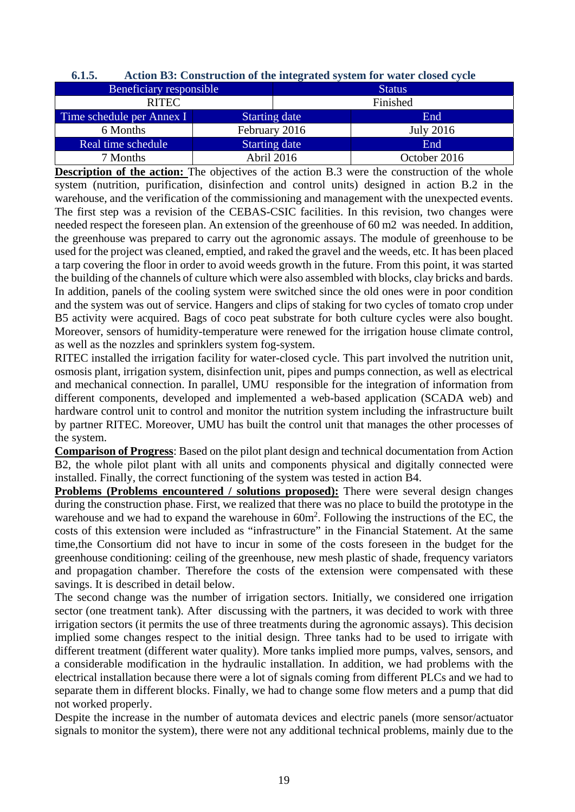| 6.1.5. | Action B3: Construction of the integrated system for water closed cycle |  |
|--------|-------------------------------------------------------------------------|--|
|        |                                                                         |  |

| Beneficiary responsible   |                      | <b>Status</b> |                  |  |
|---------------------------|----------------------|---------------|------------------|--|
| <b>RITEC</b>              |                      | Finished      |                  |  |
| Time schedule per Annex I | <b>Starting date</b> |               | End              |  |
| 6 Months                  | February 2016        |               | <b>July 2016</b> |  |
| Real time schedule        | <b>Starting date</b> |               | End              |  |
| 7 Months                  | Abril 2016           |               | October 2016     |  |

**Description of the action:** The objectives of the action B.3 were the construction of the whole system (nutrition, purification, disinfection and control units) designed in action B.2 in the warehouse, and the verification of the commissioning and management with the unexpected events. The first step was a revision of the CEBAS-CSIC facilities. In this revision, two changes were needed respect the foreseen plan. An extension of the greenhouse of 60 m2 was needed. In addition, the greenhouse was prepared to carry out the agronomic assays. The module of greenhouse to be used for the project was cleaned, emptied, and raked the gravel and the weeds, etc. It has been placed a tarp covering the floor in order to avoid weeds growth in the future. From this point, it was started the building of the channels of culture which were also assembled with blocks, clay bricks and bards. In addition, panels of the cooling system were switched since the old ones were in poor condition and the system was out of service. Hangers and clips of staking for two cycles of tomato crop under B5 activity were acquired. Bags of coco peat substrate for both culture cycles were also bought. Moreover, sensors of humidity-temperature were renewed for the irrigation house climate control, as well as the nozzles and sprinklers system fog-system.

RITEC installed the irrigation facility for water-closed cycle. This part involved the nutrition unit, osmosis plant, irrigation system, disinfection unit, pipes and pumps connection, as well as electrical and mechanical connection. In parallel, UMU responsible for the integration of information from different components, developed and implemented a web-based application (SCADA web) and hardware control unit to control and monitor the nutrition system including the infrastructure built by partner RITEC. Moreover, UMU has built the control unit that manages the other processes of the system.

**Comparison of Progress**: Based on the pilot plant design and technical documentation from Action B2, the whole pilot plant with all units and components physical and digitally connected were installed. Finally, the correct functioning of the system was tested in action B4.

**Problems (Problems encountered / solutions proposed):** There were several design changes during the construction phase. First, we realized that there was no place to build the prototype in the warehouse and we had to expand the warehouse in  $60m^2$ . Following the instructions of the EC, the costs of this extension were included as "infrastructure" in the Financial Statement. At the same time,the Consortium did not have to incur in some of the costs foreseen in the budget for the greenhouse conditioning: ceiling of the greenhouse, new mesh plastic of shade, frequency variators and propagation chamber. Therefore the costs of the extension were compensated with these savings. It is described in detail below.

The second change was the number of irrigation sectors. Initially, we considered one irrigation sector (one treatment tank). After discussing with the partners, it was decided to work with three irrigation sectors (it permits the use of three treatments during the agronomic assays). This decision implied some changes respect to the initial design. Three tanks had to be used to irrigate with different treatment (different water quality). More tanks implied more pumps, valves, sensors, and a considerable modification in the hydraulic installation. In addition, we had problems with the electrical installation because there were a lot of signals coming from different PLCs and we had to separate them in different blocks. Finally, we had to change some flow meters and a pump that did not worked properly.

Despite the increase in the number of automata devices and electric panels (more sensor/actuator signals to monitor the system), there were not any additional technical problems, mainly due to the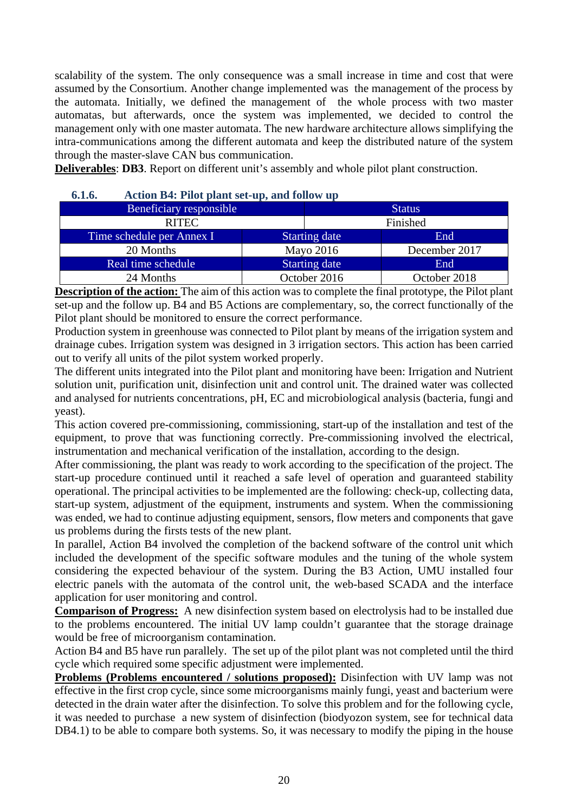scalability of the system. The only consequence was a small increase in time and cost that were assumed by the Consortium. Another change implemented was the management of the process by the automata. Initially, we defined the management of the whole process with two master automatas, but afterwards, once the system was implemented, we decided to control the management only with one master automata. The new hardware architecture allows simplifying the intra-communications among the different automata and keep the distributed nature of the system through the master-slave CAN bus communication.

**Deliverables**: **DB3**. Report on different unit's assembly and whole pilot plant construction.

| v.l.v.<br>Action D <sub>7</sub> . I not plant sct-up, and follow up |  |                      |               |  |  |  |
|---------------------------------------------------------------------|--|----------------------|---------------|--|--|--|
| Beneficiary responsible                                             |  |                      | <b>Status</b> |  |  |  |
| <b>RITEC</b>                                                        |  |                      | Finished      |  |  |  |
| Time schedule per Annex I                                           |  | <b>Starting date</b> | End           |  |  |  |
| 20 Months                                                           |  | Mayo 2016            | December 2017 |  |  |  |
| Real time schedule                                                  |  | <b>Starting date</b> | End           |  |  |  |
| 24 Months                                                           |  | October 2016         | October 2018  |  |  |  |

### **6.1.6. Action B4: Pilot plant set-up, and follow up**

**Description of the action:** The aim of this action was to complete the final prototype, the Pilot plant set-up and the follow up. B4 and B5 Actions are complementary, so, the correct functionally of the Pilot plant should be monitored to ensure the correct performance.

Production system in greenhouse was connected to Pilot plant by means of the irrigation system and drainage cubes. Irrigation system was designed in 3 irrigation sectors. This action has been carried out to verify all units of the pilot system worked properly.

The different units integrated into the Pilot plant and monitoring have been: Irrigation and Nutrient solution unit, purification unit, disinfection unit and control unit. The drained water was collected and analysed for nutrients concentrations, pH, EC and microbiological analysis (bacteria, fungi and yeast).

This action covered pre-commissioning, commissioning, start-up of the installation and test of the equipment, to prove that was functioning correctly. Pre-commissioning involved the electrical, instrumentation and mechanical verification of the installation, according to the design.

After commissioning, the plant was ready to work according to the specification of the project. The start-up procedure continued until it reached a safe level of operation and guaranteed stability operational. The principal activities to be implemented are the following: check-up, collecting data, start-up system, adjustment of the equipment, instruments and system. When the commissioning was ended, we had to continue adjusting equipment, sensors, flow meters and components that gave us problems during the firsts tests of the new plant.

In parallel, Action B4 involved the completion of the backend software of the control unit which included the development of the specific software modules and the tuning of the whole system considering the expected behaviour of the system. During the B3 Action, UMU installed four electric panels with the automata of the control unit, the web-based SCADA and the interface application for user monitoring and control.

**Comparison of Progress:** A new disinfection system based on electrolysis had to be installed due to the problems encountered. The initial UV lamp couldn't guarantee that the storage drainage would be free of microorganism contamination.

Action B4 and B5 have run parallely. The set up of the pilot plant was not completed until the third cycle which required some specific adjustment were implemented.

**Problems (Problems encountered / solutions proposed):** Disinfection with UV lamp was not effective in the first crop cycle, since some microorganisms mainly fungi, yeast and bacterium were detected in the drain water after the disinfection. To solve this problem and for the following cycle, it was needed to purchase a new system of disinfection (biodyozon system, see for technical data DB4.1) to be able to compare both systems. So, it was necessary to modify the piping in the house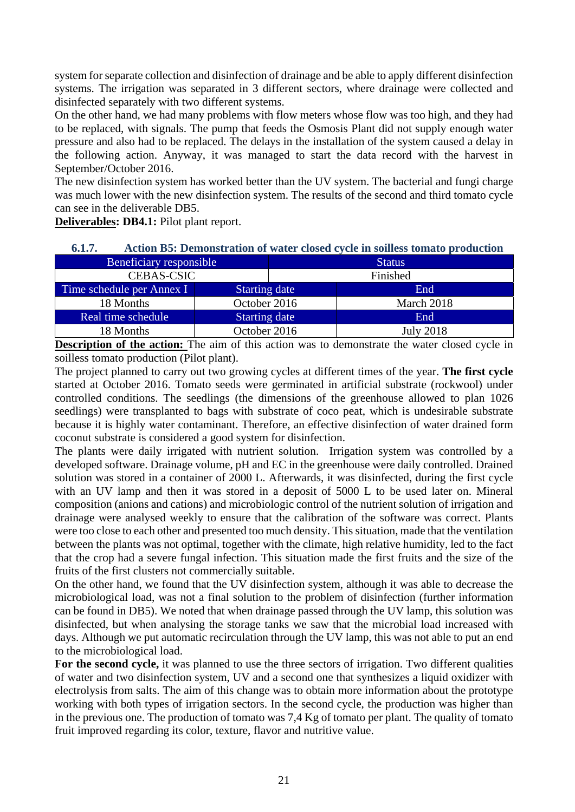system for separate collection and disinfection of drainage and be able to apply different disinfection systems. The irrigation was separated in 3 different sectors, where drainage were collected and disinfected separately with two different systems.

On the other hand, we had many problems with flow meters whose flow was too high, and they had to be replaced, with signals. The pump that feeds the Osmosis Plant did not supply enough water pressure and also had to be replaced. The delays in the installation of the system caused a delay in the following action. Anyway, it was managed to start the data record with the harvest in September/October 2016.

The new disinfection system has worked better than the UV system. The bacterial and fungi charge was much lower with the new disinfection system. The results of the second and third tomato cycle can see in the deliverable DB5.

**Deliverables: DB4.1:** Pilot plant report.

| 6.1.7.                    | Action B5: Demonstration of water closed cycle in soilless tomato production |               |                  |  |  |  |  |  |
|---------------------------|------------------------------------------------------------------------------|---------------|------------------|--|--|--|--|--|
| Beneficiary responsible   |                                                                              | <b>Status</b> |                  |  |  |  |  |  |
| <b>CEBAS-CSIC</b>         |                                                                              |               | Finished         |  |  |  |  |  |
| Time schedule per Annex I | <b>Starting date</b>                                                         |               | End              |  |  |  |  |  |
| 18 Months                 | October 2016                                                                 |               | March 2018       |  |  |  |  |  |
| Real time schedule        | <b>Starting date</b>                                                         |               | End              |  |  |  |  |  |
| 18 Months                 | October 2016                                                                 |               | <b>July 2018</b> |  |  |  |  |  |

**Description of the action:** The aim of this action was to demonstrate the water closed cycle in soilless tomato production (Pilot plant).

The project planned to carry out two growing cycles at different times of the year. **The first cycle**  started at October 2016. Tomato seeds were germinated in artificial substrate (rockwool) under controlled conditions. The seedlings (the dimensions of the greenhouse allowed to plan 1026 seedlings) were transplanted to bags with substrate of coco peat, which is undesirable substrate because it is highly water contaminant. Therefore, an effective disinfection of water drained form coconut substrate is considered a good system for disinfection.

The plants were daily irrigated with nutrient solution. Irrigation system was controlled by a developed software. Drainage volume, pH and EC in the greenhouse were daily controlled. Drained solution was stored in a container of 2000 L. Afterwards, it was disinfected, during the first cycle with an UV lamp and then it was stored in a deposit of 5000 L to be used later on. Mineral composition (anions and cations) and microbiologic control of the nutrient solution of irrigation and drainage were analysed weekly to ensure that the calibration of the software was correct. Plants were too close to each other and presented too much density. This situation, made that the ventilation between the plants was not optimal, together with the climate, high relative humidity, led to the fact that the crop had a severe fungal infection. This situation made the first fruits and the size of the fruits of the first clusters not commercially suitable.

On the other hand, we found that the UV disinfection system, although it was able to decrease the microbiological load, was not a final solution to the problem of disinfection (further information can be found in DB5). We noted that when drainage passed through the UV lamp, this solution was disinfected, but when analysing the storage tanks we saw that the microbial load increased with days. Although we put automatic recirculation through the UV lamp, this was not able to put an end to the microbiological load.

**For the second cycle,** it was planned to use the three sectors of irrigation. Two different qualities of water and two disinfection system, UV and a second one that synthesizes a liquid oxidizer with electrolysis from salts. The aim of this change was to obtain more information about the prototype working with both types of irrigation sectors. In the second cycle, the production was higher than in the previous one. The production of tomato was 7,4 Kg of tomato per plant. The quality of tomato fruit improved regarding its color, texture, flavor and nutritive value.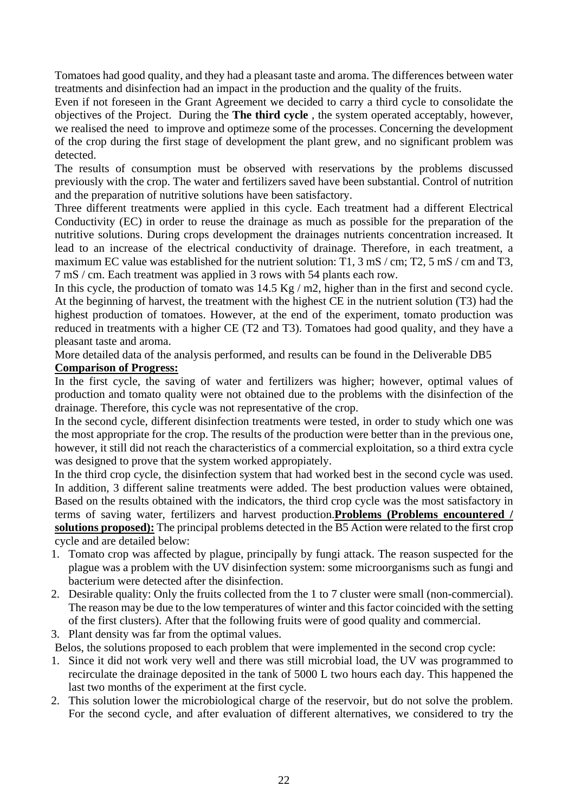Tomatoes had good quality, and they had a pleasant taste and aroma. The differences between water treatments and disinfection had an impact in the production and the quality of the fruits.

Even if not foreseen in the Grant Agreement we decided to carry a third cycle to consolidate the objectives of the Project.During the **The third cycle** , the system operated acceptably, however, we realised the need to improve and optimeze some of the processes. Concerning the development of the crop during the first stage of development the plant grew, and no significant problem was detected.

The results of consumption must be observed with reservations by the problems discussed previously with the crop. The water and fertilizers saved have been substantial. Control of nutrition and the preparation of nutritive solutions have been satisfactory.

Three different treatments were applied in this cycle. Each treatment had a different Electrical Conductivity (EC) in order to reuse the drainage as much as possible for the preparation of the nutritive solutions. During crops development the drainages nutrients concentration increased. It lead to an increase of the electrical conductivity of drainage. Therefore, in each treatment, a maximum EC value was established for the nutrient solution:  $T1$ ,  $3 \text{ mS}$  / cm; T2,  $5 \text{ mS}$  / cm and T3, 7 mS / cm. Each treatment was applied in 3 rows with 54 plants each row.

In this cycle, the production of tomato was 14.5 Kg / m2, higher than in the first and second cycle. At the beginning of harvest, the treatment with the highest CE in the nutrient solution (T3) had the highest production of tomatoes. However, at the end of the experiment, tomato production was reduced in treatments with a higher CE (T2 and T3). Tomatoes had good quality, and they have a pleasant taste and aroma.

More detailed data of the analysis performed, and results can be found in the Deliverable DB5

### **Comparison of Progress:**

In the first cycle, the saving of water and fertilizers was higher; however, optimal values of production and tomato quality were not obtained due to the problems with the disinfection of the drainage. Therefore, this cycle was not representative of the crop.

In the second cycle, different disinfection treatments were tested, in order to study which one was the most appropriate for the crop. The results of the production were better than in the previous one, however, it still did not reach the characteristics of a commercial exploitation, so a third extra cycle was designed to prove that the system worked appropiately.

In the third crop cycle, the disinfection system that had worked best in the second cycle was used. In addition, 3 different saline treatments were added. The best production values were obtained, Based on the results obtained with the indicators, the third crop cycle was the most satisfactory in terms of saving water, fertilizers and harvest production.**Problems (Problems encountered / solutions proposed):** The principal problems detected in the B5 Action were related to the first crop cycle and are detailed below:

- 1. Tomato crop was affected by plague, principally by fungi attack. The reason suspected for the plague was a problem with the UV disinfection system: some microorganisms such as fungi and bacterium were detected after the disinfection.
- 2. Desirable quality: Only the fruits collected from the 1 to 7 cluster were small (non-commercial). The reason may be due to the low temperatures of winter and this factor coincided with the setting of the first clusters). After that the following fruits were of good quality and commercial.
- 3. Plant density was far from the optimal values.

Belos, the solutions proposed to each problem that were implemented in the second crop cycle:

- 1. Since it did not work very well and there was still microbial load, the UV was programmed to recirculate the drainage deposited in the tank of 5000 L two hours each day. This happened the last two months of the experiment at the first cycle.
- 2. This solution lower the microbiological charge of the reservoir, but do not solve the problem. For the second cycle, and after evaluation of different alternatives, we considered to try the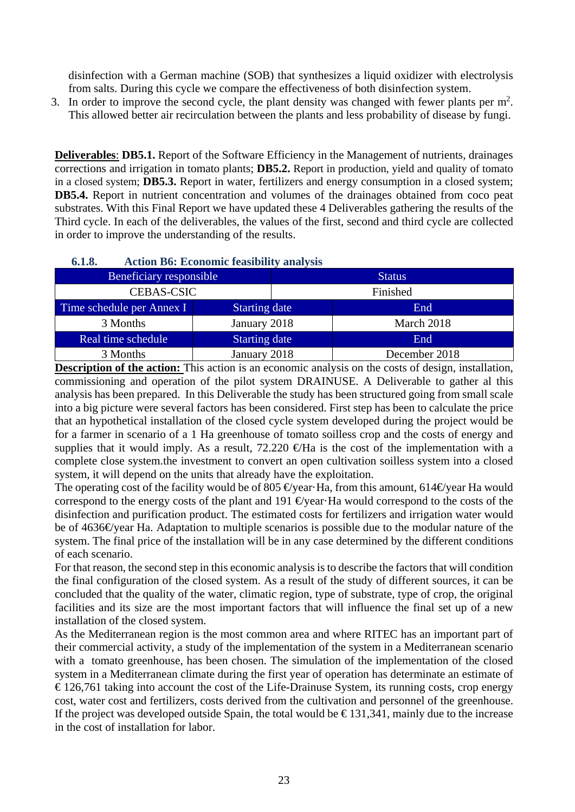disinfection with a German machine (SOB) that synthesizes a liquid oxidizer with electrolysis from salts. During this cycle we compare the effectiveness of both disinfection system.

3. In order to improve the second cycle, the plant density was changed with fewer plants per  $m<sup>2</sup>$ . This allowed better air recirculation between the plants and less probability of disease by fungi.

**Deliverables**: **DB5.1.** Report of the Software Efficiency in the Management of nutrients, drainages corrections and irrigation in tomato plants; **DB5.2.** Report in production, yield and quality of tomato in a closed system; **DB5.3.** Report in water, fertilizers and energy consumption in a closed system; **DB5.4.** Report in nutrient concentration and volumes of the drainages obtained from coco peat substrates. With this Final Report we have updated these 4 Deliverables gathering the results of the Third cycle. In each of the deliverables, the values of the first, second and third cycle are collected in order to improve the understanding of the results.

| Beneficiary responsible   |                      | <b>Status</b> |               |  |
|---------------------------|----------------------|---------------|---------------|--|
| <b>CEBAS-CSIC</b>         |                      | Finished      |               |  |
| Time schedule per Annex I | <b>Starting date</b> |               | End           |  |
| 3 Months                  | January 2018         |               | March 2018    |  |
| Real time schedule        | <b>Starting date</b> |               | End           |  |
| 3 Months                  | January 2018         |               | December 2018 |  |

### **6.1.8. Action B6: Economic feasibility analysis**

**Description of the action:** This action is an economic analysis on the costs of design, installation, commissioning and operation of the pilot system DRAINUSE. A Deliverable to gather al this analysis has been prepared. In this Deliverable the study has been structured going from small scale into a big picture were several factors has been considered. First step has been to calculate the price that an hypothetical installation of the closed cycle system developed during the project would be for a farmer in scenario of a 1 Ha greenhouse of tomato soilless crop and the costs of energy and supplies that it would imply. As a result,  $72.220 \text{ } \text{#Ha}$  is the cost of the implementation with a complete close system.the investment to convert an open cultivation soilless system into a closed system, it will depend on the units that already have the exploitation.

The operating cost of the facility would be of 805 €year Ha, from this amount, 614 € year Ha would correspond to the energy costs of the plant and 191  $\Theta$ year $\cdot$ Ha would correspond to the costs of the disinfection and purification product. The estimated costs for fertilizers and irrigation water would be of 4636€/year Ha. Adaptation to multiple scenarios is possible due to the modular nature of the system. The final price of the installation will be in any case determined by the different conditions of each scenario.

For that reason, the second step in this economic analysis is to describe the factors that will condition the final configuration of the closed system. As a result of the study of different sources, it can be concluded that the quality of the water, climatic region, type of substrate, type of crop, the original facilities and its size are the most important factors that will influence the final set up of a new installation of the closed system.

As the Mediterranean region is the most common area and where RITEC has an important part of their commercial activity, a study of the implementation of the system in a Mediterranean scenario with a tomato greenhouse, has been chosen. The simulation of the implementation of the closed system in a Mediterranean climate during the first year of operation has determinate an estimate of  $\epsilon$  126,761 taking into account the cost of the Life-Drainuse System, its running costs, crop energy cost, water cost and fertilizers, costs derived from the cultivation and personnel of the greenhouse. If the project was developed outside Spain, the total would be  $\epsilon$ 131,341, mainly due to the increase in the cost of installation for labor.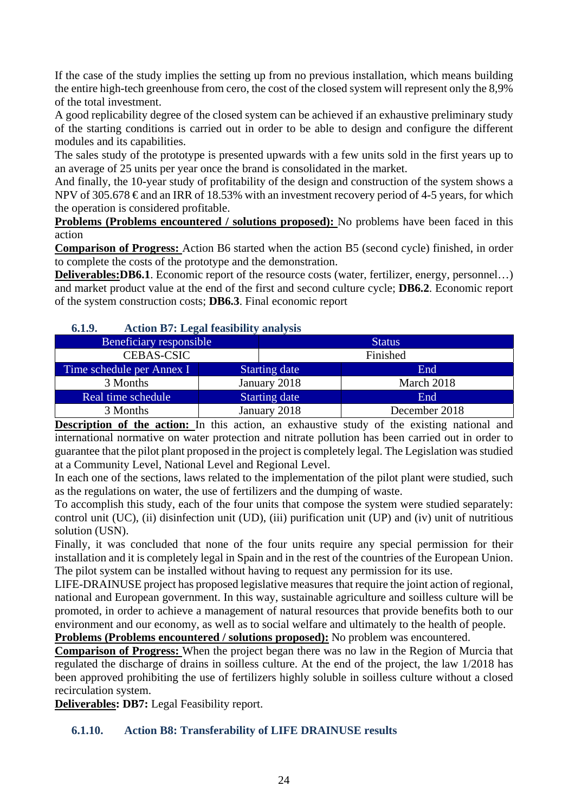If the case of the study implies the setting up from no previous installation, which means building the entire high-tech greenhouse from cero, the cost of the closed system will represent only the 8,9% of the total investment.

A good replicability degree of the closed system can be achieved if an exhaustive preliminary study of the starting conditions is carried out in order to be able to design and configure the different modules and its capabilities.

The sales study of the prototype is presented upwards with a few units sold in the first years up to an average of 25 units per year once the brand is consolidated in the market.

And finally, the 10-year study of profitability of the design and construction of the system shows a NPV of 305.678  $\epsilon$  and an IRR of 18.53% with an investment recovery period of 4-5 years, for which the operation is considered profitable.

**Problems (Problems encountered / solutions proposed):** No problems have been faced in this action

**Comparison of Progress:** Action B6 started when the action B5 (second cycle) finished, in order to complete the costs of the prototype and the demonstration.

**Deliverables:DB6.1**. Economic report of the resource costs (water, fertilizer, energy, personnel...) and market product value at the end of the first and second culture cycle; **DB6.2**. Economic report of the system construction costs; **DB6.3**. Final economic report

### **6.1.9. Action B7: Legal feasibility analysis**

| Beneficiary responsible   |                      | <b>Status</b> |               |  |  |
|---------------------------|----------------------|---------------|---------------|--|--|
| <b>CEBAS-CSIC</b>         |                      |               | Finished      |  |  |
| Time schedule per Annex I | <b>Starting date</b> |               | End           |  |  |
| 3 Months                  | January 2018         |               | March 2018    |  |  |
| Real time schedule        | <b>Starting date</b> |               | End           |  |  |
| 3 Months                  |                      | January 2018  | December 2018 |  |  |

**Description of the action:** In this action, an exhaustive study of the existing national and international normative on water protection and nitrate pollution has been carried out in order to guarantee that the pilot plant proposed in the project is completely legal. The Legislation was studied at a Community Level, National Level and Regional Level.

In each one of the sections, laws related to the implementation of the pilot plant were studied, such as the regulations on water, the use of fertilizers and the dumping of waste.

To accomplish this study, each of the four units that compose the system were studied separately: control unit (UC), (ii) disinfection unit (UD), (iii) purification unit (UP) and (iv) unit of nutritious solution (USN).

Finally, it was concluded that none of the four units require any special permission for their installation and it is completely legal in Spain and in the rest of the countries of the European Union. The pilot system can be installed without having to request any permission for its use.

LIFE-DRAINUSE project has proposed legislative measures that require the joint action of regional, national and European government. In this way, sustainable agriculture and soilless culture will be promoted, in order to achieve a management of natural resources that provide benefits both to our environment and our economy, as well as to social welfare and ultimately to the health of people. **Problems (Problems encountered / solutions proposed):** No problem was encountered.

**Comparison of Progress:** When the project began there was no law in the Region of Murcia that regulated the discharge of drains in soilless culture. At the end of the project, the law 1/2018 has been approved prohibiting the use of fertilizers highly soluble in soilless culture without a closed recirculation system.

**Deliverables: DB7:** Legal Feasibility report.

### **6.1.10. Action B8: Transferability of LIFE DRAINUSE results**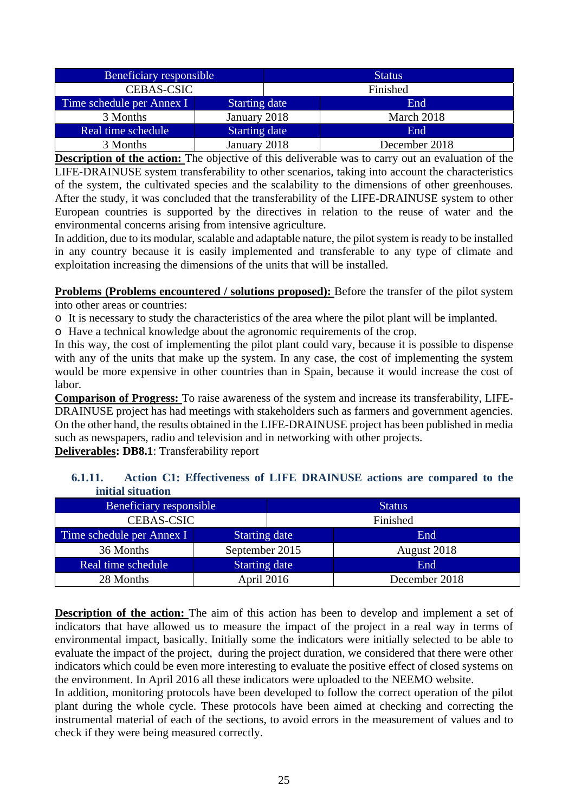| Beneficiary responsible   |                      | <b>Status</b> |               |  |
|---------------------------|----------------------|---------------|---------------|--|
| <b>CEBAS-CSIC</b>         |                      |               | Finished      |  |
| Time schedule per Annex I | <b>Starting date</b> |               | End           |  |
| 3 Months                  | January 2018         |               | March 2018    |  |
| Real time schedule        | <b>Starting date</b> |               | End.          |  |
| 3 Months                  | January 2018         |               | December 2018 |  |

**Description of the action:** The objective of this deliverable was to carry out an evaluation of the LIFE-DRAINUSE system transferability to other scenarios, taking into account the characteristics of the system, the cultivated species and the scalability to the dimensions of other greenhouses. After the study, it was concluded that the transferability of the LIFE-DRAINUSE system to other European countries is supported by the directives in relation to the reuse of water and the environmental concerns arising from intensive agriculture.

In addition, due to its modular, scalable and adaptable nature, the pilot system is ready to be installed in any country because it is easily implemented and transferable to any type of climate and exploitation increasing the dimensions of the units that will be installed.

**Problems (Problems encountered / solutions proposed):** Before the transfer of the pilot system into other areas or countries:

o It is necessary to study the characteristics of the area where the pilot plant will be implanted.

o Have a technical knowledge about the agronomic requirements of the crop.

In this way, the cost of implementing the pilot plant could vary, because it is possible to dispense with any of the units that make up the system. In any case, the cost of implementing the system would be more expensive in other countries than in Spain, because it would increase the cost of labor.

**Comparison of Progress:** To raise awareness of the system and increase its transferability, LIFE-DRAINUSE project has had meetings with stakeholders such as farmers and government agencies. On the other hand, the results obtained in the LIFE-DRAINUSE project has been published in media such as newspapers, radio and television and in networking with other projects.

**Deliverables: DB8.1**: Transferability report

| 6.1.11. |                   | Action C1: Effectiveness of LIFE DRAINUSE actions are compared to the |  |  |  |
|---------|-------------------|-----------------------------------------------------------------------|--|--|--|
|         | initial situation |                                                                       |  |  |  |
|         |                   |                                                                       |  |  |  |

| Beneficiary responsible   |                      |          | <b>Status</b> |  |  |
|---------------------------|----------------------|----------|---------------|--|--|
| <b>CEBAS-CSIC</b>         |                      | Finished |               |  |  |
| Time schedule per Annex I | <b>Starting date</b> |          | End           |  |  |
| 36 Months                 | September 2015       |          | August 2018   |  |  |
| Real time schedule        | <b>Starting date</b> |          | End           |  |  |
| 28 Months                 | April 2016           |          | December 2018 |  |  |

**Description of the action:** The aim of this action has been to develop and implement a set of indicators that have allowed us to measure the impact of the project in a real way in terms of environmental impact, basically. Initially some the indicators were initially selected to be able to evaluate the impact of the project, during the project duration, we considered that there were other indicators which could be even more interesting to evaluate the positive effect of closed systems on the environment. In April 2016 all these indicators were uploaded to the NEEMO website.

In addition, monitoring protocols have been developed to follow the correct operation of the pilot plant during the whole cycle. These protocols have been aimed at checking and correcting the instrumental material of each of the sections, to avoid errors in the measurement of values and to check if they were being measured correctly.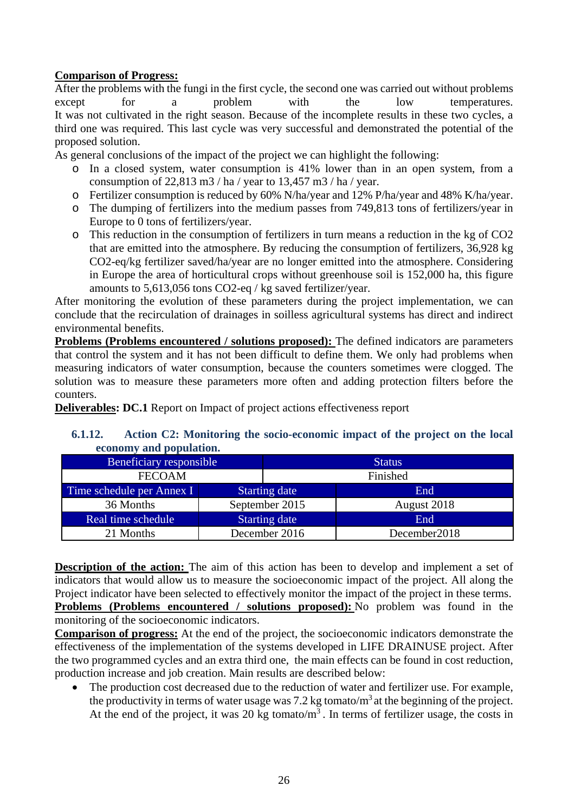### **Comparison of Progress:**

After the problems with the fungi in the first cycle, the second one was carried out without problems except for a problem with the low temperatures. It was not cultivated in the right season. Because of the incomplete results in these two cycles, a third one was required. This last cycle was very successful and demonstrated the potential of the proposed solution.

As general conclusions of the impact of the project we can highlight the following:

- o In a closed system, water consumption is 41% lower than in an open system, from a consumption of 22,813 m3 / ha / year to 13,457 m3 / ha / year.
- o Fertilizer consumption is reduced by 60% N/ha/year and 12% P/ha/year and 48% K/ha/year.
- o The dumping of fertilizers into the medium passes from 749,813 tons of fertilizers/year in Europe to 0 tons of fertilizers/year.
- o This reduction in the consumption of fertilizers in turn means a reduction in the kg of CO2 that are emitted into the atmosphere. By reducing the consumption of fertilizers, 36,928 kg CO2-eq/kg fertilizer saved/ha/year are no longer emitted into the atmosphere. Considering in Europe the area of horticultural crops without greenhouse soil is 152,000 ha, this figure amounts to 5,613,056 tons CO2-eq / kg saved fertilizer/year.

After monitoring the evolution of these parameters during the project implementation, we can conclude that the recirculation of drainages in soilless agricultural systems has direct and indirect environmental benefits.

**Problems (Problems encountered / solutions proposed):** The defined indicators are parameters that control the system and it has not been difficult to define them. We only had problems when measuring indicators of water consumption, because the counters sometimes were clogged. The solution was to measure these parameters more often and adding protection filters before the counters.

**Deliverables: DC.1** Report on Impact of project actions effectiveness report

### **6.1.12. Action C2: Monitoring the socio-economic impact of the project on the local economy and population.**

| Beneficiary responsible   |                      |          | <b>Status</b> |
|---------------------------|----------------------|----------|---------------|
| <b>FECOAM</b>             |                      | Finished |               |
| Time schedule per Annex I | <b>Starting date</b> |          | End           |
| 36 Months                 | September 2015       |          | August 2018   |
| Real time schedule        | <b>Starting date</b> |          | End           |
| 21 Months                 | December 2016        |          | December 2018 |

**Description of the action:** The aim of this action has been to develop and implement a set of indicators that would allow us to measure the socioeconomic impact of the project. All along the Project indicator have been selected to effectively monitor the impact of the project in these terms. **Problems (Problems encountered / solutions proposed):** No problem was found in the monitoring of the socioeconomic indicators.

**Comparison of progress:** At the end of the project, the socioeconomic indicators demonstrate the effectiveness of the implementation of the systems developed in LIFE DRAINUSE project. After the two programmed cycles and an extra third one, the main effects can be found in cost reduction, production increase and job creation. Main results are described below:

• The production cost decreased due to the reduction of water and fertilizer use. For example, the productivity in terms of water usage was 7.2 kg tomato/ $m<sup>3</sup>$  at the beginning of the project. At the end of the project, it was 20 kg tomato/ $m<sup>3</sup>$ . In terms of fertilizer usage, the costs in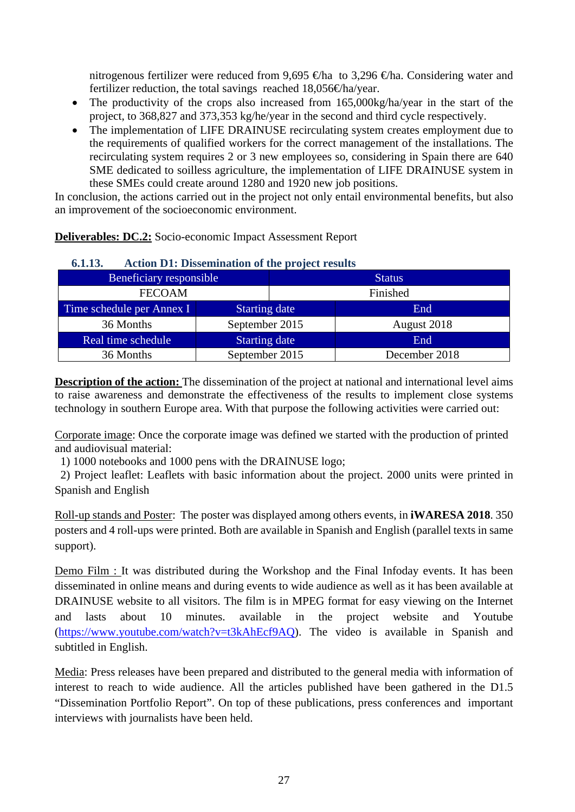nitrogenous fertilizer were reduced from 9,695  $\oplus$ ha to 3,296  $\oplus$ ha. Considering water and fertilizer reduction, the total savings reached 18,056€ha/year.

- The productivity of the crops also increased from 165,000kg/ha/year in the start of the project, to 368,827 and 373,353 kg/he/year in the second and third cycle respectively.
- The implementation of LIFE DRAINUSE recirculating system creates employment due to the requirements of qualified workers for the correct management of the installations. The recirculating system requires 2 or 3 new employees so, considering in Spain there are 640 SME dedicated to soilless agriculture, the implementation of LIFE DRAINUSE system in these SMEs could create around 1280 and 1920 new job positions.

In conclusion, the actions carried out in the project not only entail environmental benefits, but also an improvement of the socioeconomic environment.

**Deliverables: DC.2:** Socio-economic Impact Assessment Report

| 0.1.13.<br>Action D1: Dissemination of the project results |                      |          |               |  |  |  |  |
|------------------------------------------------------------|----------------------|----------|---------------|--|--|--|--|
| Beneficiary responsible                                    |                      |          | <b>Status</b> |  |  |  |  |
| <b>FECOAM</b>                                              |                      | Finished |               |  |  |  |  |
| Time schedule per Annex I                                  | <b>Starting date</b> |          | End           |  |  |  |  |
| 36 Months                                                  | September 2015       |          | August 2018   |  |  |  |  |
| Real time schedule                                         | <b>Starting date</b> |          | End           |  |  |  |  |
| 36 Months                                                  | September 2015       |          | December 2018 |  |  |  |  |

# **6.1.13. Action D1: Dissemination of the project results**

**Description of the action:** The dissemination of the project at national and international level aims to raise awareness and demonstrate the effectiveness of the results to implement close systems technology in southern Europe area. With that purpose the following activities were carried out:

Corporate image: Once the corporate image was defined we started with the production of printed and audiovisual material:

1) 1000 notebooks and 1000 pens with the DRAINUSE logo;

 2) Project leaflet: Leaflets with basic information about the project. 2000 units were printed in Spanish and English

Roll-up stands and Poster: The poster was displayed among others events, in **iWARESA 2018**. 350 posters and 4 roll-ups were printed. Both are available in Spanish and English (parallel texts in same support).

Demo Film : It was distributed during the Workshop and the Final Infoday events. It has been disseminated in online means and during events to wide audience as well as it has been available at DRAINUSE website to all visitors. The film is in MPEG format for easy viewing on the Internet and lasts about 10 minutes. available in the project website and Youtube (https://www.youtube.com/watch?v=t3kAhEcf9AQ). The video is available in Spanish and subtitled in English.

Media: Press releases have been prepared and distributed to the general media with information of interest to reach to wide audience. All the articles published have been gathered in the D1.5 "Dissemination Portfolio Report". On top of these publications, press conferences and important interviews with journalists have been held.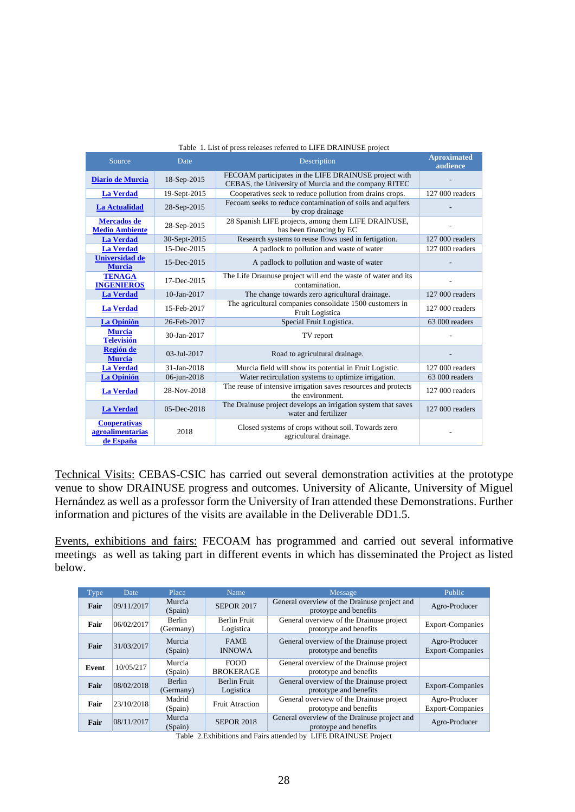| Source                                               | Date            | Description                                                                                                    | <b>Aproximated</b><br>audience |
|------------------------------------------------------|-----------------|----------------------------------------------------------------------------------------------------------------|--------------------------------|
| Diario de Murcia                                     | 18-Sep-2015     | FECOAM participates in the LIFE DRAINUSE project with<br>CEBAS, the University of Murcia and the company RITEC |                                |
| <b>La Verdad</b>                                     | 19-Sept-2015    | Cooperatives seek to reduce pollution from drains crops.                                                       | 127 000 readers                |
| La Actualidad                                        | 28-Sep-2015     | Fecoam seeks to reduce contamination of soils and aquifers<br>by crop drainage                                 |                                |
| <b>Mercados</b> de<br><b>Medio Ambiente</b>          | 28-Sep-2015     | 28 Spanish LIFE projects, among them LIFE DRAINUSE,<br>has been financing by EC                                |                                |
| <b>La Verdad</b>                                     | 30-Sept-2015    | Research systems to reuse flows used in fertigation.                                                           | 127 000 readers                |
| <b>La Verdad</b>                                     | 15-Dec-2015     | A padlock to pollution and waste of water                                                                      | 127 000 readers                |
| <b>Universidad de</b><br><b>Murcia</b>               | 15-Dec-2015     | A padlock to pollution and waste of water                                                                      |                                |
| <b>TENAGA</b><br><b>INGENIEROS</b>                   | 17-Dec-2015     | The Life Draunuse project will end the waste of water and its<br>contamination.                                |                                |
| <b>La Verdad</b>                                     | 10-Jan-2017     | The change towards zero agricultural drainage.                                                                 | 127 000 readers                |
| <b>La Verdad</b>                                     | 15-Feb-2017     | The agricultural companies consolidate 1500 customers in<br>Fruit Logistica                                    | 127 000 readers                |
| La Opinión                                           | 26-Feb-2017     | Special Fruit Logistica.                                                                                       | 63 000 readers                 |
| <b>Murcia</b><br><b>Televisión</b>                   | 30-Jan-2017     | TV report                                                                                                      |                                |
| <b>Región de</b><br><b>Murcia</b>                    | $03 -$ Jul-2017 | Road to agricultural drainage.                                                                                 |                                |
| <b>La Verdad</b>                                     | 31-Jan-2018     | Murcia field will show its potential in Fruit Logistic.                                                        | 127 000 readers                |
| <b>La Opinión</b>                                    | 06-jun-2018     | Water recirculation systems to optimize irrigation.                                                            | 63 000 readers                 |
| <b>La Verdad</b>                                     | 28-Nov-2018     | The reuse of intensive irrigation saves resources and protects<br>the environment.                             | 127 000 readers                |
| <b>La Verdad</b>                                     | $05$ -Dec-2018  | The Drainuse project develops an irrigation system that saves<br>water and fertilizer                          | 127 000 readers                |
| <b>Cooperativas</b><br>agroalimentarias<br>de España | 2018            | Closed systems of crops without soil. Towards zero<br>agricultural drainage.                                   |                                |

#### Table 1. List of press releases referred to LIFE DRAINUSE project

Technical Visits: CEBAS-CSIC has carried out several demonstration activities at the prototype venue to show DRAINUSE progress and outcomes. University of Alicante, University of Miguel Hernández as well as a professor form the University of Iran attended these Demonstrations. Further information and pictures of the visits are available in the Deliverable DD1.5.

Events, exhibitions and fairs: FECOAM has programmed and carried out several informative meetings as well as taking part in different events in which has disseminated the Project as listed below.

| Type  | Date       | Place               | Name                             | <b>Message</b>                                                        | Public                                   |
|-------|------------|---------------------|----------------------------------|-----------------------------------------------------------------------|------------------------------------------|
| Fair  | 09/11/2017 | Murcia<br>(Spain)   | <b>SEPOR 2017</b>                | General overview of the Drainuse project and<br>protovpe and benefits | Agro-Producer                            |
| Fair  | 06/02/2017 | Berlin<br>(Germany) | Berlin Fruit<br>Logistica        | General overview of the Drainuse project<br>prototype and benefits    | <b>Export-Companies</b>                  |
| Fair  | 31/03/2017 | Murcia<br>(Spain)   | <b>FAME</b><br><b>INNOWA</b>     | General overview of the Drainuse project<br>prototype and benefits    | Agro-Producer<br><b>Export-Companies</b> |
| Event | 10/05/217  | Murcia<br>(Spain)   | <b>FOOD</b><br><b>BROKERAGE</b>  | General overview of the Drainuse project<br>prototype and benefits    |                                          |
| Fair  | 08/02/2018 | Berlin<br>(Germany) | <b>Berlin Fruit</b><br>Logistica | General overview of the Drainuse project<br>prototype and benefits    | Export-Companies                         |
| Fair  | 23/10/2018 | Madrid<br>(Spain)   | <b>Fruit Atraction</b>           | General overview of the Drainuse project<br>prototype and benefits    | Agro-Producer<br><b>Export-Companies</b> |
| Fair  | 08/11/2017 | Murcia<br>(Spain)   | <b>SEPOR 2018</b>                | General overview of the Drainuse project and<br>protoype and benefits | Agro-Producer                            |

Table 2.Exhibitions and Fairs attended by LIFE DRAINUSE Project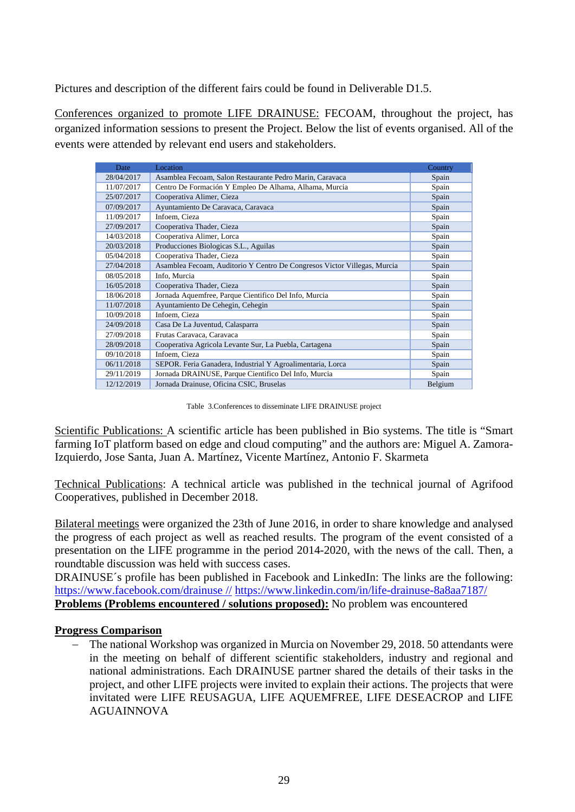Pictures and description of the different fairs could be found in Deliverable D1.5.

Conferences organized to promote LIFE DRAINUSE: FECOAM, throughout the project, has organized information sessions to present the Project. Below the list of events organised. All of the events were attended by relevant end users and stakeholders.

| Date       | Location                                                                 | Country |
|------------|--------------------------------------------------------------------------|---------|
| 28/04/2017 | Asamblea Fecoam, Salon Restaurante Pedro Marin, Caravaca                 | Spain   |
| 11/07/2017 | Centro De Formación Y Empleo De Alhama, Alhama, Murcia                   | Spain   |
| 25/07/2017 | Cooperativa Alimer, Cieza                                                | Spain   |
| 07/09/2017 | Ayuntamiento De Caravaca, Caravaca                                       | Spain   |
| 11/09/2017 | Infoem, Cieza                                                            | Spain   |
| 27/09/2017 | Cooperativa Thader, Cieza                                                | Spain   |
| 14/03/2018 | Cooperativa Alimer, Lorca                                                | Spain   |
| 20/03/2018 | Producciones Biologicas S.L., Aguilas                                    | Spain   |
| 05/04/2018 | Cooperativa Thader, Cieza                                                | Spain   |
| 27/04/2018 | Asamblea Fecoam, Auditorio Y Centro De Congresos Victor Villegas, Murcia | Spain   |
| 08/05/2018 | Info. Murcia                                                             | Spain   |
| 16/05/2018 | Cooperativa Thader, Cieza                                                | Spain   |
| 18/06/2018 | Jornada Aquemfree, Parque Científico Del Info, Murcia                    | Spain   |
| 11/07/2018 | Ayuntamiento De Cehegin, Cehegin                                         | Spain   |
| 10/09/2018 | Infoem, Cieza                                                            | Spain   |
| 24/09/2018 | Casa De La Juventud, Calasparra                                          | Spain   |
| 27/09/2018 | Frutas Caravaca, Caravaca                                                | Spain   |
| 28/09/2018 | Cooperativa Agricola Levante Sur, La Puebla, Cartagena                   | Spain   |
| 09/10/2018 | Infoem, Cieza                                                            | Spain   |
| 06/11/2018 | SEPOR. Feria Ganadera, Industrial Y Agroalimentaria, Lorca               | Spain   |
| 29/11/2019 | Jornada DRAINUSE, Parque Cientifico Del Info, Murcia                     | Spain   |
| 12/12/2019 | Jornada Drainuse, Oficina CSIC, Bruselas                                 | Belgium |

Table 3.Conferences to disseminate LIFE DRAINUSE project

Scientific Publications: A scientific article has been published in Bio systems. The title is "Smart" farming IoT platform based on edge and cloud computing" and the authors are: Miguel A. Zamora-Izquierdo, Jose Santa, Juan A. Martínez, Vicente Martínez, Antonio F. Skarmeta

Technical Publications: A technical article was published in the technical journal of Agrifood Cooperatives, published in December 2018.

Bilateral meetings were organized the 23th of June 2016, in order to share knowledge and analysed the progress of each project as well as reached results. The program of the event consisted of a presentation on the LIFE programme in the period 2014-2020, with the news of the call. Then, a roundtable discussion was held with success cases.

DRAINUSE´s profile has been published in Facebook and LinkedIn: The links are the following: https://www.facebook.com/drainuse // https://www.linkedin.com/in/life-drainuse-8a8aa7187/ **Problems (Problems encountered / solutions proposed):** No problem was encountered

### **Progress Comparison**

 The national Workshop was organized in Murcia on November 29, 2018. 50 attendants were in the meeting on behalf of different scientific stakeholders, industry and regional and national administrations. Each DRAINUSE partner shared the details of their tasks in the project, and other LIFE projects were invited to explain their actions. The projects that were invitated were LIFE REUSAGUA, LIFE AQUEMFREE, LIFE DESEACROP and LIFE AGUAINNOVA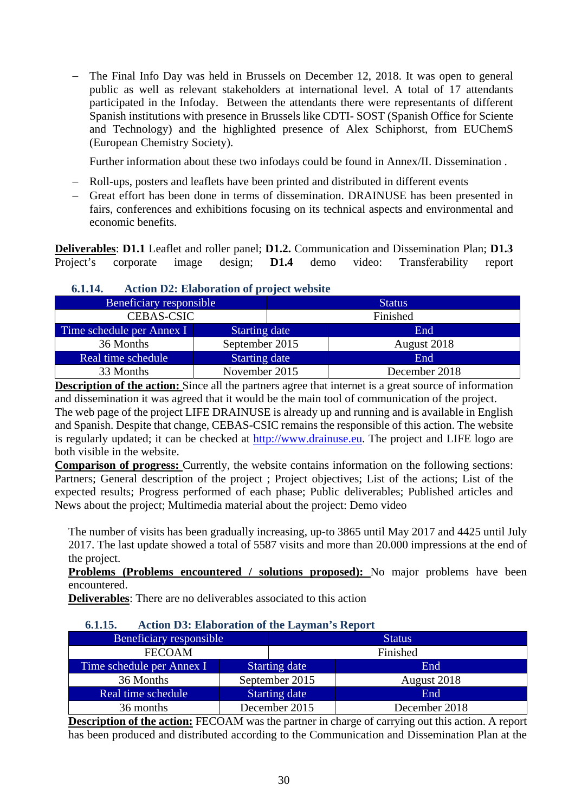The Final Info Day was held in Brussels on December 12, 2018. It was open to general public as well as relevant stakeholders at international level. A total of 17 attendants participated in the Infoday. Between the attendants there were representants of different Spanish institutions with presence in Brussels like CDTI- SOST (Spanish Office for Sciente and Technology) and the highlighted presence of Alex Schiphorst, from EUChemS (European Chemistry Society).

Further information about these two infodays could be found in Annex/II. Dissemination .

- Roll-ups, posters and leaflets have been printed and distributed in different events
- Great effort has been done in terms of dissemination. DRAINUSE has been presented in fairs, conferences and exhibitions focusing on its technical aspects and environmental and economic benefits.

**Deliverables**: **D1.1** Leaflet and roller panel; **D1.2.** Communication and Dissemination Plan; **D1.3** Project's corporate image design; **D1.4** demo video: Transferability report

| V.L.LT.                        | Action D2, Elaboration of project website |          |               |  |  |  |  |
|--------------------------------|-------------------------------------------|----------|---------------|--|--|--|--|
| <b>Beneficiary responsible</b> |                                           |          | <b>Status</b> |  |  |  |  |
| <b>CEBAS-CSIC</b>              |                                           | Finished |               |  |  |  |  |
| Time schedule per Annex I      | <b>Starting date</b>                      |          | End           |  |  |  |  |
| 36 Months                      | September 2015                            |          | August 2018   |  |  |  |  |
| Real time schedule             | <b>Starting date</b>                      |          | End           |  |  |  |  |
| 33 Months                      | November 2015                             |          | December 2018 |  |  |  |  |

### **6.1.14. Action D2: Elaboration of project website**

**Description of the action:** Since all the partners agree that internet is a great source of information and dissemination it was agreed that it would be the main tool of communication of the project. The web page of the project LIFE DRAINUSE is already up and running and is available in English and Spanish. Despite that change, CEBAS-CSIC remains the responsible of this action. The website is regularly updated; it can be checked at http://www.drainuse.eu. The project and LIFE logo are both visible in the website.

**Comparison of progress:** Currently, the website contains information on the following sections: Partners; General description of the project ; Project objectives; List of the actions; List of the expected results; Progress performed of each phase; Public deliverables; Published articles and News about the project; Multimedia material about the project: Demo video

The number of visits has been gradually increasing, up-to 3865 until May 2017 and 4425 until July 2017. The last update showed a total of 5587 visits and more than 20.000 impressions at the end of the project.

**Problems (Problems encountered / solutions proposed):** No major problems have been encountered.

**Deliverables**: There are no deliverables associated to this action

### **6.1.15. Action D3: Elaboration of the Layman's Report**

| Beneficiary responsible   |                | <b>Status</b> |               |
|---------------------------|----------------|---------------|---------------|
| <b>FECOAM</b>             |                | Finished      |               |
| Time schedule per Annex I | Starting date  |               | End           |
| 36 Months                 | September 2015 |               | August 2018   |
| Real time schedule        | Starting date  |               | End           |
| 36 months                 |                | December 2015 | December 2018 |

**Description of the action:** FECOAM was the partner in charge of carrying out this action. A report has been produced and distributed according to the Communication and Dissemination Plan at the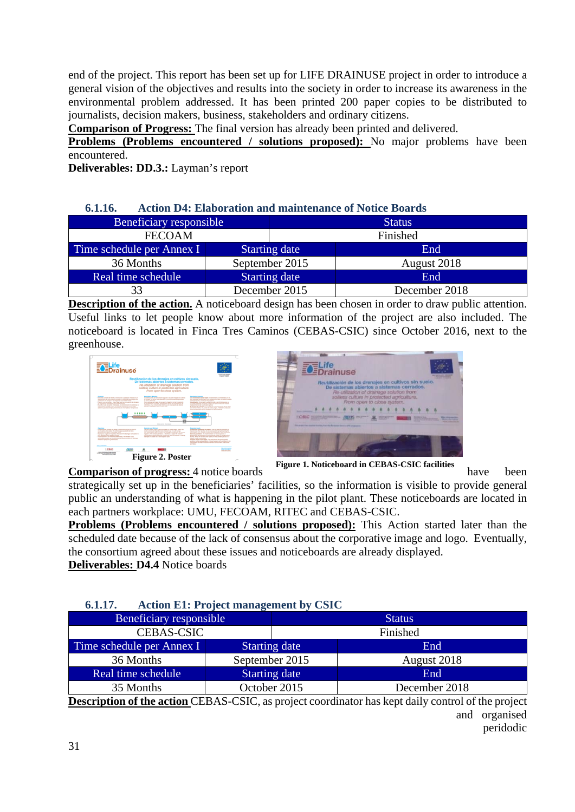end of the project. This report has been set up for LIFE DRAINUSE project in order to introduce a general vision of the objectives and results into the society in order to increase its awareness in the environmental problem addressed. It has been printed 200 paper copies to be distributed to journalists, decision makers, business, stakeholders and ordinary citizens.

**Comparison of Progress:** The final version has already been printed and delivered.

**Problems (Problems encountered / solutions proposed):** No major problems have been encountered.

**Deliverables: DD.3.:** Layman's report

### **6.1.16. Action D4: Elaboration and maintenance of Notice Boards**

| Beneficiary responsible   |                      | <b>Status</b> |               |  |
|---------------------------|----------------------|---------------|---------------|--|
| <b>FECOAM</b>             |                      | Finished      |               |  |
| Time schedule per Annex I | <b>Starting date</b> |               | End           |  |
| 36 Months                 | September 2015       |               | August 2018   |  |
| Real time schedule        | <b>Starting date</b> |               | End           |  |
|                           |                      | December 2015 | December 2018 |  |

**Description of the action.** A noticeboard design has been chosen in order to draw public attention. Useful links to let people know about more information of the project are also included. The noticeboard is located in Finca Tres Caminos (CEBAS-CSIC) since October 2016, next to the greenhouse.





**Comparison of progress:** 4 notice boards have been

strategically set up in the beneficiaries' facilities, so the information is visible to provide general public an understanding of what is happening in the pilot plant. These noticeboards are located in each partners workplace: UMU, FECOAM, RITEC and CEBAS-CSIC.

**Problems (Problems encountered / solutions proposed):** This Action started later than the scheduled date because of the lack of consensus about the corporative image and logo. Eventually, the consortium agreed about these issues and noticeboards are already displayed.

**Deliverables: D4.4** Notice boards

### **6.1.17. Action E1: Project management by CSIC**

| Beneficiary responsible   |                      | <b>Status</b> |                                                                                                            |  |
|---------------------------|----------------------|---------------|------------------------------------------------------------------------------------------------------------|--|
| <b>CEBAS-CSIC</b>         |                      | Finished      |                                                                                                            |  |
| Time schedule per Annex I | <b>Starting date</b> |               | End                                                                                                        |  |
| 36 Months                 | September 2015       |               | August 2018                                                                                                |  |
| Real time schedule        | <b>Starting date</b> |               | End                                                                                                        |  |
| 35 Months                 | October 2015         |               | December 2018                                                                                              |  |
|                           |                      |               | <b>Description of the ection CEDAS CSIC</b> as project esserting tor hes kept deily control of the project |  |

**Description of the action** CEBAS-CSIC, as project coordinator has kept daily control of the project and organised peridodic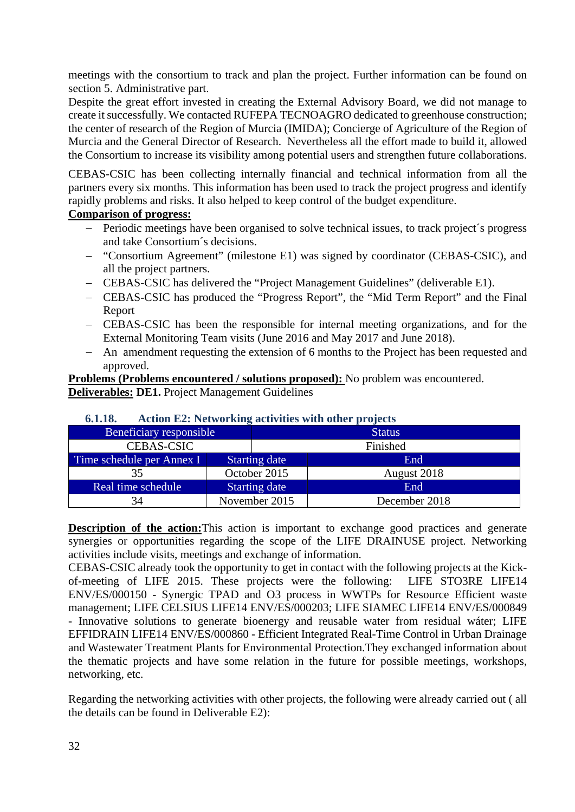meetings with the consortium to track and plan the project. Further information can be found on section 5. Administrative part.

Despite the great effort invested in creating the External Advisory Board, we did not manage to create it successfully. We contacted RUFEPA TECNOAGRO dedicated to greenhouse construction; the center of research of the Region of Murcia (IMIDA); Concierge of Agriculture of the Region of Murcia and the General Director of Research. Nevertheless all the effort made to build it, allowed the Consortium to increase its visibility among potential users and strengthen future collaborations.

CEBAS-CSIC has been collecting internally financial and technical information from all the partners every six months. This information has been used to track the project progress and identify rapidly problems and risks. It also helped to keep control of the budget expenditure.

## **Comparison of progress:**

- Periodic meetings have been organised to solve technical issues, to track project´s progress and take Consortium´s decisions.
- "Consortium Agreement" (milestone E1) was signed by coordinator (CEBAS-CSIC), and all the project partners.
- CEBAS-CSIC has delivered the "Project Management Guidelines" (deliverable E1).
- CEBAS-CSIC has produced the "Progress Report", the "Mid Term Report" and the Final Report
- CEBAS-CSIC has been the responsible for internal meeting organizations, and for the External Monitoring Team visits (June 2016 and May 2017 and June 2018).
- An amendment requesting the extension of 6 months to the Project has been requested and approved.

**Problems (Problems encountered / solutions proposed):** No problem was encountered. **Deliverables: DE1.** Project Management Guidelines

| $v_{\bullet}$ . $v_{\bullet}$ | Action 122. INTERNATING activities with other projects |          |               |  |  |  |
|-------------------------------|--------------------------------------------------------|----------|---------------|--|--|--|
| Beneficiary responsible       |                                                        |          | <b>Status</b> |  |  |  |
| <b>CEBAS-CSIC</b>             |                                                        | Finished |               |  |  |  |
| Time schedule per Annex I     | <b>Starting date</b>                                   |          | End           |  |  |  |
| 35                            | October 2015                                           |          | August 2018   |  |  |  |
| Real time schedule            | <b>Starting date</b>                                   |          | End           |  |  |  |
| 34                            | November 2015                                          |          | December 2018 |  |  |  |

## **6.1.18. Action E2: Networking activities with other projects**

**Description of the action:**This action is important to exchange good practices and generate synergies or opportunities regarding the scope of the LIFE DRAINUSE project. Networking activities include visits, meetings and exchange of information.

CEBAS-CSIC already took the opportunity to get in contact with the following projects at the Kickof-meeting of LIFE 2015. These projects were the following: LIFE STO3RE LIFE14 ENV/ES/000150 - Synergic TPAD and O3 process in WWTPs for Resource Efficient waste management; LIFE CELSIUS LIFE14 ENV/ES/000203; LIFE SIAMEC LIFE14 ENV/ES/000849 - Innovative solutions to generate bioenergy and reusable water from residual wáter; LIFE EFFIDRAIN LIFE14 ENV/ES/000860 - Efficient Integrated Real-Time Control in Urban Drainage and Wastewater Treatment Plants for Environmental Protection.They exchanged information about the thematic projects and have some relation in the future for possible meetings, workshops, networking, etc.

Regarding the networking activities with other projects, the following were already carried out ( all the details can be found in Deliverable E2):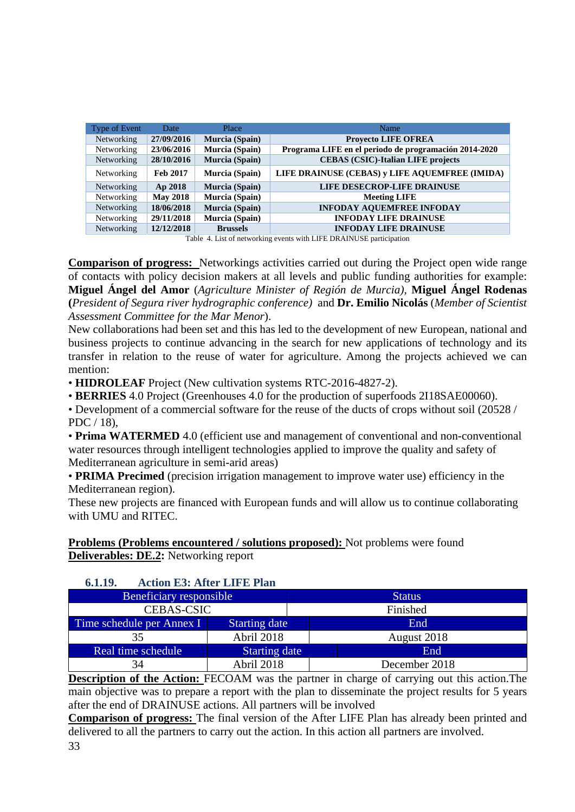| <b>Type of Event</b> | Date            | Place           | <b>Name</b>                                           |
|----------------------|-----------------|-----------------|-------------------------------------------------------|
| Networking           | 27/09/2016      | Murcia (Spain)  | <b>Provecto LIFE OFREA</b>                            |
| Networking           | 23/06/2016      | Murcia (Spain)  | Programa LIFE en el periodo de programación 2014-2020 |
| Networking           | 28/10/2016      | Murcia (Spain)  | <b>CEBAS (CSIC)-Italian LIFE projects</b>             |
| Networking           | <b>Feb 2017</b> | Murcia (Spain)  | LIFE DRAINUSE (CEBAS) v LIFE AQUEMFREE (IMIDA)        |
| Networking           | Ap 2018         | Murcia (Spain)  | LIFE DESECROP-LIFE DRAINUSE                           |
| Networking           | <b>May 2018</b> | Murcia (Spain)  | <b>Meeting LIFE</b>                                   |
| Networking           | 18/06/2018      | Murcia (Spain)  | <b>INFODAY AQUEMFREE INFODAY</b>                      |
| Networking           | 29/11/2018      | Murcia (Spain)  | <b>INFODAY LIFE DRAINUSE</b>                          |
| Networking           | 12/12/2018      | <b>Brussels</b> | <b>INFODAY LIFE DRAINUSE</b>                          |

Table 4. List of networking events with LIFE DRAINUSE participation

**Comparison of progress:** Networkings activities carried out during the Project open wide range of contacts with policy decision makers at all levels and public funding authorities for example: **Miguel Ángel del Amor** (*Agriculture Minister of Región de Murcia)*, **Miguel Ángel Rodenas (***President of Segura river hydrographic conference)* and **Dr. Emilio Nicolás** (*Member of Scientist Assessment Committee for the Mar Menor*).

New collaborations had been set and this has led to the development of new European, national and business projects to continue advancing in the search for new applications of technology and its transfer in relation to the reuse of water for agriculture. Among the projects achieved we can mention:

• **HIDROLEAF** Project (New cultivation systems RTC-2016-4827-2).

• **BERRIES** 4.0 Project (Greenhouses 4.0 for the production of superfoods 2I18SAE00060).

• Development of a commercial software for the reuse of the ducts of crops without soil (20528 / PDC / 18),

• **Prima WATERMED** 4.0 (efficient use and management of conventional and non-conventional water resources through intelligent technologies applied to improve the quality and safety of Mediterranean agriculture in semi-arid areas)

• **PRIMA Precimed** (precision irrigation management to improve water use) efficiency in the Mediterranean region).

These new projects are financed with European funds and will allow us to continue collaborating with UMU and RITEC.

**Problems (Problems encountered / solutions proposed):** Not problems were found **Deliverables: DE.2:** Networking report

### **6.1.19. Action E3: After LIFE Plan**

| Beneficiary responsible   |                      | <b>Status</b> |  |
|---------------------------|----------------------|---------------|--|
| <b>CEBAS-CSIC</b>         |                      | Finished      |  |
| Time schedule per Annex I | <b>Starting date</b> | End           |  |
| 35                        | Abril 2018           | August 2018   |  |
| Real time schedule        | <b>Starting date</b> | End           |  |
| 34                        | Abril 2018           | December 2018 |  |

**Description of the Action:** FECOAM was the partner in charge of carrying out this action. The main objective was to prepare a report with the plan to disseminate the project results for 5 years after the end of DRAINUSE actions. All partners will be involved

**Comparison of progress:** The final version of the After LIFE Plan has already been printed and delivered to all the partners to carry out the action. In this action all partners are involved.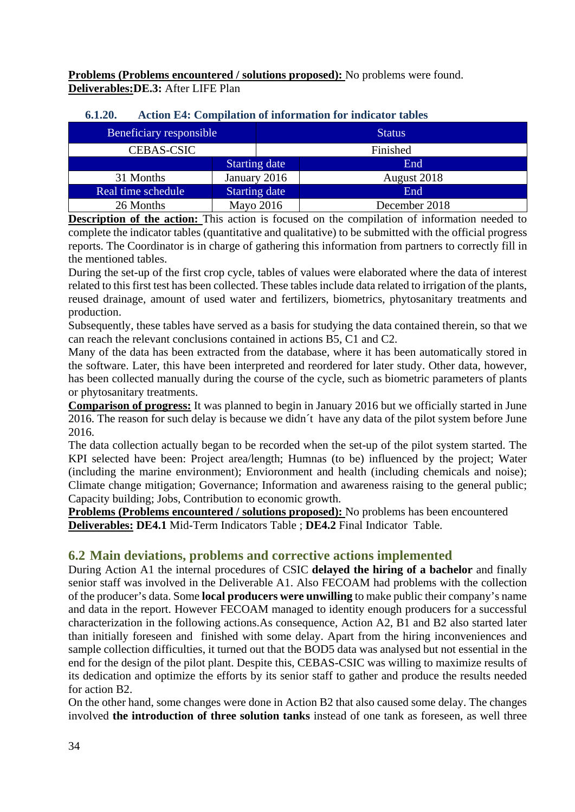**Problems (Problems encountered / solutions proposed):** No problems were found. **Deliverables:DE.3:** After LIFE Plan

| <b>Beneficiary responsible</b> |                      | <b>Status</b> |  |
|--------------------------------|----------------------|---------------|--|
| <b>CEBAS-CSIC</b>              |                      | Finished      |  |
|                                | <b>Starting date</b> | End           |  |
| 31 Months                      | January 2016         | August 2018   |  |
| Real time schedule             | <b>Starting date</b> | End           |  |
| 26 Months                      | Mayo 2016            | December 2018 |  |

### **6.1.20. Action E4: Compilation of information for indicator tables**

**Description of the action:** This action is focused on the compilation of information needed to complete the indicator tables (quantitative and qualitative) to be submitted with the official progress reports. The Coordinator is in charge of gathering this information from partners to correctly fill in the mentioned tables.

During the set-up of the first crop cycle, tables of values were elaborated where the data of interest related to this first test has been collected. These tables include data related to irrigation of the plants, reused drainage, amount of used water and fertilizers, biometrics, phytosanitary treatments and production.

Subsequently, these tables have served as a basis for studying the data contained therein, so that we can reach the relevant conclusions contained in actions B5, C1 and C2.

Many of the data has been extracted from the database, where it has been automatically stored in the software. Later, this have been interpreted and reordered for later study. Other data, however, has been collected manually during the course of the cycle, such as biometric parameters of plants or phytosanitary treatments.

**Comparison of progress:** It was planned to begin in January 2016 but we officially started in June 2016. The reason for such delay is because we didn't have any data of the pilot system before June 2016.

The data collection actually began to be recorded when the set-up of the pilot system started. The KPI selected have been: Project area/length; Humnas (to be) influenced by the project; Water (including the marine environment); Envioronment and health (including chemicals and noise); Climate change mitigation; Governance; Information and awareness raising to the general public; Capacity building; Jobs, Contribution to economic growth.

**Problems (Problems encountered / solutions proposed):** No problems has been encountered **Deliverables: DE4.1** Mid-Term Indicators Table ; **DE4.2** Final Indicator Table.

# **6.2 Main deviations, problems and corrective actions implemented**

During Action A1 the internal procedures of CSIC **delayed the hiring of a bachelor** and finally senior staff was involved in the Deliverable A1. Also FECOAM had problems with the collection of the producer's data. Some **local producers were unwilling** to make public their company's name and data in the report. However FECOAM managed to identity enough producers for a successful characterization in the following actions.As consequence, Action A2, B1 and B2 also started later than initially foreseen and finished with some delay. Apart from the hiring inconveniences and sample collection difficulties, it turned out that the BOD5 data was analysed but not essential in the end for the design of the pilot plant. Despite this, CEBAS-CSIC was willing to maximize results of its dedication and optimize the efforts by its senior staff to gather and produce the results needed for action B2.

On the other hand, some changes were done in Action B2 that also caused some delay. The changes involved **the introduction of three solution tanks** instead of one tank as foreseen, as well three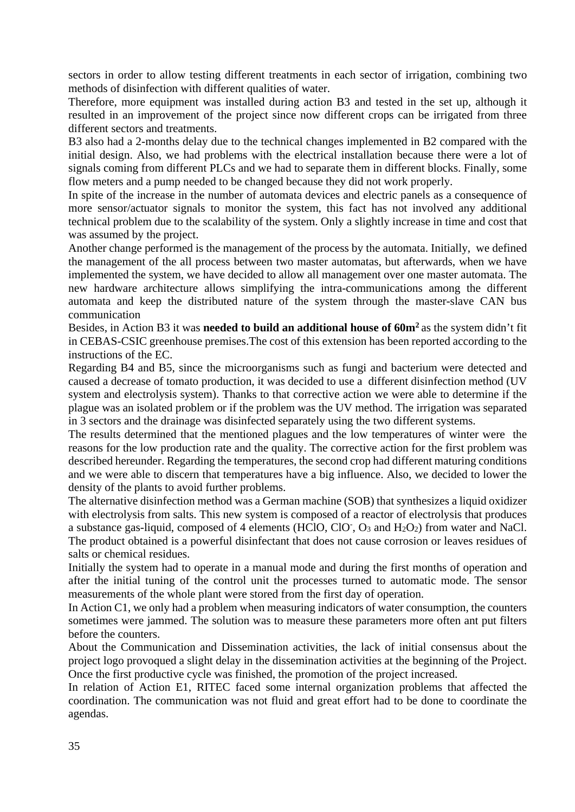sectors in order to allow testing different treatments in each sector of irrigation, combining two methods of disinfection with different qualities of water.

Therefore, more equipment was installed during action B3 and tested in the set up, although it resulted in an improvement of the project since now different crops can be irrigated from three different sectors and treatments.

B3 also had a 2-months delay due to the technical changes implemented in B2 compared with the initial design. Also, we had problems with the electrical installation because there were a lot of signals coming from different PLCs and we had to separate them in different blocks. Finally, some flow meters and a pump needed to be changed because they did not work properly.

In spite of the increase in the number of automata devices and electric panels as a consequence of more sensor/actuator signals to monitor the system, this fact has not involved any additional technical problem due to the scalability of the system. Only a slightly increase in time and cost that was assumed by the project.

Another change performed is the management of the process by the automata. Initially, we defined the management of the all process between two master automatas, but afterwards, when we have implemented the system, we have decided to allow all management over one master automata. The new hardware architecture allows simplifying the intra-communications among the different automata and keep the distributed nature of the system through the master-slave CAN bus communication

Besides, in Action B3 it was **needed to build an additional house of 60m2** as the system didn't fit in CEBAS-CSIC greenhouse premises.The cost of this extension has been reported according to the instructions of the EC.

Regarding B4 and B5, since the microorganisms such as fungi and bacterium were detected and caused a decrease of tomato production, it was decided to use a different disinfection method (UV system and electrolysis system). Thanks to that corrective action we were able to determine if the plague was an isolated problem or if the problem was the UV method. The irrigation was separated in 3 sectors and the drainage was disinfected separately using the two different systems.

The results determined that the mentioned plagues and the low temperatures of winter were the reasons for the low production rate and the quality. The corrective action for the first problem was described hereunder. Regarding the temperatures, the second crop had different maturing conditions and we were able to discern that temperatures have a big influence. Also, we decided to lower the density of the plants to avoid further problems.

The alternative disinfection method was a German machine (SOB) that synthesizes a liquid oxidizer with electrolysis from salts. This new system is composed of a reactor of electrolysis that produces a substance gas-liquid, composed of 4 elements (HClO, ClO, O<sub>3</sub> and H<sub>2</sub>O<sub>2</sub>) from water and NaCl. The product obtained is a powerful disinfectant that does not cause corrosion or leaves residues of salts or chemical residues.

Initially the system had to operate in a manual mode and during the first months of operation and after the initial tuning of the control unit the processes turned to automatic mode. The sensor measurements of the whole plant were stored from the first day of operation.

In Action C1, we only had a problem when measuring indicators of water consumption, the counters sometimes were jammed. The solution was to measure these parameters more often ant put filters before the counters.

About the Communication and Dissemination activities, the lack of initial consensus about the project logo provoqued a slight delay in the dissemination activities at the beginning of the Project. Once the first productive cycle was finished, the promotion of the project increased.

In relation of Action E1, RITEC faced some internal organization problems that affected the coordination. The communication was not fluid and great effort had to be done to coordinate the agendas.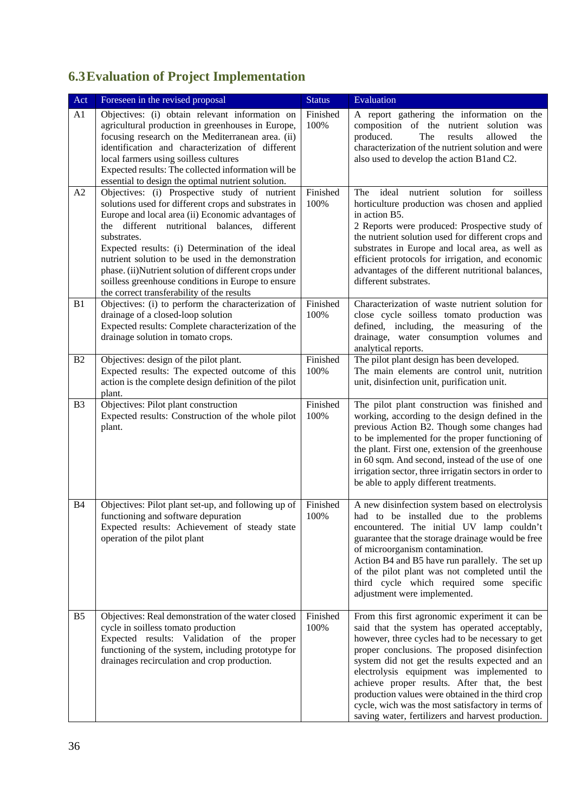# **6.3Evaluation of Project Implementation**

| Act            | Foreseen in the revised proposal                                                                                                                                                                                                                                                                                                                                                                                                                                                                    | <b>Status</b>    | Evaluation                                                                                                                                                                                                                                                                                                                                                                                                                                                                                                         |
|----------------|-----------------------------------------------------------------------------------------------------------------------------------------------------------------------------------------------------------------------------------------------------------------------------------------------------------------------------------------------------------------------------------------------------------------------------------------------------------------------------------------------------|------------------|--------------------------------------------------------------------------------------------------------------------------------------------------------------------------------------------------------------------------------------------------------------------------------------------------------------------------------------------------------------------------------------------------------------------------------------------------------------------------------------------------------------------|
| A1             | Objectives: (i) obtain relevant information on<br>agricultural production in greenhouses in Europe,<br>focusing research on the Mediterranean area. (ii)<br>identification and characterization of different<br>local farmers using soilless cultures<br>Expected results: The collected information will be<br>essential to design the optimal nutrient solution.                                                                                                                                  | Finished<br>100% | A report gathering the information on the<br>composition of the nutrient solution was<br>The<br>allowed<br>produced.<br>results<br>the<br>characterization of the nutrient solution and were<br>also used to develop the action B1 and C2.                                                                                                                                                                                                                                                                         |
| A2             | Objectives: (i) Prospective study of nutrient<br>solutions used for different crops and substrates in<br>Europe and local area (ii) Economic advantages of<br>the different nutritional balances,<br>different<br>substrates.<br>Expected results: (i) Determination of the ideal<br>nutrient solution to be used in the demonstration<br>phase. (ii)Nutrient solution of different crops under<br>soilless greenhouse conditions in Europe to ensure<br>the correct transferability of the results | Finished<br>100% | ideal<br>nutrient<br>solution<br>for<br>soilless<br>The<br>horticulture production was chosen and applied<br>in action B5.<br>2 Reports were produced: Prospective study of<br>the nutrient solution used for different crops and<br>substrates in Europe and local area, as well as<br>efficient protocols for irrigation, and economic<br>advantages of the different nutritional balances,<br>different substrates.                                                                                             |
| B1             | Objectives: (i) to perform the characterization of<br>drainage of a closed-loop solution<br>Expected results: Complete characterization of the<br>drainage solution in tomato crops.                                                                                                                                                                                                                                                                                                                | Finished<br>100% | Characterization of waste nutrient solution for<br>close cycle soilless tomato production was<br>defined, including, the measuring of<br>the<br>drainage, water consumption volumes<br>and<br>analytical reports.                                                                                                                                                                                                                                                                                                  |
| <b>B2</b>      | Objectives: design of the pilot plant.<br>Expected results: The expected outcome of this<br>action is the complete design definition of the pilot<br>plant.                                                                                                                                                                                                                                                                                                                                         | Finished<br>100% | The pilot plant design has been developed.<br>The main elements are control unit, nutrition<br>unit, disinfection unit, purification unit.                                                                                                                                                                                                                                                                                                                                                                         |
| B <sub>3</sub> | Objectives: Pilot plant construction<br>Expected results: Construction of the whole pilot<br>plant.                                                                                                                                                                                                                                                                                                                                                                                                 | Finished<br>100% | The pilot plant construction was finished and<br>working, according to the design defined in the<br>previous Action B2. Though some changes had<br>to be implemented for the proper functioning of<br>the plant. First one, extension of the greenhouse<br>in 60 sqm. And second, instead of the use of one<br>irrigation sector, three irrigatin sectors in order to<br>be able to apply different treatments.                                                                                                    |
| B <sub>4</sub> | Objectives: Pilot plant set-up, and following up of<br>functioning and software depuration<br>Expected results: Achievement of steady state<br>operation of the pilot plant                                                                                                                                                                                                                                                                                                                         | Finished<br>100% | A new disinfection system based on electrolysis<br>had to be installed due to the problems<br>encountered. The initial UV lamp couldn't<br>guarantee that the storage drainage would be free<br>of microorganism contamination.<br>Action B4 and B5 have run parallely. The set up<br>of the pilot plant was not completed until the<br>third cycle which required some specific<br>adjustment were implemented.                                                                                                   |
| B <sub>5</sub> | Objectives: Real demonstration of the water closed<br>cycle in soilless tomato production<br>Expected results: Validation of the proper<br>functioning of the system, including prototype for<br>drainages recirculation and crop production.                                                                                                                                                                                                                                                       | Finished<br>100% | From this first agronomic experiment it can be<br>said that the system has operated acceptably,<br>however, three cycles had to be necessary to get<br>proper conclusions. The proposed disinfection<br>system did not get the results expected and an<br>electrolysis equipment was implemented to<br>achieve proper results. After that, the best<br>production values were obtained in the third crop<br>cycle, wich was the most satisfactory in terms of<br>saving water, fertilizers and harvest production. |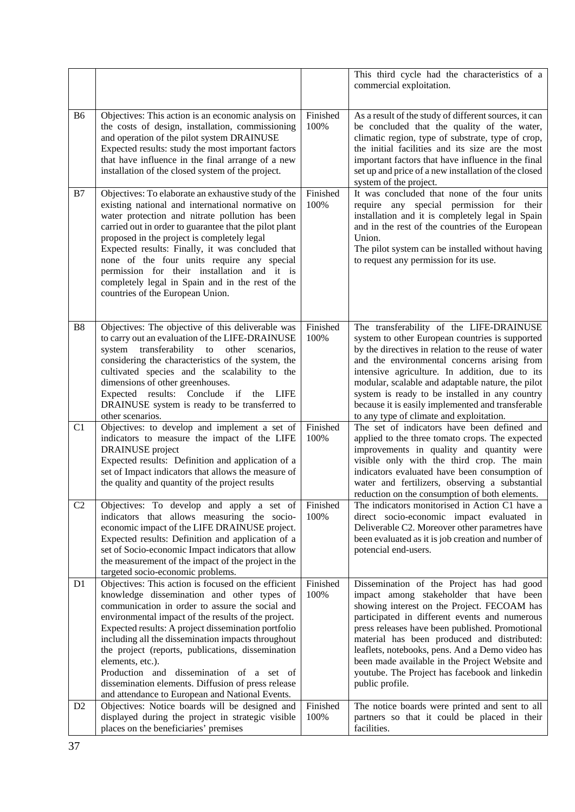|                |                                                                                                                                                                                                                                                                                                                                                                                                                                                                                                                                                        |                  | This third cycle had the characteristics of a<br>commercial exploitation.                                                                                                                                                                                                                                                                                                                                                                                        |
|----------------|--------------------------------------------------------------------------------------------------------------------------------------------------------------------------------------------------------------------------------------------------------------------------------------------------------------------------------------------------------------------------------------------------------------------------------------------------------------------------------------------------------------------------------------------------------|------------------|------------------------------------------------------------------------------------------------------------------------------------------------------------------------------------------------------------------------------------------------------------------------------------------------------------------------------------------------------------------------------------------------------------------------------------------------------------------|
| <b>B6</b>      | Objectives: This action is an economic analysis on<br>the costs of design, installation, commissioning<br>and operation of the pilot system DRAINUSE<br>Expected results: study the most important factors<br>that have influence in the final arrange of a new<br>installation of the closed system of the project.                                                                                                                                                                                                                                   | Finished<br>100% | As a result of the study of different sources, it can<br>be concluded that the quality of the water,<br>climatic region, type of substrate, type of crop,<br>the initial facilities and its size are the most<br>important factors that have influence in the final<br>set up and price of a new installation of the closed<br>system of the project.                                                                                                            |
| B7             | Objectives: To elaborate an exhaustive study of the<br>existing national and international normative on<br>water protection and nitrate pollution has been<br>carried out in order to guarantee that the pilot plant<br>proposed in the project is completely legal<br>Expected results: Finally, it was concluded that<br>none of the four units require any special<br>permission for their installation and it is<br>completely legal in Spain and in the rest of the<br>countries of the European Union.                                           | Finished<br>100% | It was concluded that none of the four units<br>require any special permission for their<br>installation and it is completely legal in Spain<br>and in the rest of the countries of the European<br>Union.<br>The pilot system can be installed without having<br>to request any permission for its use.                                                                                                                                                         |
| <b>B8</b>      | Objectives: The objective of this deliverable was<br>to carry out an evaluation of the LIFE-DRAINUSE<br>system transferability to other<br>scenarios,<br>considering the characteristics of the system, the<br>cultivated species and the scalability to the<br>dimensions of other greenhouses.<br>Expected results: Conclude if<br>the<br><b>LIFE</b><br>DRAINUSE system is ready to be transferred to<br>other scenarios.                                                                                                                           | Finished<br>100% | The transferability of the LIFE-DRAINUSE<br>system to other European countries is supported<br>by the directives in relation to the reuse of water<br>and the environmental concerns arising from<br>intensive agriculture. In addition, due to its<br>modular, scalable and adaptable nature, the pilot<br>system is ready to be installed in any country<br>because it is easily implemented and transferable<br>to any type of climate and exploitation.      |
| C <sub>1</sub> | Objectives: to develop and implement a set of<br>indicators to measure the impact of the LIFE<br>DRAINUSE project<br>Expected results: Definition and application of a<br>set of Impact indicators that allows the measure of<br>the quality and quantity of the project results                                                                                                                                                                                                                                                                       | Finished<br>100% | The set of indicators have been defined and<br>applied to the three tomato crops. The expected<br>improvements in quality and quantity were<br>visible only with the third crop. The main<br>indicators evaluated have been consumption of<br>water and fertilizers, observing a substantial<br>reduction on the consumption of both elements.                                                                                                                   |
| C <sub>2</sub> | Objectives: To develop and apply a set of<br>indicators that allows measuring the socio-<br>economic impact of the LIFE DRAINUSE project.<br>Expected results: Definition and application of a<br>set of Socio-economic Impact indicators that allow<br>the measurement of the impact of the project in the<br>targeted socio-economic problems.                                                                                                                                                                                                       | Finished<br>100% | The indicators monitorised in Action C1 have a<br>direct socio-economic impact evaluated in<br>Deliverable C2. Moreover other parametres have<br>been evaluated as it is job creation and number of<br>potencial end-users.                                                                                                                                                                                                                                      |
| D <sub>1</sub> | Objectives: This action is focused on the efficient<br>knowledge dissemination and other types of<br>communication in order to assure the social and<br>environmental impact of the results of the project.<br>Expected results: A project dissemination portfolio<br>including all the dissemination impacts throughout<br>the project (reports, publications, dissemination<br>elements, etc.).<br>Production and dissemination of a set of<br>dissemination elements. Diffusion of press release<br>and attendance to European and National Events. | Finished<br>100% | Dissemination of the Project has had good<br>impact among stakeholder that have been<br>showing interest on the Project. FECOAM has<br>participated in different events and numerous<br>press releases have been published. Promotional<br>material has been produced and distributed:<br>leaflets, notebooks, pens. And a Demo video has<br>been made available in the Project Website and<br>youtube. The Project has facebook and linkedin<br>public profile. |
| D <sub>2</sub> | Objectives: Notice boards will be designed and<br>displayed during the project in strategic visible<br>places on the beneficiaries' premises                                                                                                                                                                                                                                                                                                                                                                                                           | Finished<br>100% | The notice boards were printed and sent to all<br>partners so that it could be placed in their<br>facilities.                                                                                                                                                                                                                                                                                                                                                    |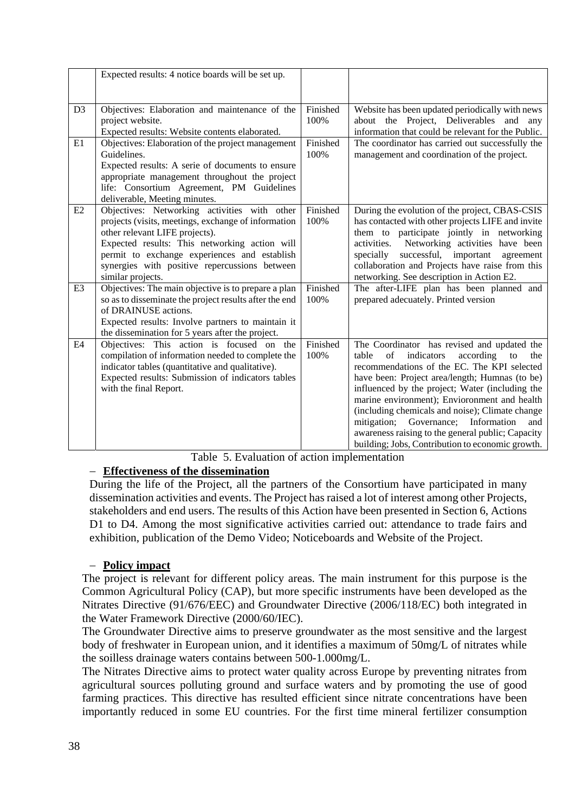|                      | Expected results: 4 notice boards will be set up.                                                                                                                                                                                                                                                                                                                                                                             |                                      |                                                                                                                                                                                                                                                                                                                                                                                                                                                                                                                  |
|----------------------|-------------------------------------------------------------------------------------------------------------------------------------------------------------------------------------------------------------------------------------------------------------------------------------------------------------------------------------------------------------------------------------------------------------------------------|--------------------------------------|------------------------------------------------------------------------------------------------------------------------------------------------------------------------------------------------------------------------------------------------------------------------------------------------------------------------------------------------------------------------------------------------------------------------------------------------------------------------------------------------------------------|
| D <sub>3</sub>       | Objectives: Elaboration and maintenance of the<br>project website.<br>Expected results: Website contents elaborated.                                                                                                                                                                                                                                                                                                          | Finished<br>100%                     | Website has been updated periodically with news<br>Project, Deliverables and<br>about the<br>any<br>information that could be relevant for the Public.                                                                                                                                                                                                                                                                                                                                                           |
| E1                   | Objectives: Elaboration of the project management<br>Guidelines.<br>Expected results: A serie of documents to ensure<br>appropriate management throughout the project<br>life: Consortium Agreement, PM Guidelines<br>deliverable, Meeting minutes.                                                                                                                                                                           | Finished<br>100%                     | The coordinator has carried out successfully the<br>management and coordination of the project.                                                                                                                                                                                                                                                                                                                                                                                                                  |
| E2<br>E <sub>3</sub> | Objectives: Networking activities with other<br>projects (visits, meetings, exchange of information<br>other relevant LIFE projects).<br>Expected results: This networking action will<br>permit to exchange experiences and establish<br>synergies with positive repercussions between<br>similar projects.<br>Objectives: The main objective is to prepare a plan<br>so as to disseminate the project results after the end | Finished<br>100%<br>Finished<br>100% | During the evolution of the project, CBAS-CSIS<br>has contacted with other projects LIFE and invite<br>them to participate jointly in networking<br>Networking activities have been<br>activities.<br>successful, important<br>specially<br>agreement<br>collaboration and Projects have raise from this<br>networking. See description in Action E2.<br>The after-LIFE plan has been planned and<br>prepared adecuately. Printed version                                                                        |
|                      | of DRAINUSE actions.<br>Expected results: Involve partners to maintain it<br>the dissemination for 5 years after the project.                                                                                                                                                                                                                                                                                                 |                                      |                                                                                                                                                                                                                                                                                                                                                                                                                                                                                                                  |
| E4                   | Objectives: This action is focused on the<br>compilation of information needed to complete the<br>indicator tables (quantitative and qualitative).<br>Expected results: Submission of indicators tables<br>with the final Report.                                                                                                                                                                                             | Finished<br>100%                     | The Coordinator has revised and updated the<br>of<br>indicators<br>according<br>table<br>to<br>the<br>recommendations of the EC. The KPI selected<br>have been: Project area/length; Humnas (to be)<br>influenced by the project; Water (including the<br>marine environment); Envioronment and health<br>(including chemicals and noise); Climate change<br>mitigation; Governance; Information<br>and<br>awareness raising to the general public; Capacity<br>building; Jobs, Contribution to economic growth. |

Table 5. Evaluation of action implementation

### **Effectiveness of the dissemination**

During the life of the Project, all the partners of the Consortium have participated in many dissemination activities and events. The Project has raised a lot of interest among other Projects, stakeholders and end users. The results of this Action have been presented in Section 6, Actions D1 to D4. Among the most significative activities carried out: attendance to trade fairs and exhibition, publication of the Demo Video; Noticeboards and Website of the Project.

### **Policy impact**

The project is relevant for different policy areas. The main instrument for this purpose is the Common Agricultural Policy (CAP), but more specific instruments have been developed as the Nitrates Directive (91/676/EEC) and Groundwater Directive (2006/118/EC) both integrated in the Water Framework Directive (2000/60/IEC).

The Groundwater Directive aims to preserve groundwater as the most sensitive and the largest body of freshwater in European union, and it identifies a maximum of 50mg/L of nitrates while the soilless drainage waters contains between 500-1.000mg/L.

The Nitrates Directive aims to protect water quality across Europe by preventing nitrates from agricultural sources polluting ground and surface waters and by promoting the use of good farming practices. This directive has resulted efficient since nitrate concentrations have been importantly reduced in some EU countries. For the first time mineral fertilizer consumption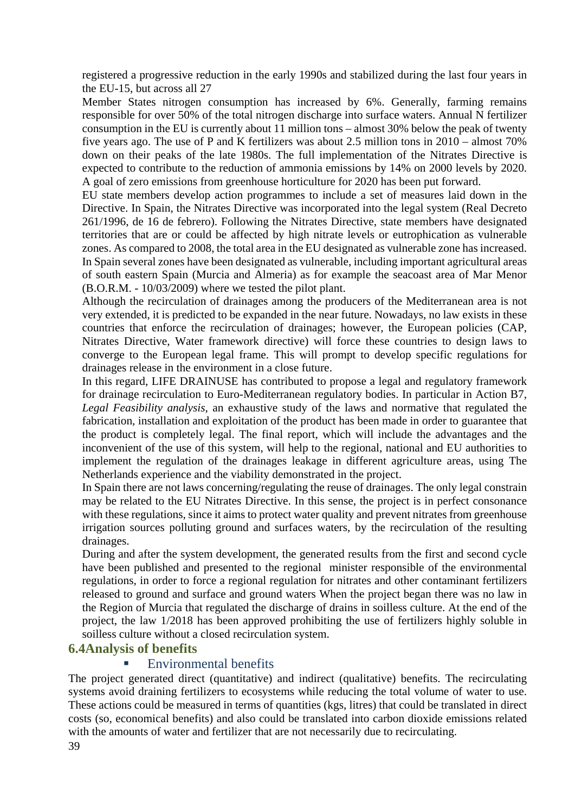registered a progressive reduction in the early 1990s and stabilized during the last four years in the EU-15, but across all 27

Member States nitrogen consumption has increased by 6%. Generally, farming remains responsible for over 50% of the total nitrogen discharge into surface waters. Annual N fertilizer consumption in the EU is currently about 11 million tons – almost 30% below the peak of twenty five years ago. The use of P and K fertilizers was about 2.5 million tons in 2010 – almost 70% down on their peaks of the late 1980s. The full implementation of the Nitrates Directive is expected to contribute to the reduction of ammonia emissions by 14% on 2000 levels by 2020. A goal of zero emissions from greenhouse horticulture for 2020 has been put forward.

EU state members develop action programmes to include a set of measures laid down in the Directive. In Spain, the Nitrates Directive was incorporated into the legal system (Real Decreto 261/1996, de 16 de febrero). Following the Nitrates Directive, state members have designated territories that are or could be affected by high nitrate levels or eutrophication as vulnerable zones. As compared to 2008, the total area in the EU designated as vulnerable zone has increased. In Spain several zones have been designated as vulnerable, including important agricultural areas of south eastern Spain (Murcia and Almeria) as for example the seacoast area of Mar Menor (B.O.R.M. - 10/03/2009) where we tested the pilot plant.

Although the recirculation of drainages among the producers of the Mediterranean area is not very extended, it is predicted to be expanded in the near future. Nowadays, no law exists in these countries that enforce the recirculation of drainages; however, the European policies (CAP, Nitrates Directive, Water framework directive) will force these countries to design laws to converge to the European legal frame. This will prompt to develop specific regulations for drainages release in the environment in a close future.

In this regard, LIFE DRAINUSE has contributed to propose a legal and regulatory framework for drainage recirculation to Euro-Mediterranean regulatory bodies. In particular in Action B7, *Legal Feasibility analysis*, an exhaustive study of the laws and normative that regulated the fabrication, installation and exploitation of the product has been made in order to guarantee that the product is completely legal. The final report, which will include the advantages and the inconvenient of the use of this system, will help to the regional, national and EU authorities to implement the regulation of the drainages leakage in different agriculture areas, using The Netherlands experience and the viability demonstrated in the project.

In Spain there are not laws concerning/regulating the reuse of drainages. The only legal constrain may be related to the EU Nitrates Directive. In this sense, the project is in perfect consonance with these regulations, since it aims to protect water quality and prevent nitrates from greenhouse irrigation sources polluting ground and surfaces waters, by the recirculation of the resulting drainages.

During and after the system development, the generated results from the first and second cycle have been published and presented to the regional minister responsible of the environmental regulations, in order to force a regional regulation for nitrates and other contaminant fertilizers released to ground and surface and ground waters When the project began there was no law in the Region of Murcia that regulated the discharge of drains in soilless culture. At the end of the project, the law 1/2018 has been approved prohibiting the use of fertilizers highly soluble in soilless culture without a closed recirculation system.

### **6.4Analysis of benefits**

### Environmental benefits

The project generated direct (quantitative) and indirect (qualitative) benefits. The recirculating systems avoid draining fertilizers to ecosystems while reducing the total volume of water to use. These actions could be measured in terms of quantities (kgs, litres) that could be translated in direct costs (so, economical benefits) and also could be translated into carbon dioxide emissions related with the amounts of water and fertilizer that are not necessarily due to recirculating.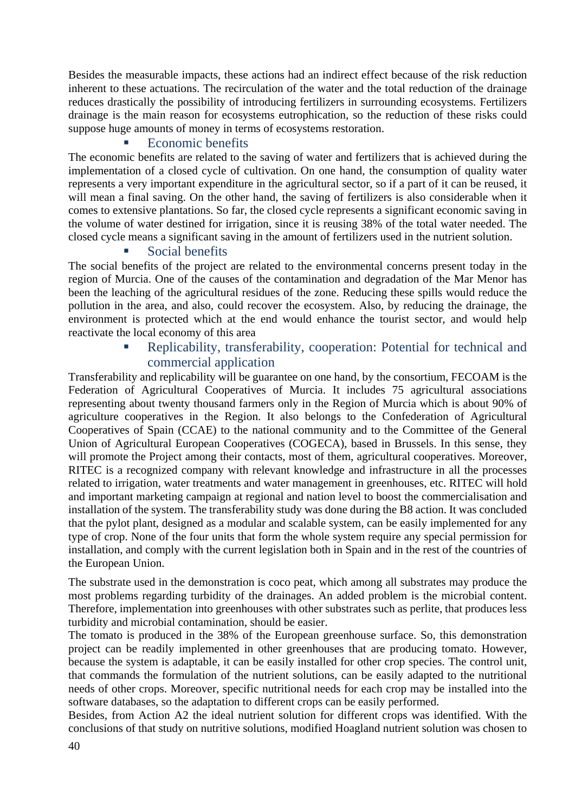Besides the measurable impacts, these actions had an indirect effect because of the risk reduction inherent to these actuations. The recirculation of the water and the total reduction of the drainage reduces drastically the possibility of introducing fertilizers in surrounding ecosystems. Fertilizers drainage is the main reason for ecosystems eutrophication, so the reduction of these risks could suppose huge amounts of money in terms of ecosystems restoration.

# Economic benefits

The economic benefits are related to the saving of water and fertilizers that is achieved during the implementation of a closed cycle of cultivation. On one hand, the consumption of quality water represents a very important expenditure in the agricultural sector, so if a part of it can be reused, it will mean a final saving. On the other hand, the saving of fertilizers is also considerable when it comes to extensive plantations. So far, the closed cycle represents a significant economic saving in the volume of water destined for irrigation, since it is reusing 38% of the total water needed. The closed cycle means a significant saving in the amount of fertilizers used in the nutrient solution.

### Social benefits

The social benefits of the project are related to the environmental concerns present today in the region of Murcia. One of the causes of the contamination and degradation of the Mar Menor has been the leaching of the agricultural residues of the zone. Reducing these spills would reduce the pollution in the area, and also, could recover the ecosystem. Also, by reducing the drainage, the environment is protected which at the end would enhance the tourist sector, and would help reactivate the local economy of this area

# Replicability, transferability, cooperation: Potential for technical and commercial application

Transferability and replicability will be guarantee on one hand, by the consortium, FECOAM is the Federation of Agricultural Cooperatives of Murcia. It includes 75 agricultural associations representing about twenty thousand farmers only in the Region of Murcia which is about 90% of agriculture cooperatives in the Region. It also belongs to the Confederation of Agricultural Cooperatives of Spain (CCAE) to the national community and to the Committee of the General Union of Agricultural European Cooperatives (COGECA), based in Brussels. In this sense, they will promote the Project among their contacts, most of them, agricultural cooperatives. Moreover, RITEC is a recognized company with relevant knowledge and infrastructure in all the processes related to irrigation, water treatments and water management in greenhouses, etc. RITEC will hold and important marketing campaign at regional and nation level to boost the commercialisation and installation of the system. The transferability study was done during the B8 action. It was concluded that the pylot plant, designed as a modular and scalable system, can be easily implemented for any type of crop. None of the four units that form the whole system require any special permission for installation, and comply with the current legislation both in Spain and in the rest of the countries of the European Union.

The substrate used in the demonstration is coco peat, which among all substrates may produce the most problems regarding turbidity of the drainages. An added problem is the microbial content. Therefore, implementation into greenhouses with other substrates such as perlite, that produces less turbidity and microbial contamination, should be easier.

The tomato is produced in the 38% of the European greenhouse surface. So, this demonstration project can be readily implemented in other greenhouses that are producing tomato. However, because the system is adaptable, it can be easily installed for other crop species. The control unit, that commands the formulation of the nutrient solutions, can be easily adapted to the nutritional needs of other crops. Moreover, specific nutritional needs for each crop may be installed into the software databases, so the adaptation to different crops can be easily performed.

Besides, from Action A2 the ideal nutrient solution for different crops was identified. With the conclusions of that study on nutritive solutions, modified Hoagland nutrient solution was chosen to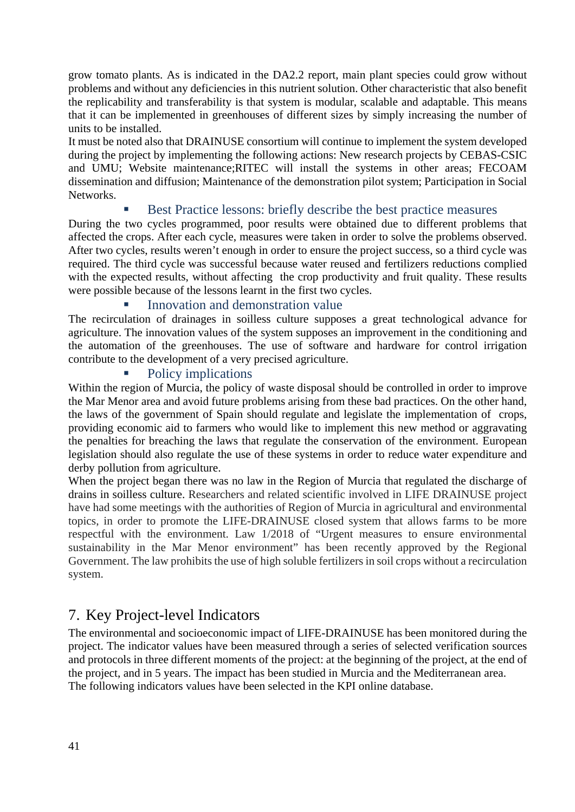grow tomato plants. As is indicated in the DA2.2 report, main plant species could grow without problems and without any deficiencies in this nutrient solution. Other characteristic that also benefit the replicability and transferability is that system is modular, scalable and adaptable. This means that it can be implemented in greenhouses of different sizes by simply increasing the number of units to be installed.

It must be noted also that DRAINUSE consortium will continue to implement the system developed during the project by implementing the following actions: New research projects by CEBAS-CSIC and UMU; Website maintenance;RITEC will install the systems in other areas; FECOAM dissemination and diffusion; Maintenance of the demonstration pilot system; Participation in Social Networks.

### Best Practice lessons: briefly describe the best practice measures

During the two cycles programmed, poor results were obtained due to different problems that affected the crops. After each cycle, measures were taken in order to solve the problems observed. After two cycles, results weren't enough in order to ensure the project success, so a third cycle was required. The third cycle was successful because water reused and fertilizers reductions complied with the expected results, without affecting the crop productivity and fruit quality. These results were possible because of the lessons learnt in the first two cycles.

### **Innovation and demonstration value**

The recirculation of drainages in soilless culture supposes a great technological advance for agriculture. The innovation values of the system supposes an improvement in the conditioning and the automation of the greenhouses. The use of software and hardware for control irrigation contribute to the development of a very precised agriculture.

### Policy implications

Within the region of Murcia, the policy of waste disposal should be controlled in order to improve the Mar Menor area and avoid future problems arising from these bad practices. On the other hand, the laws of the government of Spain should regulate and legislate the implementation of crops, providing economic aid to farmers who would like to implement this new method or aggravating the penalties for breaching the laws that regulate the conservation of the environment. European legislation should also regulate the use of these systems in order to reduce water expenditure and derby pollution from agriculture.

When the project began there was no law in the Region of Murcia that regulated the discharge of drains in soilless culture. Researchers and related scientific involved in LIFE DRAINUSE project have had some meetings with the authorities of Region of Murcia in agricultural and environmental topics, in order to promote the LIFE-DRAINUSE closed system that allows farms to be more respectful with the environment. Law 1/2018 of "Urgent measures to ensure environmental sustainability in the Mar Menor environment" has been recently approved by the Regional Government. The law prohibits the use of high soluble fertilizers in soil crops without a recirculation system.

# 7. Key Project-level Indicators

The environmental and socioeconomic impact of LIFE-DRAINUSE has been monitored during the project. The indicator values have been measured through a series of selected verification sources and protocols in three different moments of the project: at the beginning of the project, at the end of the project, and in 5 years. The impact has been studied in Murcia and the Mediterranean area. The following indicators values have been selected in the KPI online database.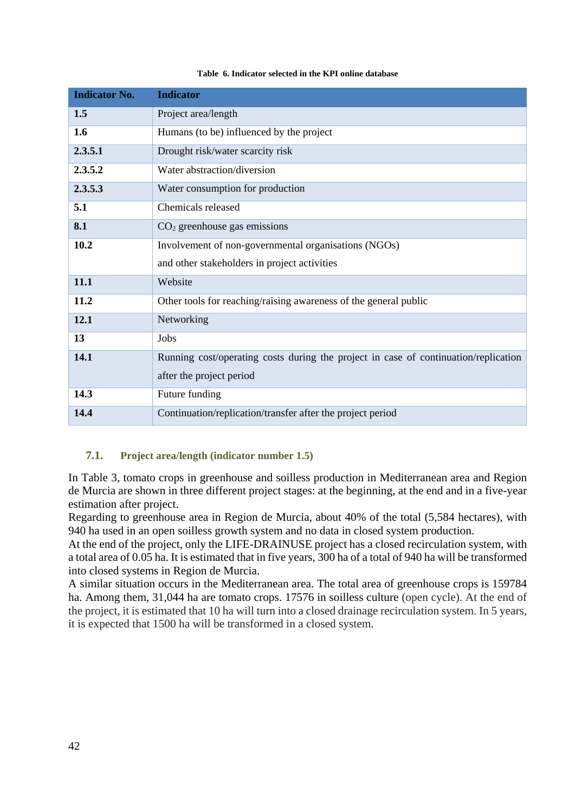| <b>Indicator No.</b> | <b>Indicator</b>                                                                    |
|----------------------|-------------------------------------------------------------------------------------|
| 1.5                  | Project area/length                                                                 |
| 1.6                  | Humans (to be) influenced by the project                                            |
| 2.3.5.1              | Drought risk/water scarcity risk                                                    |
| 2.3.5.2              | Water abstraction/diversion                                                         |
| 2.3.5.3              | Water consumption for production                                                    |
| 5.1                  | Chemicals released                                                                  |
| 8.1                  | $CO2$ greenhouse gas emissions                                                      |
| 10.2                 | Involvement of non-governmental organisations (NGOs)                                |
|                      | and other stakeholders in project activities                                        |
| 11.1                 | Website                                                                             |
| 11.2                 | Other tools for reaching/raising awareness of the general public                    |
| 12.1                 | Networking                                                                          |
| 13                   | Jobs                                                                                |
| 14.1                 | Running cost/operating costs during the project in case of continuation/replication |
|                      | after the project period                                                            |
| 14.3                 | Future funding                                                                      |
| 14.4                 | Continuation/replication/transfer after the project period                          |

#### **Table 6. Indicator selected in the KPI online database**

### **7.1. Project area/length (indicator number 1.5)**

In Table 3, tomato crops in greenhouse and soilless production in Mediterranean area and Region de Murcia are shown in three different project stages: at the beginning, at the end and in a five-year estimation after project.

Regarding to greenhouse area in Region de Murcia, about 40% of the total (5,584 hectares), with 940 ha used in an open soilless growth system and no data in closed system production.

At the end of the project, only the LIFE-DRAINUSE project has a closed recirculation system, with a total area of 0.05 ha. It is estimated that in five years, 300 ha of a total of 940 ha will be transformed into closed systems in Region de Murcia.

A similar situation occurs in the Mediterranean area. The total area of greenhouse crops is 159784 ha. Among them, 31,044 ha are tomato crops. 17576 in soilless culture (open cycle). At the end of the project, it is estimated that 10 ha will turn into a closed drainage recirculation system. In 5 years, it is expected that 1500 ha will be transformed in a closed system.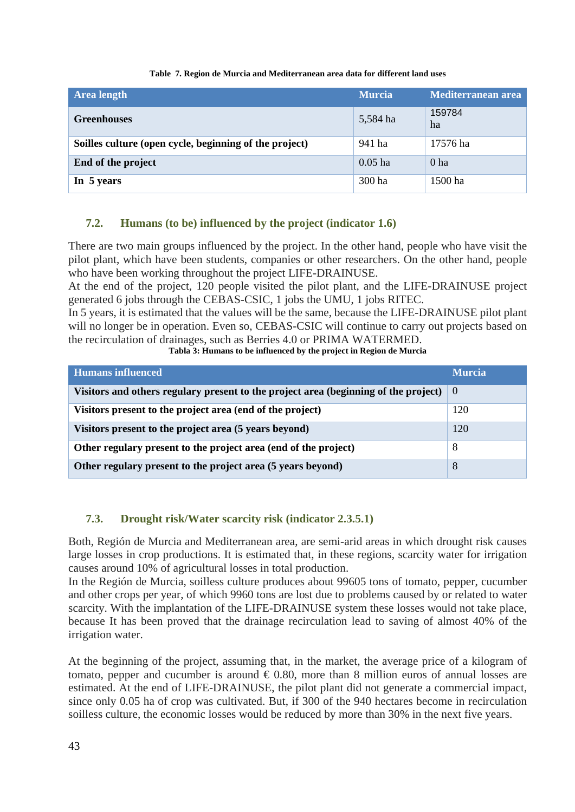#### **Table 7. Region de Murcia and Mediterranean area data for different land uses**

| <b>Area length</b>                                     | <b>Murcia</b> | Mediterranean area |
|--------------------------------------------------------|---------------|--------------------|
| <b>Greenhouses</b>                                     | 5,584 ha      | 159784<br>ha       |
| Soilles culture (open cycle, beginning of the project) | 941 ha        | 17576 ha           |
| End of the project                                     | $0.05$ ha     | 0 <sub>ha</sub>    |
| In 5 years                                             | 300 ha        | 1500 ha            |

### **7.2. Humans (to be) influenced by the project (indicator 1.6)**

There are two main groups influenced by the project. In the other hand, people who have visit the pilot plant, which have been students, companies or other researchers. On the other hand, people who have been working throughout the project LIFE-DRAINUSE.

At the end of the project, 120 people visited the pilot plant, and the LIFE-DRAINUSE project generated 6 jobs through the CEBAS-CSIC, 1 jobs the UMU, 1 jobs RITEC.

In 5 years, it is estimated that the values will be the same, because the LIFE-DRAINUSE pilot plant will no longer be in operation. Even so, CEBAS-CSIC will continue to carry out projects based on the recirculation of drainages, such as Berries 4.0 or PRIMA WATERMED.

**Tabla 3: Humans to be influenced by the project in Region de Murcia** 

| <b>Humans influenced</b>                                                            | <b>Murcia</b> |
|-------------------------------------------------------------------------------------|---------------|
| Visitors and others regulary present to the project area (beginning of the project) | -0            |
| Visitors present to the project area (end of the project)                           | 120           |
| Visitors present to the project area (5 years beyond)                               | 120           |
| Other regulary present to the project area (end of the project)                     | 8             |
| Other regulary present to the project area (5 years beyond)                         | 8             |

### **7.3. Drought risk/Water scarcity risk (indicator 2.3.5.1)**

Both, Región de Murcia and Mediterranean area, are semi-arid areas in which drought risk causes large losses in crop productions. It is estimated that, in these regions, scarcity water for irrigation causes around 10% of agricultural losses in total production.

In the Región de Murcia, soilless culture produces about 99605 tons of tomato, pepper, cucumber and other crops per year, of which 9960 tons are lost due to problems caused by or related to water scarcity. With the implantation of the LIFE-DRAINUSE system these losses would not take place, because It has been proved that the drainage recirculation lead to saving of almost 40% of the irrigation water.

At the beginning of the project, assuming that, in the market, the average price of a kilogram of tomato, pepper and cucumber is around  $\epsilon$  0.80, more than 8 million euros of annual losses are estimated. At the end of LIFE-DRAINUSE, the pilot plant did not generate a commercial impact, since only 0.05 ha of crop was cultivated. But, if 300 of the 940 hectares become in recirculation soilless culture, the economic losses would be reduced by more than 30% in the next five years.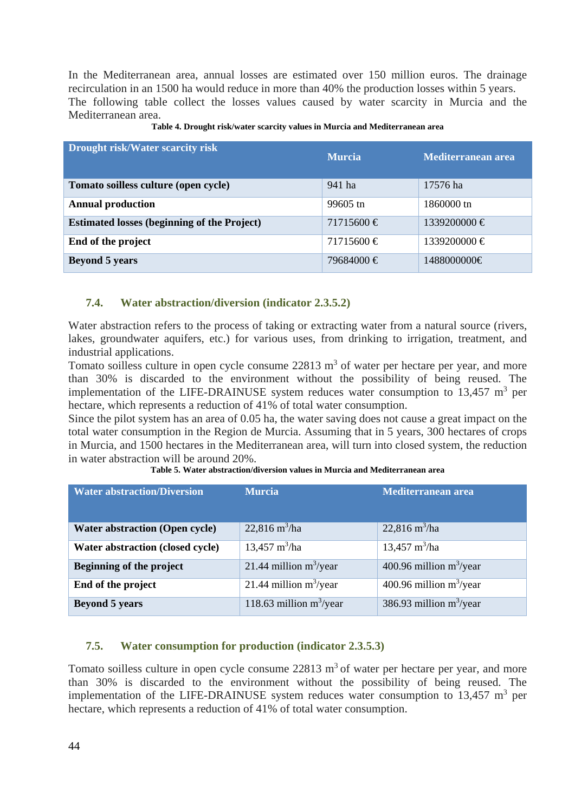In the Mediterranean area, annual losses are estimated over 150 million euros. The drainage recirculation in an 1500 ha would reduce in more than 40% the production losses within 5 years. The following table collect the losses values caused by water scarcity in Murcia and the Mediterranean area.

| <b>Drought risk/Water scarcity risk</b>            | <b>Murcia</b>  | Mediterranean area |
|----------------------------------------------------|----------------|--------------------|
| Tomato soilless culture (open cycle)               | 941 ha         | 17576 ha           |
| <b>Annual production</b>                           | 99605 tn       | 1860000 tn         |
| <b>Estimated losses (beginning of the Project)</b> | $71715600 \in$ | $1339200000 \in$   |
| End of the project                                 | $71715600 \in$ | $1339200000 \in$   |
| <b>Beyond 5 years</b>                              | 79684000 €     | 1488000000€        |

**Table 4. Drought risk/water scarcity values in Murcia and Mediterranean area** 

### **7.4. Water abstraction/diversion (indicator 2.3.5.2)**

Water abstraction refers to the process of taking or extracting water from a natural source (rivers, lakes, groundwater aquifers, etc.) for various uses, from drinking to irrigation, treatment, and industrial applications.

Tomato soilless culture in open cycle consume  $22813 \text{ m}^3$  of water per hectare per year, and more than 30% is discarded to the environment without the possibility of being reused. The implementation of the LIFE-DRAINUSE system reduces water consumption to  $13,457 \text{ m}^3$  per hectare, which represents a reduction of 41% of total water consumption.

Since the pilot system has an area of 0.05 ha, the water saving does not cause a great impact on the total water consumption in the Region de Murcia. Assuming that in 5 years, 300 hectares of crops in Murcia, and 1500 hectares in the Mediterranean area, will turn into closed system, the reduction in water abstraction will be around 20%.

| <b>Water abstraction/Diversion</b>    | <b>Murcia</b>                  | Mediterranean area             |
|---------------------------------------|--------------------------------|--------------------------------|
| <b>Water abstraction (Open cycle)</b> | $22,816 \text{ m}^3/\text{ha}$ | $22,816 \text{ m}^3/\text{ha}$ |
| Water abstraction (closed cycle)      | $13,457 \text{ m}^3/\text{ha}$ | $13,457 \text{ m}^3/\text{ha}$ |
| Beginning of the project              | 21.44 million $m^3$ /year      | 400.96 million $m^3$ /year     |
| End of the project                    | 21.44 million $m^3$ /year      | 400.96 million $m^3$ /year     |
| <b>Beyond 5 years</b>                 | 118.63 million $m^3$ /year     | 386.93 million $m^3$ /year     |

**Table 5. Water abstraction/diversion values in Murcia and Mediterranean area** 

### **7.5. Water consumption for production (indicator 2.3.5.3)**

Tomato soilless culture in open cycle consume  $22813 \text{ m}^3$  of water per hectare per year, and more than 30% is discarded to the environment without the possibility of being reused. The implementation of the LIFE-DRAINUSE system reduces water consumption to  $13,457 \text{ m}^3$  per hectare, which represents a reduction of 41% of total water consumption.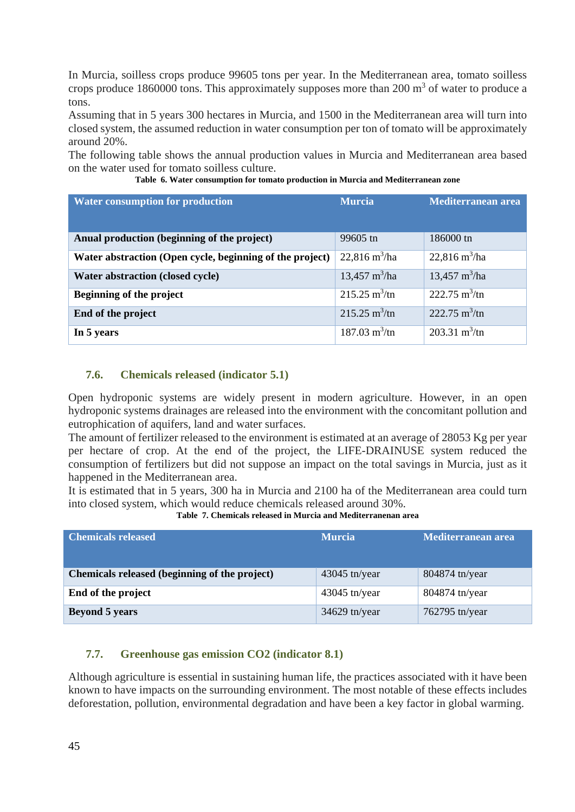In Murcia, soilless crops produce 99605 tons per year. In the Mediterranean area, tomato soilless crops produce 1860000 tons. This approximately supposes more than  $200 \text{ m}^3$  of water to produce a tons.

Assuming that in 5 years 300 hectares in Murcia, and 1500 in the Mediterranean area will turn into closed system, the assumed reduction in water consumption per ton of tomato will be approximately around 20%.

The following table shows the annual production values in Murcia and Mediterranean area based on the water used for tomato soilless culture.

| <b>Water consumption for production</b>                  | <b>Murcia</b>                  | Mediterranean area             |
|----------------------------------------------------------|--------------------------------|--------------------------------|
| Anual production (beginning of the project)              | 99605 tn                       | 186000 tn                      |
| Water abstraction (Open cycle, beginning of the project) | $22,816 \text{ m}^3/\text{ha}$ | $22,816 \text{ m}^3/\text{ha}$ |
| Water abstraction (closed cycle)                         | 13,457 $m^3/ha$                | $13,457 \text{ m}^3/\text{ha}$ |
| Beginning of the project                                 | $215.25 \text{ m}^3/\text{tn}$ | 222.75 $m^3$ /tn               |
| End of the project                                       | $215.25 \text{ m}^3/\text{tn}$ | $222.75 \text{ m}^3/\text{tn}$ |
| In 5 years                                               | $187.03 \text{ m}^3/\text{tn}$ | 203.31 $m^3$ /tn               |

**Table 6. Water consumption for tomato production in Murcia and Mediterranean zone** 

### **7.6. Chemicals released (indicator 5.1)**

Open hydroponic systems are widely present in modern agriculture. However, in an open hydroponic systems drainages are released into the environment with the concomitant pollution and eutrophication of aquifers, land and water surfaces.

The amount of fertilizer released to the environment is estimated at an average of 28053 Kg per year per hectare of crop. At the end of the project, the LIFE-DRAINUSE system reduced the consumption of fertilizers but did not suppose an impact on the total savings in Murcia, just as it happened in the Mediterranean area.

It is estimated that in 5 years, 300 ha in Murcia and 2100 ha of the Mediterranean area could turn into closed system, which would reduce chemicals released around 30%.

| Table 7. Chemicals released in Murcia and Mediterranenan area |  |
|---------------------------------------------------------------|--|
|---------------------------------------------------------------|--|

| <b>Chemicals released</b>                     | <b>Murcia</b>   | Mediterranean area |
|-----------------------------------------------|-----------------|--------------------|
| Chemicals released (beginning of the project) | $43045$ tn/year | 804874 tn/year     |
| End of the project                            | $43045$ tn/year | 804874 tn/year     |
| <b>Beyond 5 years</b>                         | $34629$ tn/year | 762795 tn/year     |

### **7.7. Greenhouse gas emission CO2 (indicator 8.1)**

Although agriculture is essential in sustaining human life, the practices associated with it have been known to have impacts on the surrounding environment. The most notable of these effects includes deforestation, pollution, environmental degradation and have been a key factor in global warming.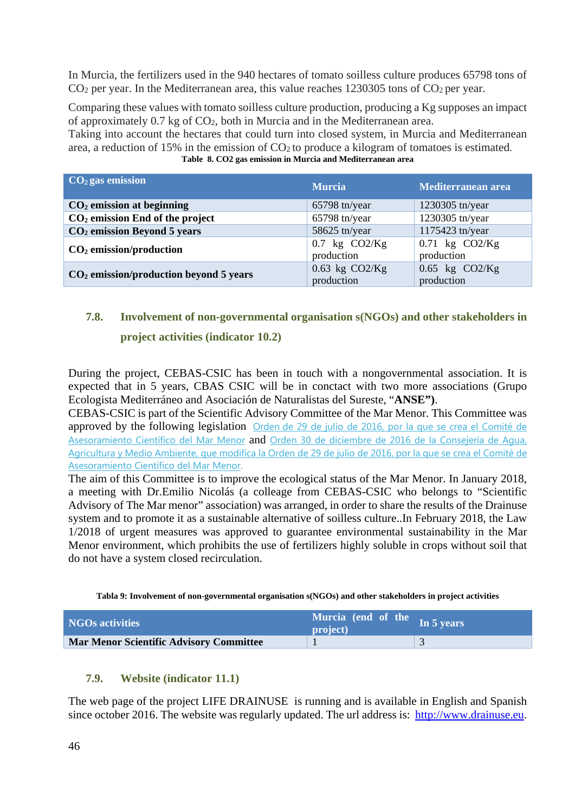In Murcia, the fertilizers used in the 940 hectares of tomato soilless culture produces 65798 tons of  $CO<sub>2</sub>$  per year. In the Mediterranean area, this value reaches 1230305 tons of  $CO<sub>2</sub>$  per year.

Comparing these values with tomato soilless culture production, producing a Kg supposes an impact of approximately 0.7 kg of CO2, both in Murcia and in the Mediterranean area.

Taking into account the hectares that could turn into closed system, in Murcia and Mediterranean area, a reduction of 15% in the emission of  $CO<sub>2</sub>$  to produce a kilogram of tomatoes is estimated. **Table 8. CO2 gas emission in Murcia and Mediterranean area** 

| $CO2$ gas emission                       | <b>Murcia</b>                    | Mediterranean area               |
|------------------------------------------|----------------------------------|----------------------------------|
| $CO2$ emission at beginning              | 65798 tn/year                    | 1230305 tn/year                  |
| $CO2$ emission End of the project        | $65798$ tn/year                  | 1230305 tn/year                  |
| $CO2$ emission Beyond 5 years            | 58625 tn/year                    | 1175423 tn/year                  |
| $CO2$ emission/production                | $0.7$ kg $CO2/Kg$<br>production  | $0.71$ kg $CO2/Kg$<br>production |
| $CO2$ emission/production beyond 5 years | $0.63$ kg $CO2/Kg$<br>production | $0.65$ kg $CO2/Kg$<br>production |

# **7.8. Involvement of non-governmental organisation s(NGOs) and other stakeholders in project activities (indicator 10.2)**

During the project, CEBAS-CSIC has been in touch with a nongovernmental association. It is expected that in 5 years, CBAS CSIC will be in conctact with two more associations (Grupo Ecologista Mediterráneo and Asociación de Naturalistas del Sureste, "**ANSE")**.

CEBAS-CSIC is part of the Scientific Advisory Committee of the Mar Menor. This Committee was approved by the following legislation Orden de 29 de julio de 2016, por la que se crea el Comité de Asesoramiento Científico del Mar Menor and Orden 30 de diciembre de 2016 de la Consejería de Agua, Agricultura y Medio Ambiente, que modifica la Orden de 29 de julio de 2016, por la que se crea el Comité de Asesoramiento Científico del Mar Menor.

The aim of this Committee is to improve the ecological status of the Mar Menor. In January 2018, a meeting with Dr.Emilio Nicolás (a colleage from CEBAS-CSIC who belongs to "Scientific Advisory of The Mar menor" association) was arranged, in order to share the results of the Drainuse system and to promote it as a sustainable alternative of soilless culture..In February 2018, the Law 1/2018 of urgent measures was approved to guarantee environmental sustainability in the Mar Menor environment, which prohibits the use of fertilizers highly soluble in crops without soil that do not have a system closed recirculation.

**Tabla 9: Involvement of non-governmental organisation s(NGOs) and other stakeholders in project activities** 

| <b>NGOs activities</b>                         | Murcia (end of the In 5 years<br>project) |  |
|------------------------------------------------|-------------------------------------------|--|
| <b>Mar Menor Scientific Advisory Committee</b> |                                           |  |

### **7.9. Website (indicator 11.1)**

The web page of the project LIFE DRAINUSE is running and is available in English and Spanish since october 2016. The website was regularly updated. The url address is: http://www.drainuse.eu.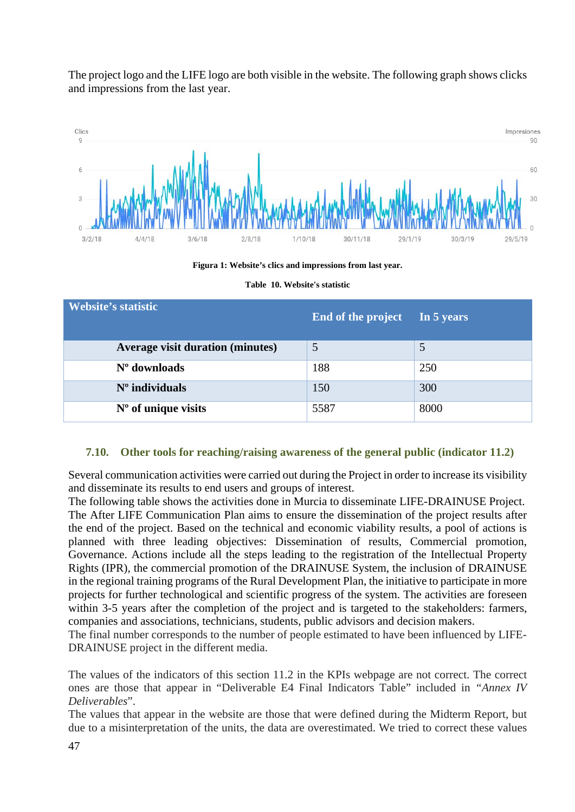The project logo and the LIFE logo are both visible in the website. The following graph shows clicks and impressions from the last year.



**Figura 1: Website's clics and impressions from last year.** 

| <b>Website's statistic</b>              | End of the project | In 5 years |
|-----------------------------------------|--------------------|------------|
| <b>Average visit duration (minutes)</b> | 5                  |            |
| $No$ downloads                          | 188                | 250        |
| $No$ individuals                        | 150                | 300        |
| $No$ of unique visits                   | 5587               | 8000       |

**Table 10. Website's statistic** 

### **7.10. Other tools for reaching/raising awareness of the general public (indicator 11.2)**

Several communication activities were carried out during the Project in order to increase its visibility and disseminate its results to end users and groups of interest.

The following table shows the activities done in Murcia to disseminate LIFE-DRAINUSE Project. The After LIFE Communication Plan aims to ensure the dissemination of the project results after the end of the project. Based on the technical and economic viability results, a pool of actions is planned with three leading objectives: Dissemination of results, Commercial promotion, Governance. Actions include all the steps leading to the registration of the Intellectual Property Rights (IPR), the commercial promotion of the DRAINUSE System, the inclusion of DRAINUSE in the regional training programs of the Rural Development Plan, the initiative to participate in more projects for further technological and scientific progress of the system. The activities are foreseen within 3-5 years after the completion of the project and is targeted to the stakeholders: farmers, companies and associations, technicians, students, public advisors and decision makers.

The final number corresponds to the number of people estimated to have been influenced by LIFE-DRAINUSE project in the different media.

The values of the indicators of this section 11.2 in the KPIs webpage are not correct. The correct ones are those that appear in "Deliverable E4 Final Indicators Table" included in *"Annex IV Deliverables*".

The values that appear in the website are those that were defined during the Midterm Report, but due to a misinterpretation of the units, the data are overestimated. We tried to correct these values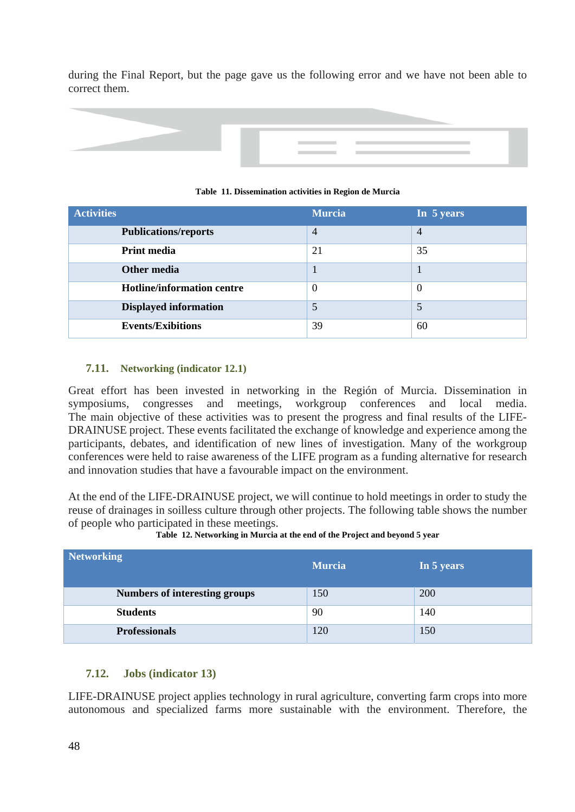during the Final Report, but the page gave us the following error and we have not been able to correct them.



| <b>Activities</b>                 | <b>Murcia</b> | In 5 years |
|-----------------------------------|---------------|------------|
| <b>Publications/reports</b>       | 4             | 4          |
| <b>Print media</b>                | 21            | 35         |
| Other media                       |               |            |
| <b>Hotline/information centre</b> | $\theta$      | $\Omega$   |
| <b>Displayed information</b>      | 5             |            |
| <b>Events/Exibitions</b>          | 39            | 60         |

#### **Table 11. Dissemination activities in Region de Murcia**

### **7.11. Networking (indicator 12.1)**

Great effort has been invested in networking in the Región of Murcia. Dissemination in symposiums, congresses and meetings, workgroup conferences and local media. The main objective of these activities was to present the progress and final results of the LIFE-DRAINUSE project. These events facilitated the exchange of knowledge and experience among the participants, debates, and identification of new lines of investigation. Many of the workgroup conferences were held to raise awareness of the LIFE program as a funding alternative for research and innovation studies that have a favourable impact on the environment.

At the end of the LIFE-DRAINUSE project, we will continue to hold meetings in order to study the reuse of drainages in soilless culture through other projects. The following table shows the number of people who participated in these meetings.

| <b>Networking</b>                    | <b>Murcia</b> | In 5 years |
|--------------------------------------|---------------|------------|
| <b>Numbers of interesting groups</b> | 150           | 200        |
| <b>Students</b>                      | 90            | 140        |
| <b>Professionals</b>                 | 120           | 150        |

**Table 12. Networking in Murcia at the end of the Project and beyond 5 year** 

### **7.12. Jobs (indicator 13)**

LIFE-DRAINUSE project applies technology in rural agriculture, converting farm crops into more autonomous and specialized farms more sustainable with the environment. Therefore, the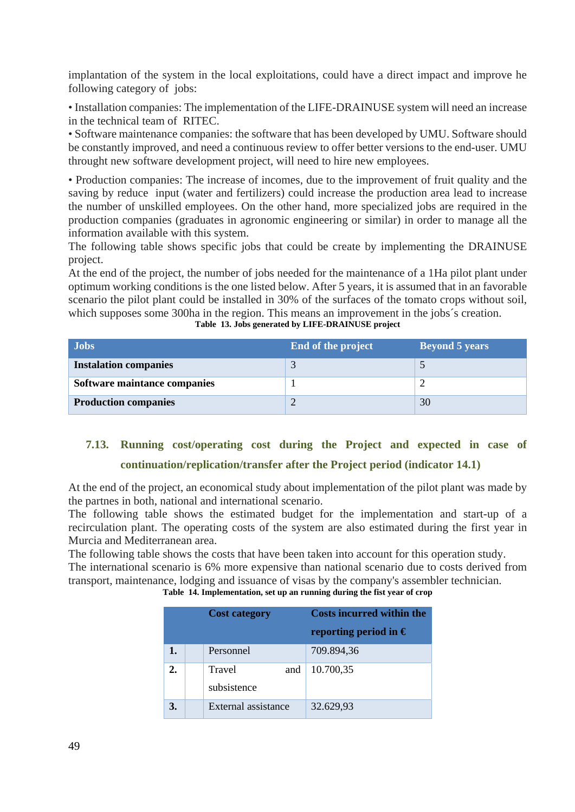implantation of the system in the local exploitations, could have a direct impact and improve he following category of jobs:

• Installation companies: The implementation of the LIFE-DRAINUSE system will need an increase in the technical team of RITEC.

• Software maintenance companies: the software that has been developed by UMU. Software should be constantly improved, and need a continuous review to offer better versions to the end-user. UMU throught new software development project, will need to hire new employees.

• Production companies: The increase of incomes, due to the improvement of fruit quality and the saving by reduce input (water and fertilizers) could increase the production area lead to increase the number of unskilled employees. On the other hand, more specialized jobs are required in the production companies (graduates in agronomic engineering or similar) in order to manage all the information available with this system.

The following table shows specific jobs that could be create by implementing the DRAINUSE project.

At the end of the project, the number of jobs needed for the maintenance of a 1Ha pilot plant under optimum working conditions is the one listed below. After 5 years, it is assumed that in an favorable scenario the pilot plant could be installed in 30% of the surfaces of the tomato crops without soil, which supposes some 300ha in the region. This means an improvement in the jobs's creation.

| <b>Jobs</b>                  | End of the project | <b>Beyond 5 years</b> |
|------------------------------|--------------------|-----------------------|
| <b>Instalation companies</b> |                    |                       |
| Software maintance companies |                    |                       |
| <b>Production companies</b>  |                    | 30                    |

### **Table 13. Jobs generated by LIFE-DRAINUSE project**

# **7.13. Running cost/operating cost during the Project and expected in case of continuation/replication/transfer after the Project period (indicator 14.1)**

At the end of the project, an economical study about implementation of the pilot plant was made by the partnes in both, national and international scenario.

The following table shows the estimated budget for the implementation and start-up of a recirculation plant. The operating costs of the system are also estimated during the first year in Murcia and Mediterranean area.

The following table shows the costs that have been taken into account for this operation study. The international scenario is 6% more expensive than national scenario due to costs derived from transport, maintenance, lodging and issuance of visas by the company's assembler technician.

**Table 14. Implementation, set up an running during the fist year of crop** 

|                  | <b>Cost category</b>         | <b>Costs incurred within the</b> |
|------------------|------------------------------|----------------------------------|
|                  |                              | reporting period in $\epsilon$   |
| 1.               | Personnel                    | 709.894,36                       |
| $\overline{2}$ . | Travel<br>and<br>subsistence | 10.700,35                        |
|                  | External assistance          | 32.629,93                        |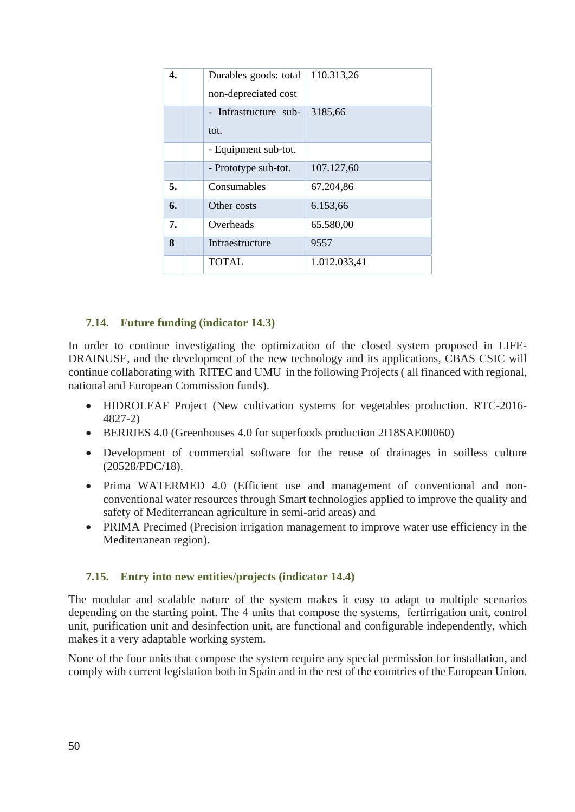| 4. | Durables goods: total<br>non-depreciated cost | 110.313,26   |
|----|-----------------------------------------------|--------------|
|    | - Infrastructure sub-<br>tot.                 | 3185,66      |
|    | - Equipment sub-tot.                          |              |
|    | - Prototype sub-tot.                          | 107.127,60   |
| 5. | Consumables                                   | 67.204,86    |
| 6. | Other costs                                   | 6.153,66     |
| 7. | Overheads                                     | 65.580,00    |
| 8  | Infraestructure                               | 9557         |
|    | TOTAL                                         | 1.012.033,41 |

### **7.14. Future funding (indicator 14.3)**

In order to continue investigating the optimization of the closed system proposed in LIFE-DRAINUSE, and the development of the new technology and its applications, CBAS CSIC will continue collaborating with RITEC and UMU in the following Projects ( all financed with regional, national and European Commission funds).

- HIDROLEAF Project (New cultivation systems for vegetables production. RTC-2016- 4827-2)
- BERRIES 4.0 (Greenhouses 4.0 for superfoods production 2I18SAE00060)
- Development of commercial software for the reuse of drainages in soilless culture (20528/PDC/18).
- Prima WATERMED 4.0 (Efficient use and management of conventional and nonconventional water resources through Smart technologies applied to improve the quality and safety of Mediterranean agriculture in semi-arid areas) and
- PRIMA Precimed (Precision irrigation management to improve water use efficiency in the Mediterranean region).

### **7.15. Entry into new entities/projects (indicator 14.4)**

The modular and scalable nature of the system makes it easy to adapt to multiple scenarios depending on the starting point. The 4 units that compose the systems, fertirrigation unit, control unit, purification unit and desinfection unit, are functional and configurable independently, which makes it a very adaptable working system.

None of the four units that compose the system require any special permission for installation, and comply with current legislation both in Spain and in the rest of the countries of the European Union.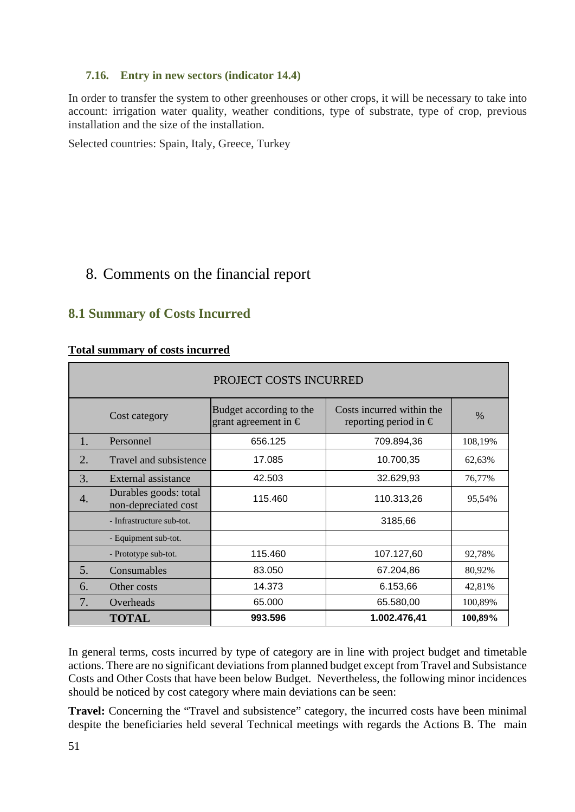### **7.16. Entry in new sectors (indicator 14.4)**

In order to transfer the system to other greenhouses or other crops, it will be necessary to take into account: irrigation water quality, weather conditions, type of substrate, type of crop, previous installation and the size of the installation.

Selected countries: Spain, Italy, Greece, Turkey

# 8. Comments on the financial report

## **8.1 Summary of Costs Incurred**

### **Total summary of costs incurred**

|    | PROJECT COSTS INCURRED                        |                                                          |                                                             |         |  |
|----|-----------------------------------------------|----------------------------------------------------------|-------------------------------------------------------------|---------|--|
|    | Cost category                                 | Budget according to the<br>grant agreement in $\epsilon$ | Costs incurred within the<br>reporting period in $\epsilon$ | %       |  |
| 1. | Personnel                                     | 656.125                                                  | 709.894,36                                                  | 108,19% |  |
| 2. | Travel and subsistence                        | 17.085                                                   | 10.700,35                                                   | 62,63%  |  |
| 3. | External assistance                           | 42.503                                                   | 32.629,93                                                   | 76,77%  |  |
| 4. | Durables goods: total<br>non-depreciated cost | 115.460                                                  | 110.313,26                                                  | 95,54%  |  |
|    | - Infrastructure sub-tot.                     |                                                          | 3185,66                                                     |         |  |
|    | - Equipment sub-tot.                          |                                                          |                                                             |         |  |
|    | - Prototype sub-tot.                          | 115.460                                                  | 107.127,60                                                  | 92,78%  |  |
| 5. | Consumables                                   | 83.050                                                   | 67.204,86                                                   | 80,92%  |  |
| 6. | Other costs                                   | 14.373                                                   | 6.153,66                                                    | 42,81%  |  |
| 7. | Overheads                                     | 65.000                                                   | 65.580,00                                                   | 100,89% |  |
|    | <b>TOTAL</b>                                  | 993.596                                                  | 1.002.476,41                                                | 100,89% |  |

In general terms, costs incurred by type of category are in line with project budget and timetable actions. There are no significant deviations from planned budget except from Travel and Subsistance Costs and Other Costs that have been below Budget. Nevertheless, the following minor incidences should be noticed by cost category where main deviations can be seen:

**Travel:** Concerning the "Travel and subsistence" category, the incurred costs have been minimal despite the beneficiaries held several Technical meetings with regards the Actions B. The main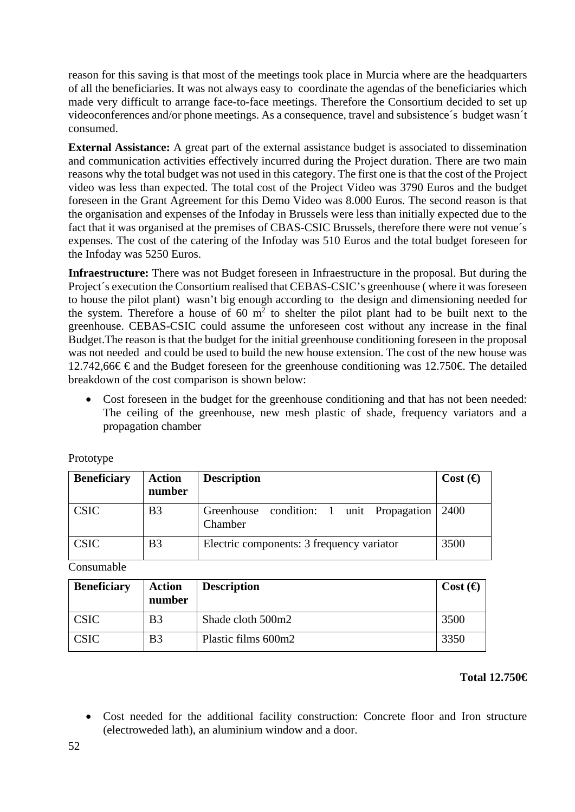reason for this saving is that most of the meetings took place in Murcia where are the headquarters of all the beneficiaries. It was not always easy to coordinate the agendas of the beneficiaries which made very difficult to arrange face-to-face meetings. Therefore the Consortium decided to set up videoconferences and/or phone meetings. As a consequence, travel and subsistence´s budget wasn´t consumed.

**External Assistance:** A great part of the external assistance budget is associated to dissemination and communication activities effectively incurred during the Project duration. There are two main reasons why the total budget was not used in this category. The first one is that the cost of the Project video was less than expected. The total cost of the Project Video was 3790 Euros and the budget foreseen in the Grant Agreement for this Demo Video was 8.000 Euros. The second reason is that the organisation and expenses of the Infoday in Brussels were less than initially expected due to the fact that it was organised at the premises of CBAS-CSIC Brussels, therefore there were not venue´s expenses. The cost of the catering of the Infoday was 510 Euros and the total budget foreseen for the Infoday was 5250 Euros.

**Infraestructure:** There was not Budget foreseen in Infraestructure in the proposal. But during the Project´s execution the Consortium realised that CEBAS-CSIC's greenhouse ( where it was foreseen to house the pilot plant) wasn't big enough according to the design and dimensioning needed for the system. Therefore a house of 60  $m<sup>2</sup>$  to shelter the pilot plant had to be built next to the greenhouse. CEBAS-CSIC could assume the unforeseen cost without any increase in the final Budget.The reason is that the budget for the initial greenhouse conditioning foreseen in the proposal was not needed and could be used to build the new house extension. The cost of the new house was 12.742,66€ € and the Budget foreseen for the greenhouse conditioning was 12.750€. The detailed breakdown of the cost comparison is shown below:

 Cost foreseen in the budget for the greenhouse conditioning and that has not been needed: The ceiling of the greenhouse, new mesh plastic of shade, frequency variators and a propagation chamber

| <b>Beneficiary</b> | <b>Action</b><br>number | <b>Description</b>                                       | Cost $\Theta$ |
|--------------------|-------------------------|----------------------------------------------------------|---------------|
| <b>CSIC</b>        | B <sub>3</sub>          | Greenhouse condition: 1 unit Propagation 2400<br>Chamber |               |
| <b>CSIC</b>        | B <sub>3</sub>          | Electric components: 3 frequency variator                | 3500          |

Prototype

Consumable

| <b>Beneficiary</b> | <b>Action</b><br>number | <b>Description</b>  | Cost $\Theta$ |
|--------------------|-------------------------|---------------------|---------------|
| <b>CSIC</b>        | B <sub>3</sub>          | Shade cloth 500m2   | 3500          |
| <b>CSIC</b>        | B <sub>3</sub>          | Plastic films 600m2 | 3350          |

### **Total 12.750€**

 Cost needed for the additional facility construction: Concrete floor and Iron structure (electroweded lath), an aluminium window and a door.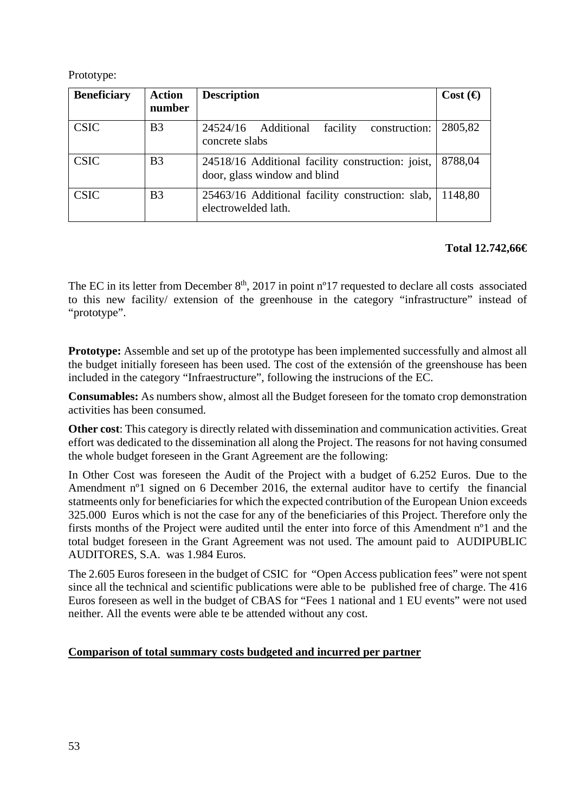Prototype:

| <b>Beneficiary</b> | <b>Action</b><br>number | <b>Description</b>                                                                | Cost $\Theta$ |
|--------------------|-------------------------|-----------------------------------------------------------------------------------|---------------|
| <b>CSIC</b>        | B <sub>3</sub>          | construction:<br>facility<br>24524/16 Additional<br>concrete slabs                | 2805,82       |
| <b>CSIC</b>        | B <sub>3</sub>          | 24518/16 Additional facility construction: joist,<br>door, glass window and blind | 8788,04       |
| <b>CSIC</b>        | B <sub>3</sub>          | 25463/16 Additional facility construction: slab,<br>electrowelded lath.           | 1148,80       |

## **Total 12.742,66€**

The EC in its letter from December  $8<sup>th</sup>$ , 2017 in point n<sup>o</sup>17 requested to declare all costs associated to this new facility/ extension of the greenhouse in the category "infrastructure" instead of "prototype".

**Prototype:** Assemble and set up of the prototype has been implemented successfully and almost all the budget initially foreseen has been used. The cost of the extensión of the greenshouse has been included in the category "Infraestructure", following the instrucions of the EC.

**Consumables:** As numbers show, almost all the Budget foreseen for the tomato crop demonstration activities has been consumed.

**Other cost**: This category is directly related with dissemination and communication activities. Great effort was dedicated to the dissemination all along the Project. The reasons for not having consumed the whole budget foreseen in the Grant Agreement are the following:

In Other Cost was foreseen the Audit of the Project with a budget of 6.252 Euros. Due to the Amendment nº1 signed on 6 December 2016, the external auditor have to certify the financial statmeents only for beneficiaries for which the expected contribution of the European Union exceeds 325.000 Euros which is not the case for any of the beneficiaries of this Project. Therefore only the firsts months of the Project were audited until the enter into force of this Amendment nº1 and the total budget foreseen in the Grant Agreement was not used. The amount paid to AUDIPUBLIC AUDITORES, S.A. was 1.984 Euros.

The 2.605 Euros foreseen in the budget of CSIC for "Open Access publication fees" were not spent since all the technical and scientific publications were able to be published free of charge. The 416 Euros foreseen as well in the budget of CBAS for "Fees 1 national and 1 EU events" were not used neither. All the events were able te be attended without any cost.

### **Comparison of total summary costs budgeted and incurred per partner**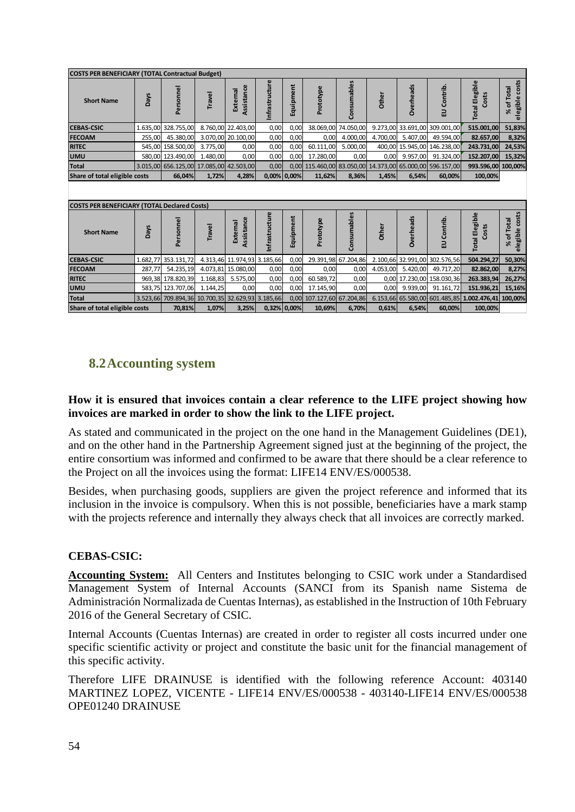| <b>COSTS PER BENEFICIARY (TOTAL Contractual Budget)</b> |             |                                                  |          |                             |                |             |                      |                     |          |                  |                                                     |                                |                                        |
|---------------------------------------------------------|-------------|--------------------------------------------------|----------|-----------------------------|----------------|-------------|----------------------|---------------------|----------|------------------|-----------------------------------------------------|--------------------------------|----------------------------------------|
| <b>Short Name</b>                                       | <b>Days</b> | Personnel                                        | Travel   | Assistance<br>External      | Infrastructure | Equipment   | Prototype            | Consumables         | Other    | <b>Overheads</b> | EU Contrib.                                         | <b>Total Elegible</b><br>Costs | elegible costs<br>of Total<br>৯ৎ       |
| <b>CEBAS-CSIC</b>                                       |             | 1.635,00 328.755,00                              |          | 8.760,00 22.403,00          | 0,00           | 0,00        | 38.069,00            | 74.050,00           |          |                  | 9.273,00 33.691,00 309.001,00                       | 515.001,00                     | 51,83%                                 |
| <b>FECOAM</b>                                           | 255,00      | 45.380,00                                        |          | 3.070,00 20.100,00          | 0,00           | 0,00        | 0,00                 | 4.000,00            | 4.700,00 | 5.407,00         | 49.594,00                                           | 82.657,00                      | 8,32%                                  |
| <b>RITEC</b>                                            |             | 545,00 158.500,00                                | 3.775,00 | 0,00                        | 0,00           | 0,00        | 60.111,00            | 5.000,00            |          |                  | 400,00 15.945,00 146.238,00                         | 243.731,00                     | 24,53%                                 |
| <b>UMU</b>                                              |             | 580,00 123.490,00                                | 1.480,00 | 0,00                        | 0,00           | 0,00        | 17.280,00            | 0,00                | 0,00     | 9.957,00         | 91.324,00                                           | 152.207,00                     | 15,32%                                 |
| <b>Total</b>                                            |             | 3.015,00 656.125,00 17.085,00 42.503,00          |          |                             | 0,00           | 0.00        |                      |                     |          |                  | 115.460,00 83.050,00 14.373,00 65.000,00 596.157,00 | 993.596,00 100,00%             |                                        |
| Share of total eligible costs                           |             | 66,04%                                           | 1,72%    | 4,28%                       |                | 0,00% 0,00% | 11,62%               | 8,36%               | 1,45%    | 6,54%            | 60,00%                                              | 100,00%                        |                                        |
|                                                         |             |                                                  |          |                             |                |             |                      |                     |          |                  |                                                     |                                |                                        |
|                                                         |             |                                                  |          |                             |                |             |                      |                     |          |                  |                                                     |                                |                                        |
| <b>COSTS PER BENEFICIARY (TOTAL Declared Costs)</b>     |             |                                                  |          |                             |                |             |                      |                     |          |                  |                                                     |                                |                                        |
| <b>Short Name</b>                                       | <b>Days</b> | Personnel                                        | Travel   | Assistance<br>External      | nfrastructure  | Equipment   | Prototype            | Consumables         | Other    | <b>Overheads</b> | EU Contrib.                                         | <b>Total Elegible</b><br>Costs | elegible costs<br>of Total<br>$\aleph$ |
| <b>CEBAS-CSIC</b>                                       |             | 1.682,77 353.131,72                              |          | 4.313,46 11.974,93 3.185,66 |                | 0,00        |                      | 29.391,98 67.204,86 |          |                  | 2.100,66 32.991,00 302.576,56                       | 504.294.27                     | 50,30%                                 |
| <b>FECOAM</b>                                           | 287,77      | 54.235,19                                        |          | 4.073,81 15.080,00          | 0,00           | 0,00        | 0,00                 | 0,00                | 4.053,00 | 5.420,00         | 49.717,20                                           | 82.862,00                      | 8,27%                                  |
| <b>RITEC</b>                                            |             | 969,38 178.820,39                                | 1.168,83 | 5.575,00                    | 0,00           | 0,00        | 60.589,72            | 0,00                |          |                  | 0,00 17.230,00 158.030,36                           | 263.383,94                     | 26,27%                                 |
| <b>UMU</b>                                              |             | 583,75 123.707,06                                | 1.144,25 | 0,00                        | 0,00           | 0,00        | 17.145,90            | 0,00                | 0,00     | 9.939,00         | 91.161,72                                           | 151.936,21                     | 15,16%                                 |
| <b>Total</b>                                            |             | 3.523,66 709.894,36 10.700,35 32.629,93 3.185,66 |          |                             |                | 0,00        | 107.127,60 67.204,86 |                     |          |                  | 6.153,66 65.580,00 601.485,85                       | 1.002.476,41 100,00%           |                                        |

# **8.2Accounting system**

### **How it is ensured that invoices contain a clear reference to the LIFE project showing how invoices are marked in order to show the link to the LIFE project.**

As stated and communicated in the project on the one hand in the Management Guidelines (DE1), and on the other hand in the Partnership Agreement signed just at the beginning of the project, the entire consortium was informed and confirmed to be aware that there should be a clear reference to the Project on all the invoices using the format: LIFE14 ENV/ES/000538.

Besides, when purchasing goods, suppliers are given the project reference and informed that its inclusion in the invoice is compulsory. When this is not possible, beneficiaries have a mark stamp with the projects reference and internally they always check that all invoices are correctly marked.

### **CEBAS-CSIC:**

**Accounting System:** All Centers and Institutes belonging to CSIC work under a Standardised Management System of Internal Accounts (SANCI from its Spanish name Sistema de Administración Normalizada de Cuentas Internas), as established in the Instruction of 10th February 2016 of the General Secretary of CSIC.

Internal Accounts (Cuentas Internas) are created in order to register all costs incurred under one specific scientific activity or project and constitute the basic unit for the financial management of this specific activity.

Therefore LIFE DRAINUSE is identified with the following reference Account: 403140 MARTINEZ LOPEZ, VICENTE - LIFE14 ENV/ES/000538 - 403140-LIFE14 ENV/ES/000538 OPE01240 DRAINUSE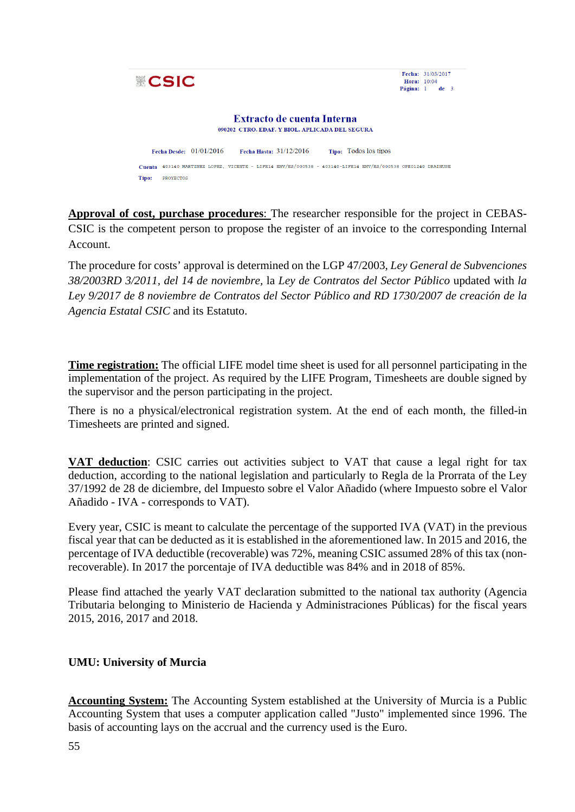

**Approval of cost, purchase procedures**: The researcher responsible for the project in CEBAS-CSIC is the competent person to propose the register of an invoice to the corresponding Internal Account.

The procedure for costs' approval is determined on the LGP 47/2003, *Ley General de Subvenciones 38/2003RD 3/2011, del 14 de noviembre,* la *Ley de Contratos del Sector Público* updated with *la Ley 9/2017 de 8 noviembre de Contratos del Sector Público and RD 1730/2007 de creación de la Agencia Estatal CSIC* and its Estatuto.

**Time registration:** The official LIFE model time sheet is used for all personnel participating in the implementation of the project. As required by the LIFE Program, Timesheets are double signed by the supervisor and the person participating in the project.

There is no a physical/electronical registration system. At the end of each month, the filled-in Timesheets are printed and signed.

**VAT deduction**: CSIC carries out activities subject to VAT that cause a legal right for tax deduction, according to the national legislation and particularly to Regla de la Prorrata of the Ley 37/1992 de 28 de diciembre, del Impuesto sobre el Valor Añadido (where Impuesto sobre el Valor Añadido - IVA - corresponds to VAT).

Every year, CSIC is meant to calculate the percentage of the supported IVA (VAT) in the previous fiscal year that can be deducted as it is established in the aforementioned law. In 2015 and 2016, the percentage of IVA deductible (recoverable) was 72%, meaning CSIC assumed 28% of this tax (nonrecoverable). In 2017 the porcentaje of IVA deductible was 84% and in 2018 of 85%.

Please find attached the yearly VAT declaration submitted to the national tax authority (Agencia Tributaria belonging to Ministerio de Hacienda y Administraciones Públicas) for the fiscal years 2015, 2016, 2017 and 2018.

### **UMU: University of Murcia**

**Accounting System:** The Accounting System established at the University of Murcia is a Public Accounting System that uses a computer application called "Justo" implemented since 1996. The basis of accounting lays on the accrual and the currency used is the Euro.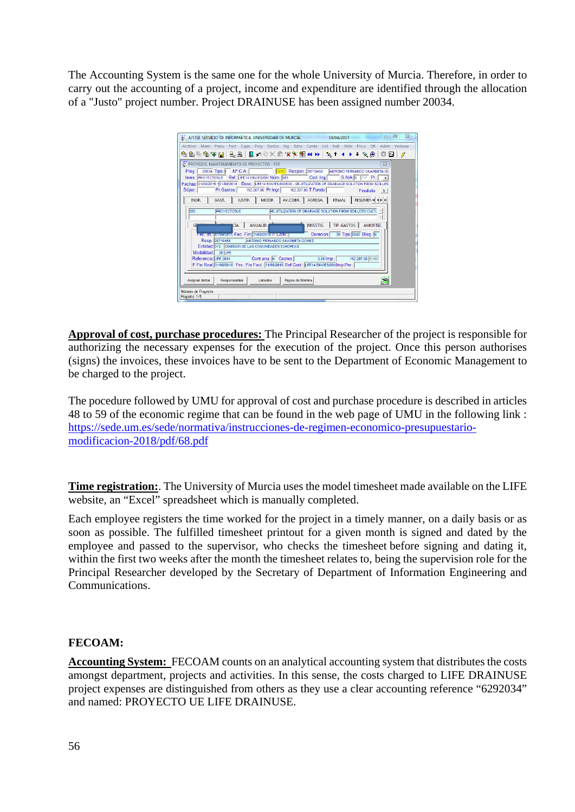The Accounting System is the same one for the whole University of Murcia. Therefore, in order to carry out the accounting of a project, income and expenditure are identified through the allocation of a "Justo" project number. Project DRAINUSE has been assigned number 20034.

| $\Sigma$<br>回<br>MED JUSTO, SERVICIO DE INFORMÁTICA, UNIVERSIDAD DE MURCIA.<br>$\Box$<br>19/04/2017                                                                                                                                                                                            |
|------------------------------------------------------------------------------------------------------------------------------------------------------------------------------------------------------------------------------------------------------------------------------------------------|
| Archivo Mant Presu Fact Cajas Proy Gastos Ing Extra Conta List Indi Ante<br><b>Ofi</b><br>Fisca<br>Admi<br>Ventana                                                                                                                                                                             |
| $F_{\rm H}$<br>З                                                                                                                                                                                                                                                                               |
| <b>ET: PROY021G. MANTENIMIENTO DE PROYECTOS - FST</b><br>$\Sigma$                                                                                                                                                                                                                              |
| EURO Respon.: 28710458 ANTONIO FERNANDO SKARMETA GO<br>Prov.: 20034 Tipo: Nº C.A.:<br>Inves.: PROYECTOSUE Ref.: LIFE14 ENV/ES/000 Núm.: 585<br>Cod. Ing.<br>S.IVA: S 717 Pr.:<br>Fechas: 01/09/2015 -31/08/2018 Desc.: LIFE14 ENV/ES/000538 - RE-UTILIZATION OF DRAINAGE SOLUTION FROM SOILLES |
| Pr. Gastos: 152.207.00 Pr. Ingr: 152.207.00 T. Fondo:<br>Súper.:<br>Finalista<br>$\vert$ Ir                                                                                                                                                                                                    |
| MODIF.   AV.COBR.   AGREGA.<br>RESUMENT 4 F H<br>JUSTIF.  <br>FINAN.<br>INGR.<br>GAST.                                                                                                                                                                                                         |
| <b>PROYECTOSUE</b><br>RE-UTILIZATION OF DRAINAGE SOLUTION FROM SOILLESS CULTU<br>585                                                                                                                                                                                                           |
| INVESTIG. TIP. GASTOS AMORTIZ.<br>ANUALID.<br>CIA.<br>GF<br>36 Tipo: 0040 Blog.: N<br>Fec. minjunuarzuns Fec. Fin: 31/08/2018 F.Conv. j<br>Duracion:                                                                                                                                           |
| Resp.: 28710458<br>ANTONIO FERNANDO SKARMETA GOMEZ<br>Entidad: 310 COMISION DE LAS COMUNDADES EUROPEAS                                                                                                                                                                                         |
| Modalidad: 35 LIFE                                                                                                                                                                                                                                                                             |
| 152.207,00 EURO<br>Cont.anu.: N Costes:<br>$0,00$ Imp.:<br>Referencia: LIFE 2014<br>F.Fin Real: 31/08/2018 Fec. Fin Fact.: 31/08/2018 Ref.Cont.: LIFE14 ENV/ES/000 Imp.Pre.:                                                                                                                   |
| Responsables<br>Pagos de Nómina<br>Asignar datos<br>Listados                                                                                                                                                                                                                                   |
| Número de Proyecto<br>Registro: 1/1                                                                                                                                                                                                                                                            |

**Approval of cost, purchase procedures:** The Principal Researcher of the project is responsible for authorizing the necessary expenses for the execution of the project. Once this person authorises (signs) the invoices, these invoices have to be sent to the Department of Economic Management to be charged to the project.

The pocedure followed by UMU for approval of cost and purchase procedure is described in articles 48 to 59 of the economic regime that can be found in the web page of UMU in the following link : https://sede.um.es/sede/normativa/instrucciones-de-regimen-economico-presupuestariomodificacion-2018/pdf/68.pdf

**Time registration:**. The University of Murcia uses the model timesheet made available on the LIFE website, an "Excel" spreadsheet which is manually completed.

Each employee registers the time worked for the project in a timely manner, on a daily basis or as soon as possible. The fulfilled timesheet printout for a given month is signed and dated by the employee and passed to the supervisor, who checks the timesheet before signing and dating it, within the first two weeks after the month the timesheet relates to, being the supervision role for the Principal Researcher developed by the Secretary of Department of Information Engineering and Communications.

### **FECOAM:**

**Accounting System:** FECOAM counts on an analytical accounting system that distributes the costs amongst department, projects and activities. In this sense, the costs charged to LIFE DRAINUSE project expenses are distinguished from others as they use a clear accounting reference "6292034" and named: PROYECTO UE LIFE DRAINUSE.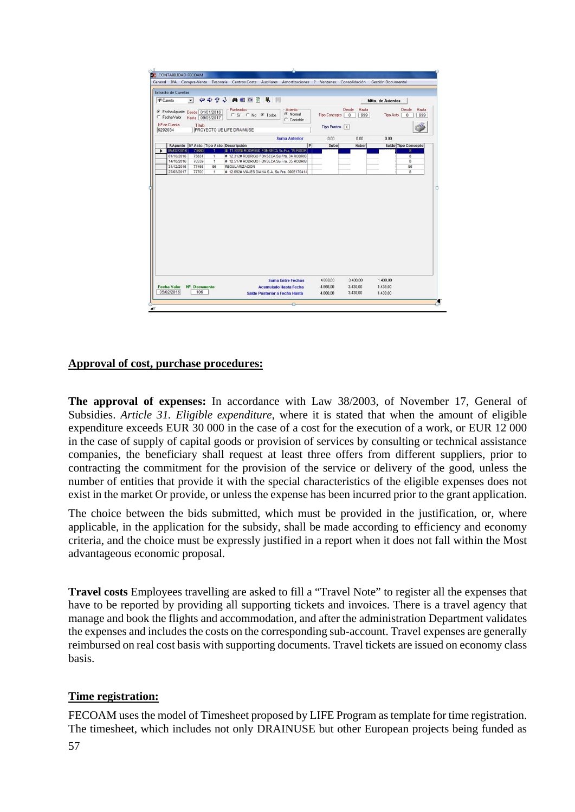| <b>Extracto de Cuentas</b>                                       |                    |                                                                         |                   |                       |                              |       |
|------------------------------------------------------------------|--------------------|-------------------------------------------------------------------------|-------------------|-----------------------|------------------------------|-------|
| Nº Cuenta<br>$\mathbf{v}$                                        |                    | ◆◆◆◆ 英国 ○ 图 见                                                           |                   |                       | <b>Mtto, de Asientos</b>     |       |
|                                                                  |                    | Asiento-<br>Punteados <sup>-</sup>                                      |                   | Hasta<br>Desde        | Desde                        | Hasta |
| Fecha Apunte Desde 01/01/2016<br>Fecha Valor<br>Hasta 09/05/2017 |                    | C Normal<br>C Si C No G Todos<br>C Contable                             | Tipo Concepto     | 999<br>$\overline{0}$ | Tipo Asto.<br>$\overline{0}$ | 999   |
| N <sup>ª</sup> de Cuenta<br>Título<br>6292034                    |                    | <b>FROYECTO UE LIFE DRAINUSE</b>                                        | Tipo Punteo X     |                       |                              |       |
|                                                                  |                    | <b>Suma Anterior</b>                                                    | 0.00              | 0.00                  | 0.00                         |       |
| F.Apunte   Nº Asto. Tipo Asto. Descripción                       |                    |                                                                         | P <br><b>Debe</b> | Haber                 | Saldo Tipo Concepto          |       |
| 05/02/2016<br>73680                                              |                    | # 11,837# RODRIGO FONSECA Su Fra. 15 RODR                               |                   |                       | 8                            |       |
| 01/10/2016<br>75831                                              | 1                  | # 12.312# RODRIGO FONSECA Su Fra. 34 RODRIG                             |                   |                       | 8                            |       |
| 14/10/2016<br>76539                                              | 1                  | # 12.517# RODRIGO FONSECA Su Fra. 35 RODRIG                             |                   |                       | 8                            |       |
| 77466<br>31/12/2016<br>77700<br>27/03/2017                       | 96<br>$\mathbf{1}$ | <b>REGULARIZACION</b><br># 12.692# VIAJES DIANA S.A. Su Fra. 000E170414 |                   |                       | 96<br>8                      |       |
|                                                                  |                    |                                                                         |                   |                       |                              |       |
|                                                                  |                    |                                                                         |                   |                       |                              |       |

### **Approval of cost, purchase procedures:**

**The approval of expenses:** In accordance with Law 38/2003, of November 17, General of Subsidies. *Article 31. Eligible expenditure*, where it is stated that when the amount of eligible expenditure exceeds EUR 30 000 in the case of a cost for the execution of a work, or EUR 12 000 in the case of supply of capital goods or provision of services by consulting or technical assistance companies, the beneficiary shall request at least three offers from different suppliers, prior to contracting the commitment for the provision of the service or delivery of the good, unless the number of entities that provide it with the special characteristics of the eligible expenses does not exist in the market Or provide, or unless the expense has been incurred prior to the grant application.

The choice between the bids submitted, which must be provided in the justification, or, where applicable, in the application for the subsidy, shall be made according to efficiency and economy criteria, and the choice must be expressly justified in a report when it does not fall within the Most advantageous economic proposal.

**Travel costs** Employees travelling are asked to fill a "Travel Note" to register all the expenses that have to be reported by providing all supporting tickets and invoices. There is a travel agency that manage and book the flights and accommodation, and after the administration Department validates the expenses and includes the costs on the corresponding sub-account. Travel expenses are generally reimbursed on real cost basis with supporting documents. Travel tickets are issued on economy class basis.

### **Time registration:**

FECOAM uses the model of Timesheet proposed by LIFE Program as template for time registration. The timesheet, which includes not only DRAINUSE but other European projects being funded as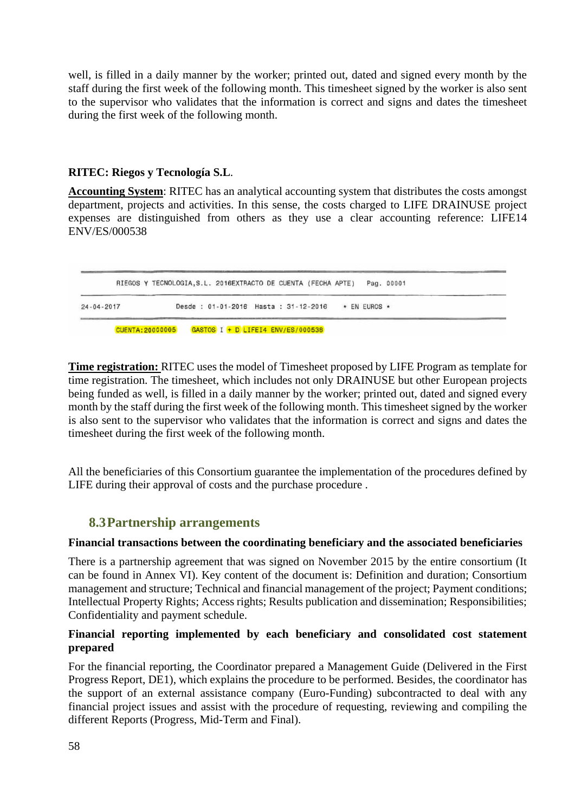well, is filled in a daily manner by the worker; printed out, dated and signed every month by the staff during the first week of the following month. This timesheet signed by the worker is also sent to the supervisor who validates that the information is correct and signs and dates the timesheet during the first week of the following month.

### **RITEC: Riegos y Tecnología S.L**.

**Accounting System**: RITEC has an analytical accounting system that distributes the costs amongst department, projects and activities. In this sense, the costs charged to LIFE DRAINUSE project expenses are distinguished from others as they use a clear accounting reference: LIFE14 ENV/ES/000538



**Time registration:** RITEC uses the model of Timesheet proposed by LIFE Program as template for time registration. The timesheet, which includes not only DRAINUSE but other European projects being funded as well, is filled in a daily manner by the worker; printed out, dated and signed every month by the staff during the first week of the following month. This timesheet signed by the worker is also sent to the supervisor who validates that the information is correct and signs and dates the timesheet during the first week of the following month.

All the beneficiaries of this Consortium guarantee the implementation of the procedures defined by LIFE during their approval of costs and the purchase procedure .

### **8.3Partnership arrangements**

### **Financial transactions between the coordinating beneficiary and the associated beneficiaries**

There is a partnership agreement that was signed on November 2015 by the entire consortium (It can be found in Annex VI). Key content of the document is: Definition and duration; Consortium management and structure; Technical and financial management of the project; Payment conditions; Intellectual Property Rights; Access rights; Results publication and dissemination; Responsibilities; Confidentiality and payment schedule.

### **Financial reporting implemented by each beneficiary and consolidated cost statement prepared**

For the financial reporting, the Coordinator prepared a Management Guide (Delivered in the First Progress Report, DE1), which explains the procedure to be performed. Besides, the coordinator has the support of an external assistance company (Euro-Funding) subcontracted to deal with any financial project issues and assist with the procedure of requesting, reviewing and compiling the different Reports (Progress, Mid-Term and Final).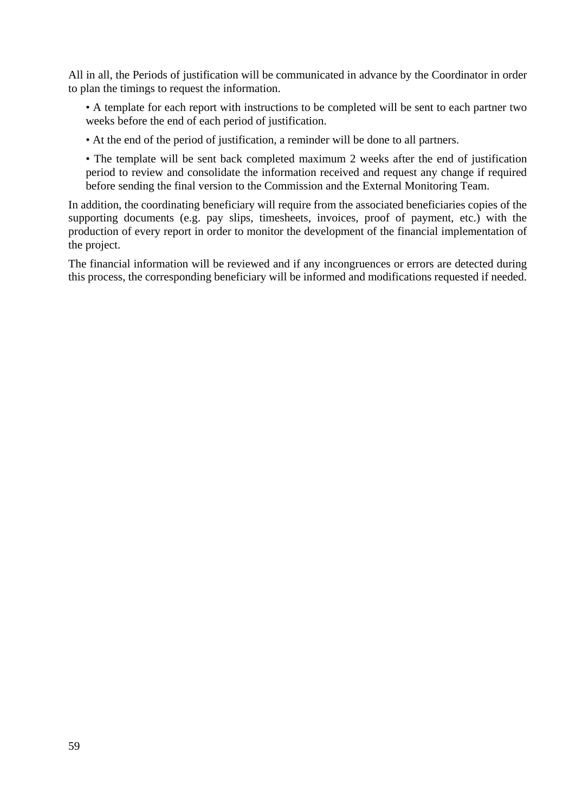All in all, the Periods of justification will be communicated in advance by the Coordinator in order to plan the timings to request the information.

• A template for each report with instructions to be completed will be sent to each partner two weeks before the end of each period of justification.

• At the end of the period of justification, a reminder will be done to all partners.

• The template will be sent back completed maximum 2 weeks after the end of justification period to review and consolidate the information received and request any change if required before sending the final version to the Commission and the External Monitoring Team.

In addition, the coordinating beneficiary will require from the associated beneficiaries copies of the supporting documents (e.g. pay slips, timesheets, invoices, proof of payment, etc.) with the production of every report in order to monitor the development of the financial implementation of the project.

The financial information will be reviewed and if any incongruences or errors are detected during this process, the corresponding beneficiary will be informed and modifications requested if needed.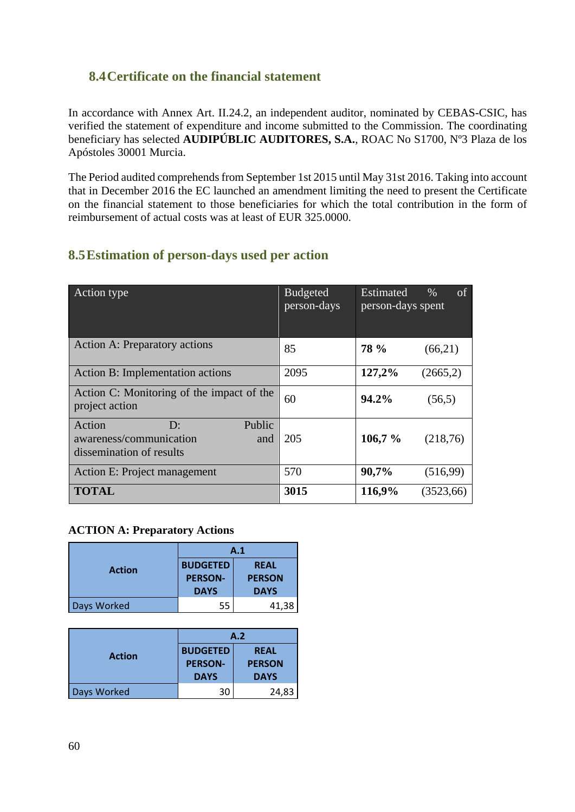# **8.4Certificate on the financial statement**

In accordance with Annex Art. II.24.2, an independent auditor, nominated by CEBAS-CSIC, has verified the statement of expenditure and income submitted to the Commission. The coordinating beneficiary has selected **AUDIPÚBLIC AUDITORES, S.A.**, ROAC No S1700, Nº3 Plaza de los Apóstoles 30001 Murcia.

The Period audited comprehends from September 1st 2015 until May 31st 2016. Taking into account that in December 2016 the EC launched an amendment limiting the need to present the Certificate on the financial statement to those beneficiaries for which the total contribution in the form of reimbursement of actual costs was at least of EUR 325.0000.

# **8.5Estimation of person-days used per action**

| Action type                                                                                                     | <b>Budgeted</b><br>person-days | <b>Estimated</b><br>person-days spent | of<br>$\%$ |
|-----------------------------------------------------------------------------------------------------------------|--------------------------------|---------------------------------------|------------|
| Action A: Preparatory actions                                                                                   | 85                             | <b>78 %</b>                           | (66,21)    |
| Action B: Implementation actions                                                                                | 2095                           | 127,2%                                | (2665,2)   |
| Action C: Monitoring of the impact of the<br>project action                                                     | 60                             | 94.2%                                 | (56,5)     |
| Action<br>Public<br>$\mathbf{D}^{\mathbf{\cdot}}$<br>awareness/communication<br>and<br>dissemination of results | 205                            | 106,7%                                | (218,76)   |
| Action E: Project management                                                                                    | 570                            | 90,7%                                 | (516,99)   |
| <b>TOTAL</b>                                                                                                    | 3015                           | 116,9%                                | (3523, 66) |

### **ACTION A: Preparatory Actions**

|               | A.1                                              |                                             |  |
|---------------|--------------------------------------------------|---------------------------------------------|--|
| <b>Action</b> | <b>BUDGETED</b><br><b>PERSON-</b><br><b>DAYS</b> | <b>REAL</b><br><b>PERSON</b><br><b>DAYS</b> |  |
| Days Worked   | 55                                               | 41,38                                       |  |

|               | A.2                                              |                                             |  |
|---------------|--------------------------------------------------|---------------------------------------------|--|
| <b>Action</b> | <b>BUDGETED</b><br><b>PERSON-</b><br><b>DAYS</b> | <b>REAL</b><br><b>PERSON</b><br><b>DAYS</b> |  |
| Days Worked   | 30                                               | 24,83                                       |  |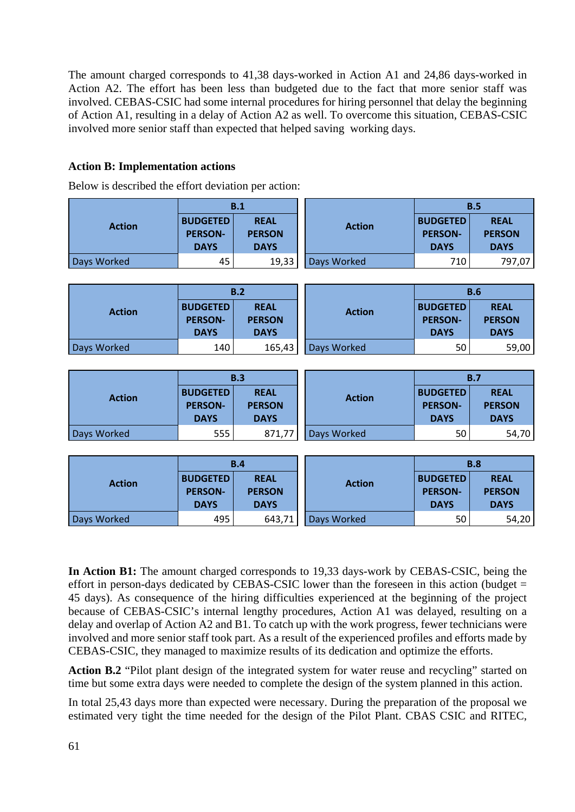The amount charged corresponds to 41,38 days-worked in Action A1 and 24,86 days-worked in Action A2. The effort has been less than budgeted due to the fact that more senior staff was involved. CEBAS-CSIC had some internal procedures for hiring personnel that delay the beginning of Action A1, resulting in a delay of Action A2 as well. To overcome this situation, CEBAS-CSIC involved more senior staff than expected that helped saving working days.

### **Action B: Implementation actions**

Below is described the effort deviation per action:

|               |                                                  | B.1                                         |               |                                                  | B.5                                         |  |  |
|---------------|--------------------------------------------------|---------------------------------------------|---------------|--------------------------------------------------|---------------------------------------------|--|--|
| <b>Action</b> | <b>BUDGETED</b><br><b>PERSON-</b><br><b>DAYS</b> | <b>REAL</b><br><b>PERSON</b><br><b>DAYS</b> | <b>Action</b> | <b>BUDGETED</b><br><b>PERSON-</b><br><b>DAYS</b> | <b>REAL</b><br><b>PERSON</b><br><b>DAYS</b> |  |  |
| Days Worked   | 45                                               | 19,33                                       | Days Worked   | 710                                              | 797,07                                      |  |  |
|               |                                                  |                                             |               |                                                  |                                             |  |  |
|               |                                                  | B.2                                         |               |                                                  | <b>B.6</b>                                  |  |  |
| <b>Action</b> | <b>BUDGETED</b><br><b>PERSON-</b><br><b>DAYS</b> | <b>REAL</b><br><b>PERSON</b><br><b>DAYS</b> | <b>Action</b> | <b>BUDGETED</b><br><b>PERSON-</b><br><b>DAYS</b> | <b>REAL</b><br><b>PERSON</b><br><b>DAYS</b> |  |  |
| Days Worked   | 140                                              | 165,43                                      | Days Worked   | 50                                               | 59,00                                       |  |  |
|               |                                                  |                                             |               |                                                  |                                             |  |  |
|               |                                                  | B.3                                         |               |                                                  | B.7                                         |  |  |
| <b>Action</b> | <b>BUDGETED</b><br><b>PERSON-</b><br><b>DAYS</b> | <b>REAL</b><br><b>PERSON</b><br><b>DAYS</b> | <b>Action</b> | <b>BUDGETED</b><br><b>PERSON-</b><br><b>DAYS</b> | <b>REAL</b><br><b>PERSON</b><br><b>DAYS</b> |  |  |
| Days Worked   | 555                                              | 871,77                                      | Days Worked   | 50                                               | 54,70                                       |  |  |
|               |                                                  |                                             |               |                                                  |                                             |  |  |
|               |                                                  | B.4                                         |               |                                                  | <b>B.8</b>                                  |  |  |
| <b>Action</b> | <b>BUDGETED</b><br><b>PERSON-</b>                | <b>REAL</b><br><b>PERSON</b>                | <b>Action</b> | <b>BUDGETED</b><br><b>PERSON-</b>                | <b>REAL</b><br><b>PERSON</b>                |  |  |

**In Action B1:** The amount charged corresponds to 19,33 days-work by CEBAS-CSIC, being the effort in person-days dedicated by CEBAS-CSIC lower than the foreseen in this action (budget  $=$ 45 days). As consequence of the hiring difficulties experienced at the beginning of the project because of CEBAS-CSIC's internal lengthy procedures, Action A1 was delayed, resulting on a delay and overlap of Action A2 and B1. To catch up with the work progress, fewer technicians were involved and more senior staff took part. As a result of the experienced profiles and efforts made by CEBAS-CSIC, they managed to maximize results of its dedication and optimize the efforts.

Days Worked **195 | 1970 | 1980 | 1980 | 1980 | 1980 | 1980 | 1980 | 1980 | 1980 | 1980 | 1980 | 1980 | 1980 | 1** 

Action **B.2** "Pilot plant design of the integrated system for water reuse and recycling" started on time but some extra days were needed to complete the design of the system planned in this action.

In total 25,43 days more than expected were necessary. During the preparation of the proposal we estimated very tight the time needed for the design of the Pilot Plant. CBAS CSIC and RITEC,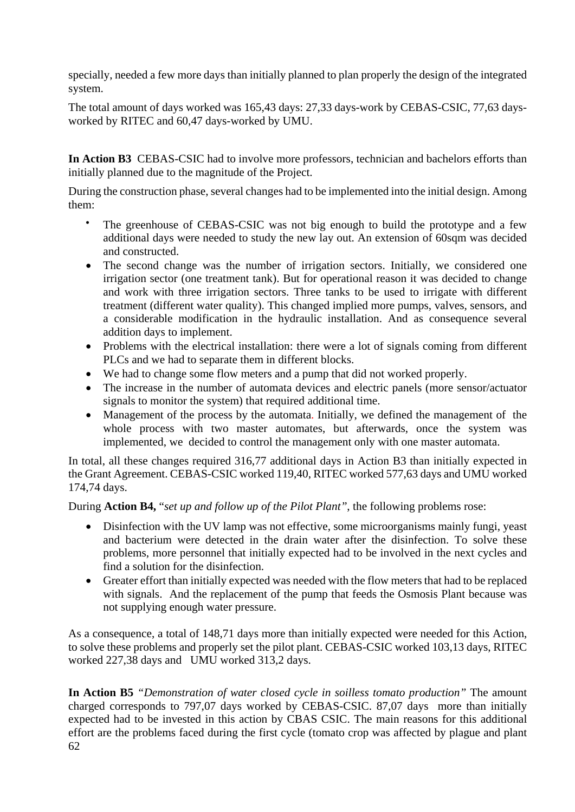specially, needed a few more days than initially planned to plan properly the design of the integrated system.

The total amount of days worked was 165,43 days: 27,33 days-work by CEBAS-CSIC, 77,63 daysworked by RITEC and 60,47 days-worked by UMU.

**In Action B3** CEBAS-CSIC had to involve more professors, technician and bachelors efforts than initially planned due to the magnitude of the Project.

During the construction phase, several changes had to be implemented into the initial design. Among them:

- The greenhouse of CEBAS-CSIC was not big enough to build the prototype and a few additional days were needed to study the new lay out. An extension of 60sqm was decided and constructed.
- The second change was the number of irrigation sectors. Initially, we considered one irrigation sector (one treatment tank). But for operational reason it was decided to change and work with three irrigation sectors. Three tanks to be used to irrigate with different treatment (different water quality). This changed implied more pumps, valves, sensors, and a considerable modification in the hydraulic installation. And as consequence several addition days to implement.
- Problems with the electrical installation: there were a lot of signals coming from different PLCs and we had to separate them in different blocks.
- We had to change some flow meters and a pump that did not worked properly.
- The increase in the number of automata devices and electric panels (more sensor/actuator signals to monitor the system) that required additional time.
- Management of the process by the automata. Initially, we defined the management of the whole process with two master automates, but afterwards, once the system was implemented, we decided to control the management only with one master automata.

In total, all these changes required 316,77 additional days in Action B3 than initially expected in the Grant Agreement. CEBAS-CSIC worked 119,40, RITEC worked 577,63 days and UMU worked 174,74 days.

During **Action B4,** "*set up and follow up of the Pilot Plant"*, the following problems rose:

- Disinfection with the UV lamp was not effective, some microorganisms mainly fungi, yeast and bacterium were detected in the drain water after the disinfection. To solve these problems, more personnel that initially expected had to be involved in the next cycles and find a solution for the disinfection.
- Greater effort than initially expected was needed with the flow meters that had to be replaced with signals. And the replacement of the pump that feeds the Osmosis Plant because was not supplying enough water pressure.

As a consequence, a total of 148,71 days more than initially expected were needed for this Action, to solve these problems and properly set the pilot plant. CEBAS-CSIC worked 103,13 days, RITEC worked 227,38 days and UMU worked 313,2 days.

62 **In Action B5** *"Demonstration of water closed cycle in soilless tomato production"* The amount charged corresponds to 797,07 days worked by CEBAS-CSIC. 87,07 days more than initially expected had to be invested in this action by CBAS CSIC. The main reasons for this additional effort are the problems faced during the first cycle (tomato crop was affected by plague and plant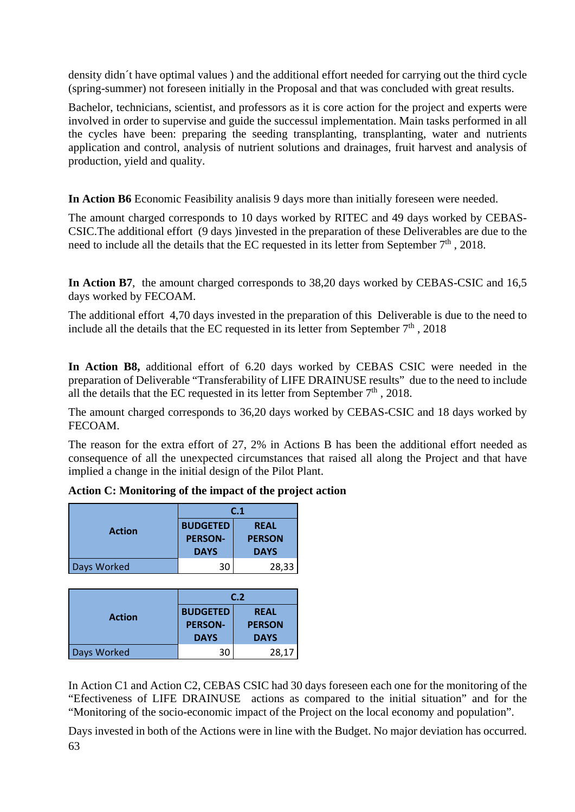density didn´t have optimal values ) and the additional effort needed for carrying out the third cycle (spring-summer) not foreseen initially in the Proposal and that was concluded with great results.

Bachelor, technicians, scientist, and professors as it is core action for the project and experts were involved in order to supervise and guide the successul implementation. Main tasks performed in all the cycles have been: preparing the seeding transplanting, transplanting, water and nutrients application and control, analysis of nutrient solutions and drainages, fruit harvest and analysis of production, yield and quality.

**In Action B6** Economic Feasibility analisis 9 days more than initially foreseen were needed.

The amount charged corresponds to 10 days worked by RITEC and 49 days worked by CEBAS-CSIC.The additional effort (9 days )invested in the preparation of these Deliverables are due to the need to include all the details that the EC requested in its letter from September  $7<sup>th</sup>$ , 2018.

**In Action B7**, the amount charged corresponds to 38,20 days worked by CEBAS-CSIC and 16,5 days worked by FECOAM.

The additional effort 4,70 days invested in the preparation of this Deliverable is due to the need to include all the details that the EC requested in its letter from September  $7<sup>th</sup>$ , 2018

**In Action B8,** additional effort of 6.20 days worked by CEBAS CSIC were needed in the preparation of Deliverable "Transferability of LIFE DRAINUSE results" due to the need to include all the details that the EC requested in its letter from September  $7<sup>th</sup>$ , 2018.

The amount charged corresponds to 36,20 days worked by CEBAS-CSIC and 18 days worked by FECOAM.

The reason for the extra effort of 27, 2% in Actions B has been the additional effort needed as consequence of all the unexpected circumstances that raised all along the Project and that have implied a change in the initial design of the Pilot Plant.

|               | C.1             |               |  |
|---------------|-----------------|---------------|--|
| <b>Action</b> | <b>BUDGETED</b> | <b>REAL</b>   |  |
|               | <b>PERSON-</b>  | <b>PERSON</b> |  |
|               | <b>DAYS</b>     | <b>DAYS</b>   |  |
| Days Worked   | 30              | 28,33         |  |

| Action C: Monitoring of the impact of the project action |  |  |  |
|----------------------------------------------------------|--|--|--|
|----------------------------------------------------------|--|--|--|

|               | C.2                                              |                                             |  |
|---------------|--------------------------------------------------|---------------------------------------------|--|
| <b>Action</b> | <b>BUDGETED</b><br><b>PERSON-</b><br><b>DAYS</b> | <b>REAL</b><br><b>PERSON</b><br><b>DAYS</b> |  |
| Days Worked   | 30                                               | 28,17                                       |  |

In Action C1 and Action C2, CEBAS CSIC had 30 days foreseen each one for the monitoring of the "Efectiveness of LIFE DRAINUSE actions as compared to the initial situation" and for the "Monitoring of the socio-economic impact of the Project on the local economy and population".

63 Days invested in both of the Actions were in line with the Budget. No major deviation has occurred.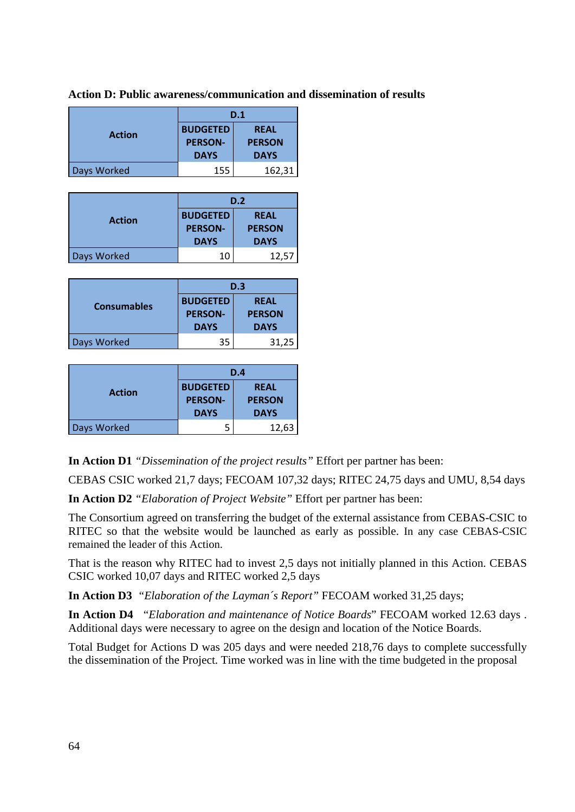**Action D: Public awareness/communication and dissemination of results** 

|               | D.1                                              |                                             |  |
|---------------|--------------------------------------------------|---------------------------------------------|--|
| <b>Action</b> | <b>BUDGETED</b><br><b>PERSON-</b><br><b>DAYS</b> | <b>REAL</b><br><b>PERSON</b><br><b>DAYS</b> |  |
| Days Worked   | 155                                              | 162,31                                      |  |

|               | D.2                                              |                                             |  |
|---------------|--------------------------------------------------|---------------------------------------------|--|
| <b>Action</b> | <b>BUDGETED</b><br><b>PERSON-</b><br><b>DAYS</b> | <b>REAL</b><br><b>PERSON</b><br><b>DAYS</b> |  |
| Days Worked   | 10                                               | 12,57                                       |  |

|                    | D.3                                              |                                             |
|--------------------|--------------------------------------------------|---------------------------------------------|
| <b>Consumables</b> | <b>BUDGETED</b><br><b>PERSON-</b><br><b>DAYS</b> | <b>REAL</b><br><b>PERSON</b><br><b>DAYS</b> |
| Days Worked        | 35                                               | 31,25                                       |

| <b>Action</b> | D.4             |               |
|---------------|-----------------|---------------|
|               | <b>BUDGETED</b> | <b>REAL</b>   |
|               | <b>PERSON-</b>  | <b>PERSON</b> |
|               | <b>DAYS</b>     | <b>DAYS</b>   |
| Days Worked   | 5               | 12,63         |

**In Action D1** *"Dissemination of the project results"* Effort per partner has been:

CEBAS CSIC worked 21,7 days; FECOAM 107,32 days; RITEC 24,75 days and UMU, 8,54 days

**In Action D2** *"Elaboration of Project Website"* Effort per partner has been:

The Consortium agreed on transferring the budget of the external assistance from CEBAS-CSIC to RITEC so that the website would be launched as early as possible. In any case CEBAS-CSIC remained the leader of this Action.

That is the reason why RITEC had to invest 2,5 days not initially planned in this Action. CEBAS CSIC worked 10,07 days and RITEC worked 2,5 days

**In Action D3** *"Elaboration of the Layman´s Report"* FECOAM worked 31,25 days;

**In Action D4** "*Elaboration and maintenance of Notice Boards*" FECOAM worked 12.63 days . Additional days were necessary to agree on the design and location of the Notice Boards.

Total Budget for Actions D was 205 days and were needed 218,76 days to complete successfully the dissemination of the Project. Time worked was in line with the time budgeted in the proposal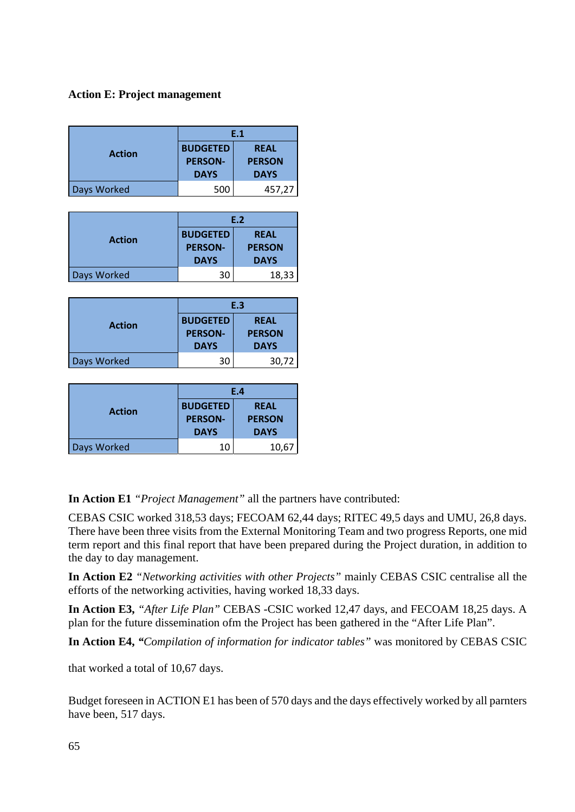### **Action E: Project management**

|               | E.1             |               |
|---------------|-----------------|---------------|
| <b>Action</b> | <b>BUDGETED</b> | <b>REAL</b>   |
|               | <b>PERSON-</b>  | <b>PERSON</b> |
|               | <b>DAYS</b>     | <b>DAYS</b>   |
| Days Worked   | 500             | 457.27        |

|               | E.2             |               |
|---------------|-----------------|---------------|
| <b>Action</b> | <b>BUDGETED</b> | <b>REAL</b>   |
|               | <b>PERSON-</b>  | <b>PERSON</b> |
|               | <b>DAYS</b>     | <b>DAYS</b>   |
| Days Worked   | 30              | 18,33         |

|               | E.3                                              |                                             |
|---------------|--------------------------------------------------|---------------------------------------------|
| <b>Action</b> | <b>BUDGETED</b><br><b>PERSON-</b><br><b>DAYS</b> | <b>REAL</b><br><b>PERSON</b><br><b>DAYS</b> |
| Days Worked   | 30                                               | 30,72                                       |

| <b>Action</b> | E.4             |               |
|---------------|-----------------|---------------|
|               | <b>BUDGETED</b> | <b>REAL</b>   |
|               | <b>PERSON-</b>  | <b>PERSON</b> |
|               | <b>DAYS</b>     | <b>DAYS</b>   |
| Days Worked   | 10              | 10,67         |

**In Action E1** *"Project Management"* all the partners have contributed:

CEBAS CSIC worked 318,53 days; FECOAM 62,44 days; RITEC 49,5 days and UMU, 26,8 days. There have been three visits from the External Monitoring Team and two progress Reports, one mid term report and this final report that have been prepared during the Project duration, in addition to the day to day management.

**In Action E2** *"Networking activities with other Projects"* mainly CEBAS CSIC centralise all the efforts of the networking activities, having worked 18,33 days.

**In Action E3,** *"After Life Plan"* CEBAS -CSIC worked 12,47 days, and FECOAM 18,25 days. A plan for the future dissemination ofm the Project has been gathered in the "After Life Plan".

**In Action E4,** *"Compilation of information for indicator tables"* was monitored by CEBAS CSIC

that worked a total of 10,67 days.

Budget foreseen in ACTION E1 has been of 570 days and the days effectively worked by all parnters have been, 517 days.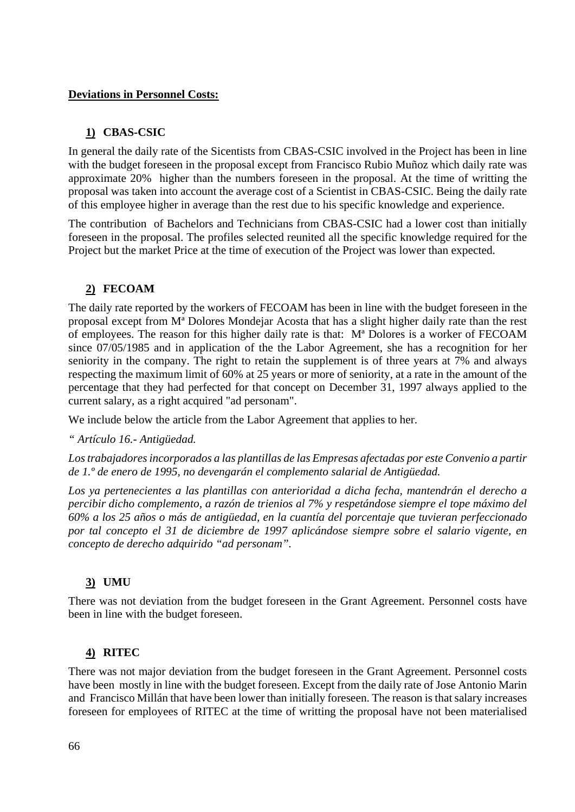### **Deviations in Personnel Costs:**

### **1) CBAS-CSIC**

In general the daily rate of the Sicentists from CBAS-CSIC involved in the Project has been in line with the budget foreseen in the proposal except from Francisco Rubio Muñoz which daily rate was approximate 20% higher than the numbers foreseen in the proposal. At the time of writting the proposal was taken into account the average cost of a Scientist in CBAS-CSIC. Being the daily rate of this employee higher in average than the rest due to his specific knowledge and experience.

The contribution of Bachelors and Technicians from CBAS-CSIC had a lower cost than initially foreseen in the proposal. The profiles selected reunited all the specific knowledge required for the Project but the market Price at the time of execution of the Project was lower than expected.

### **2) FECOAM**

The daily rate reported by the workers of FECOAM has been in line with the budget foreseen in the proposal except from Mª Dolores Mondejar Acosta that has a slight higher daily rate than the rest of employees. The reason for this higher daily rate is that: Mª Dolores is a worker of FECOAM since 07/05/1985 and in application of the the Labor Agreement, she has a recognition for her seniority in the company. The right to retain the supplement is of three years at 7% and always respecting the maximum limit of 60% at 25 years or more of seniority, at a rate in the amount of the percentage that they had perfected for that concept on December 31, 1997 always applied to the current salary, as a right acquired "ad personam".

We include below the article from the Labor Agreement that applies to her.

*" Artículo 16.- Antigüedad.* 

*Los trabajadores incorporados a las plantillas de las Empresas afectadas por este Convenio a partir de 1.º de enero de 1995, no devengarán el complemento salarial de Antigüedad.* 

*Los ya pertenecientes a las plantillas con anterioridad a dicha fecha, mantendrán el derecho a percibir dicho complemento, a razón de trienios al 7% y respetándose siempre el tope máximo del 60% a los 25 años o más de antigüedad, en la cuantía del porcentaje que tuvieran perfeccionado por tal concepto el 31 de diciembre de 1997 aplicándose siempre sobre el salario vigente, en concepto de derecho adquirido "ad personam".* 

### **3) UMU**

There was not deviation from the budget foreseen in the Grant Agreement. Personnel costs have been in line with the budget foreseen.

### **4) RITEC**

There was not major deviation from the budget foreseen in the Grant Agreement. Personnel costs have been mostly in line with the budget foreseen. Except from the daily rate of Jose Antonio Marin and Francisco Millán that have been lower than initially foreseen. The reason is that salary increases foreseen for employees of RITEC at the time of writting the proposal have not been materialised